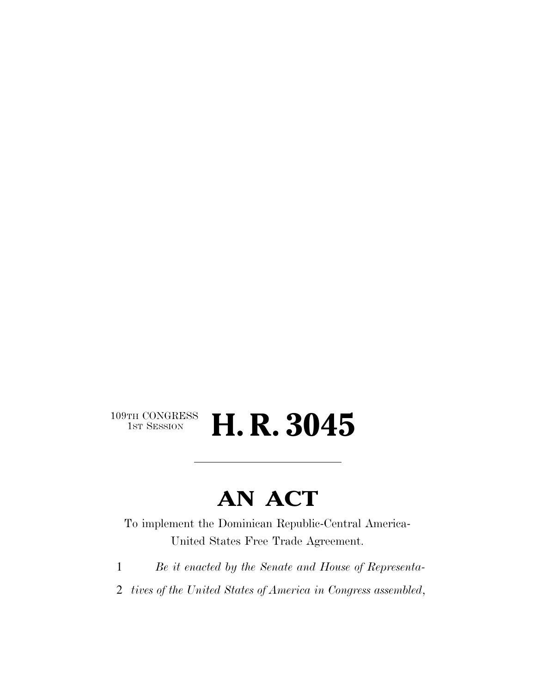## $109\text{TH CONGRESS}\ \text{1ST SES}$ H. R. 3045

# **AN ACT**

To implement the Dominican Republic-Central America-United States Free Trade Agreement.

- 1 *Be it enacted by the Senate and House of Representa-*
- 2 *tives of the United States of America in Congress assembled*,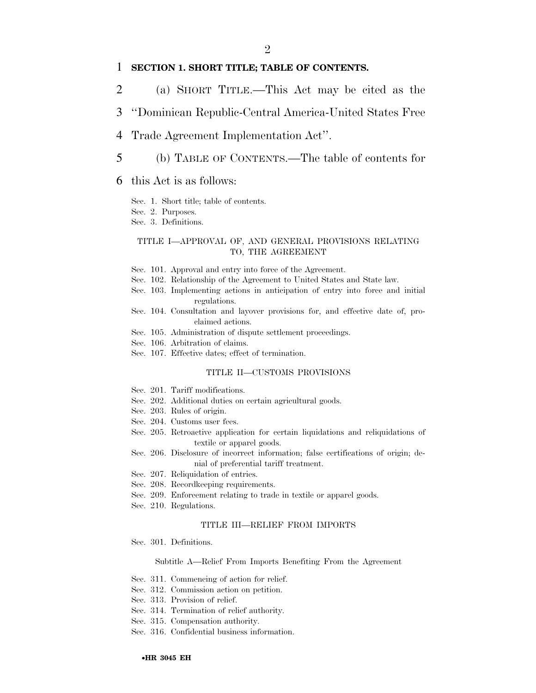## 1 **SECTION 1. SHORT TITLE; TABLE OF CONTENTS.**

- 2 (a) SHORT TITLE.—This Act may be cited as the
- 3 ''Dominican Republic-Central America-United States Free
- 4 Trade Agreement Implementation Act''.
- 5 (b) TABLE OF CONTENTS.—The table of contents for
- 6 this Act is as follows:

Sec. 1. Short title; table of contents.

Sec. 2. Purposes.

Sec. 3. Definitions.

### TITLE I—APPROVAL OF, AND GENERAL PROVISIONS RELATING TO, THE AGREEMENT

- Sec. 101. Approval and entry into force of the Agreement.
- Sec. 102. Relationship of the Agreement to United States and State law.
- Sec. 103. Implementing actions in anticipation of entry into force and initial regulations.
- Sec. 104. Consultation and layover provisions for, and effective date of, proclaimed actions.
- Sec. 105. Administration of dispute settlement proceedings.
- Sec. 106. Arbitration of claims.
- Sec. 107. Effective dates; effect of termination.

#### TITLE II—CUSTOMS PROVISIONS

- Sec. 201. Tariff modifications.
- Sec. 202. Additional duties on certain agricultural goods.
- Sec. 203. Rules of origin.
- Sec. 204. Customs user fees.
- Sec. 205. Retroactive application for certain liquidations and reliquidations of textile or apparel goods.
- Sec. 206. Disclosure of incorrect information; false certifications of origin; denial of preferential tariff treatment.
- Sec. 207. Reliquidation of entries.
- Sec. 208. Recordkeeping requirements.
- Sec. 209. Enforcement relating to trade in textile or apparel goods.
- Sec. 210. Regulations.

### TITLE III—RELIEF FROM IMPORTS

Sec. 301. Definitions.

#### Subtitle A—Relief From Imports Benefiting From the Agreement

- Sec. 311. Commencing of action for relief.
- Sec. 312. Commission action on petition.
- Sec. 313. Provision of relief.
- Sec. 314. Termination of relief authority.
- Sec. 315. Compensation authority.
- Sec. 316. Confidential business information.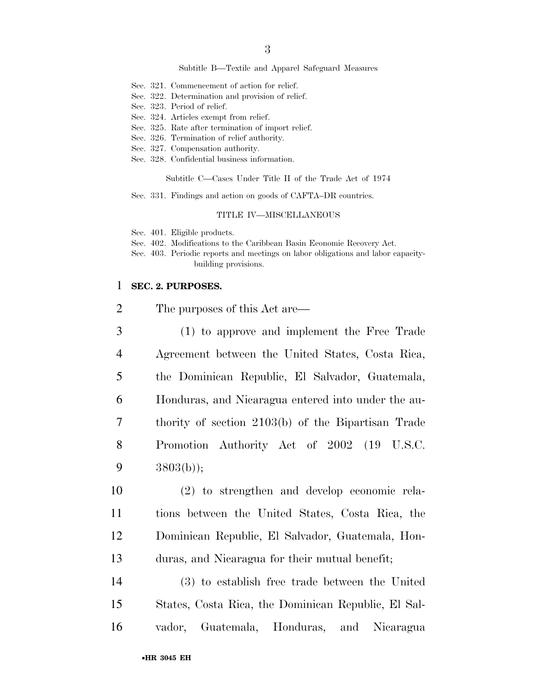#### Subtitle B—Textile and Apparel Safeguard Measures

- Sec. 321. Commencement of action for relief.
- Sec. 322. Determination and provision of relief.
- Sec. 323. Period of relief.
- Sec. 324. Articles exempt from relief.
- Sec. 325. Rate after termination of import relief.
- Sec. 326. Termination of relief authority.
- Sec. 327. Compensation authority.
- Sec. 328. Confidential business information.

Subtitle C—Cases Under Title II of the Trade Act of 1974

Sec. 331. Findings and action on goods of CAFTA–DR countries.

#### TITLE IV—MISCELLANEOUS

Sec. 401. Eligible products.

- Sec. 402. Modifications to the Caribbean Basin Economic Recovery Act.
- Sec. 403. Periodic reports and meetings on labor obligations and labor capacitybuilding provisions.

## 1 **SEC. 2. PURPOSES.**

- 2 The purposes of this Act are— 3 (1) to approve and implement the Free Trade 4 Agreement between the United States, Costa Rica, 5 the Dominican Republic, El Salvador, Guatemala, 6 Honduras, and Nicaragua entered into under the au-7 thority of section 2103(b) of the Bipartisan Trade 8 Promotion Authority Act of 2002 (19 U.S.C. 9 3803(b));
	- 10 (2) to strengthen and develop economic rela-11 tions between the United States, Costa Rica, the 12 Dominican Republic, El Salvador, Guatemala, Hon-13 duras, and Nicaragua for their mutual benefit;
	- 14 (3) to establish free trade between the United 15 States, Costa Rica, the Dominican Republic, El Sal-16 vador, Guatemala, Honduras, and Nicaragua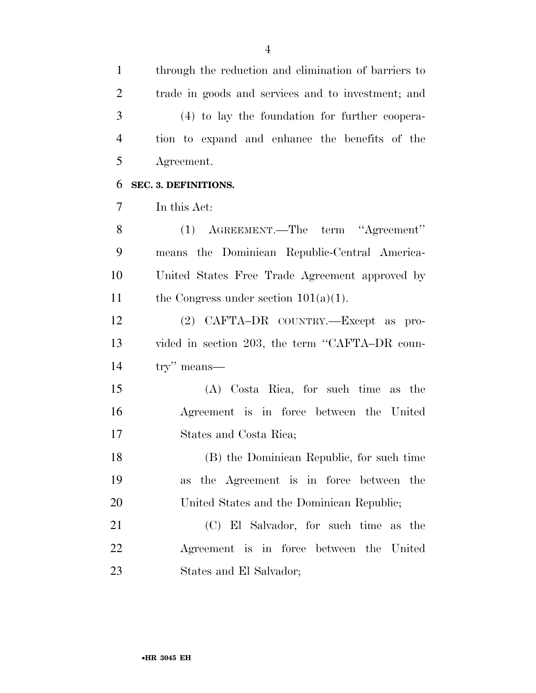through the reduction and elimination of barriers to

 trade in goods and services and to investment; and (4) to lay the foundation for further coopera- tion to expand and enhance the benefits of the Agreement. **SEC. 3. DEFINITIONS.**  In this Act: (1) AGREEMENT.—The term ''Agreement'' means the Dominican Republic-Central America- United States Free Trade Agreement approved by 11 the Congress under section  $101(a)(1)$ . (2) CAFTA–DR COUNTRY.—Except as pro-13 vided in section 203, the term "CAFTA–DR coun- try'' means— (A) Costa Rica, for such time as the Agreement is in force between the United States and Costa Rica; (B) the Dominican Republic, for such time as the Agreement is in force between the 20 United States and the Dominican Republic; (C) El Salvador, for such time as the Agreement is in force between the United States and El Salvador;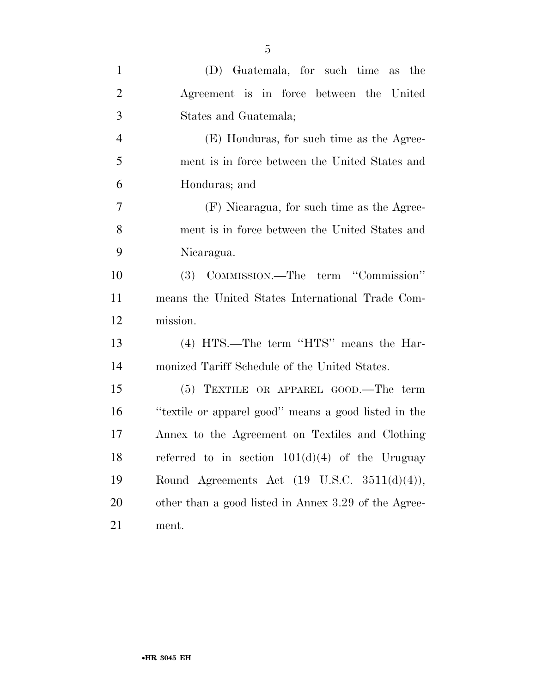| $\mathbf{1}$   | (D) Guatemala, for such time as the                     |
|----------------|---------------------------------------------------------|
| $\overline{2}$ | Agreement is in force between the United                |
| 3              | States and Guatemala;                                   |
| $\overline{4}$ | (E) Honduras, for such time as the Agree-               |
| 5              | ment is in force between the United States and          |
| 6              | Honduras; and                                           |
| $\overline{7}$ | (F) Nicaragua, for such time as the Agree-              |
| 8              | ment is in force between the United States and          |
| 9              | Nicaragua.                                              |
| 10             | (3) COMMISSION.—The term "Commission"                   |
| 11             | means the United States International Trade Com-        |
| 12             | mission.                                                |
| 13             | (4) HTS.—The term "HTS" means the Har-                  |
| 14             | monized Tariff Schedule of the United States.           |
| 15             | $(5)$ TEXTILE OR APPAREL GOOD.—The term                 |
| 16             | "textile or apparel good" means a good listed in the    |
| 17             | Annex to the Agreement on Textiles and Clothing         |
| 18             | referred to in section $101(d)(4)$ of the Uruguay       |
| 19             | Round Agreements Act $(19 \text{ U.S.C. } 3511(d)(4)),$ |
| 20             | other than a good listed in Annex 3.29 of the Agree-    |
| 21             | ment.                                                   |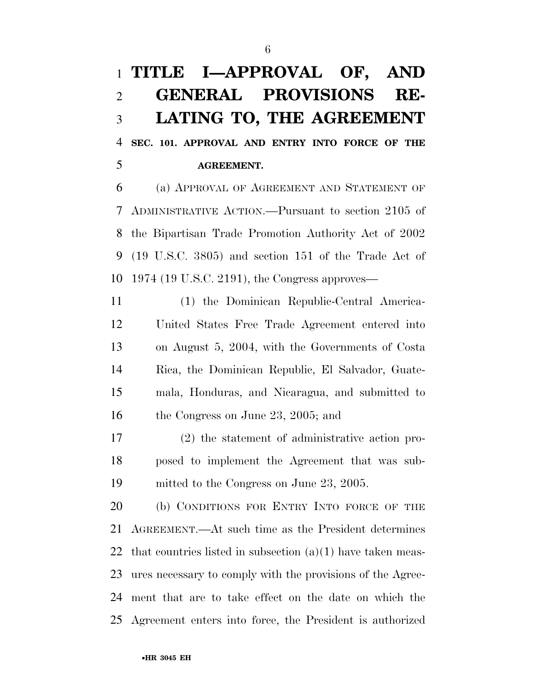## **TITLE I—APPROVAL OF, AND GENERAL PROVISIONS RE- LATING TO, THE AGREEMENT SEC. 101. APPROVAL AND ENTRY INTO FORCE OF THE AGREEMENT.**

 (a) APPROVAL OF AGREEMENT AND STATEMENT OF ADMINISTRATIVE ACTION.—Pursuant to section 2105 of the Bipartisan Trade Promotion Authority Act of 2002 (19 U.S.C. 3805) and section 151 of the Trade Act of 1974 (19 U.S.C. 2191), the Congress approves—

 (1) the Dominican Republic-Central America- United States Free Trade Agreement entered into on August 5, 2004, with the Governments of Costa Rica, the Dominican Republic, El Salvador, Guate- mala, Honduras, and Nicaragua, and submitted to the Congress on June 23, 2005; and

 (2) the statement of administrative action pro- posed to implement the Agreement that was sub-mitted to the Congress on June 23, 2005.

 (b) CONDITIONS FOR ENTRY INTO FORCE OF THE AGREEMENT.—At such time as the President determines 22 that countries listed in subsection  $(a)(1)$  have taken meas- ures necessary to comply with the provisions of the Agree- ment that are to take effect on the date on which the Agreement enters into force, the President is authorized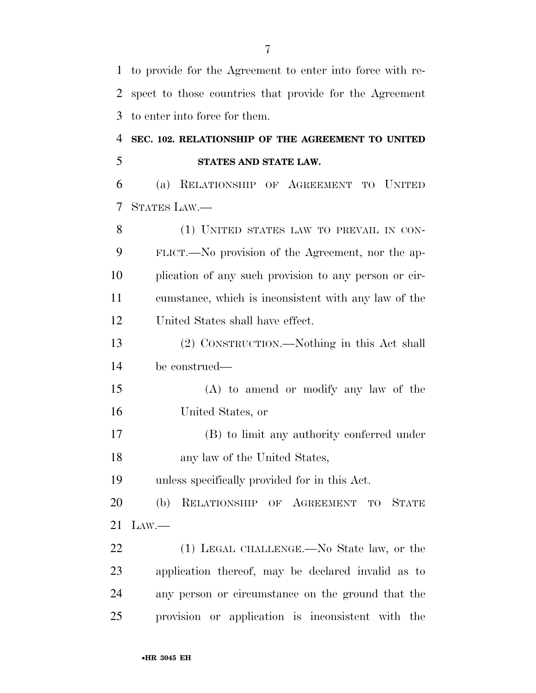to provide for the Agreement to enter into force with re- spect to those countries that provide for the Agreement to enter into force for them. **SEC. 102. RELATIONSHIP OF THE AGREEMENT TO UNITED STATES AND STATE LAW.**  (a) RELATIONSHIP OF AGREEMENT TO UNITED STATES LAW.— 8 (1) UNITED STATES LAW TO PREVAIL IN CON- FLICT.—No provision of the Agreement, nor the ap- plication of any such provision to any person or cir- cumstance, which is inconsistent with any law of the United States shall have effect. (2) CONSTRUCTION.—Nothing in this Act shall be construed— (A) to amend or modify any law of the United States, or (B) to limit any authority conferred under any law of the United States, unless specifically provided for in this Act. (b) RELATIONSHIP OF AGREEMENT TO STATE LAW.— 22 (1) LEGAL CHALLENGE.—No State law, or the application thereof, may be declared invalid as to any person or circumstance on the ground that the provision or application is inconsistent with the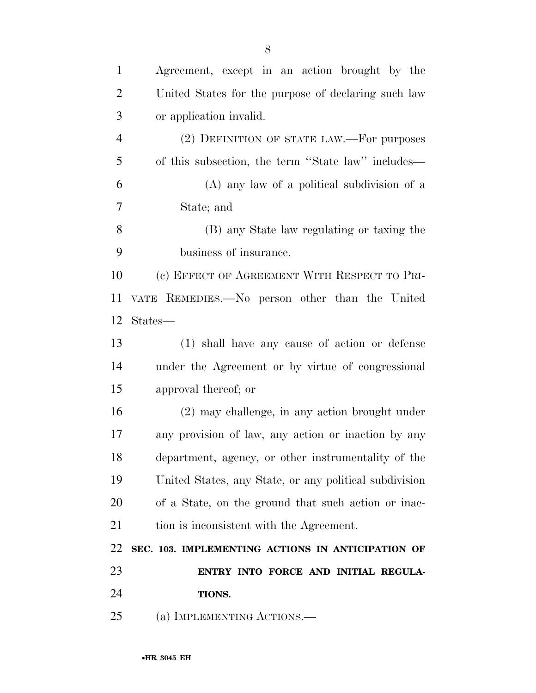| $\mathbf{1}$   | Agreement, except in an action brought by the          |
|----------------|--------------------------------------------------------|
| $\overline{2}$ | United States for the purpose of declaring such law    |
| 3              | or application invalid.                                |
| $\overline{4}$ | (2) DEFINITION OF STATE LAW.—For purposes              |
| 5              | of this subsection, the term "State law" includes—     |
| 6              | (A) any law of a political subdivision of a            |
| $\tau$         | State; and                                             |
| 8              | (B) any State law regulating or taxing the             |
| 9              | business of insurance.                                 |
| 10             | (c) EFFECT OF AGREEMENT WITH RESPECT TO PRI-           |
| 11             | VATE REMEDIES. No person other than the United         |
| 12             | States—                                                |
| 13             | (1) shall have any cause of action or defense          |
| 14             | under the Agreement or by virtue of congressional      |
| 15             | approval thereof; or                                   |
| 16             | $(2)$ may challenge, in any action brought under       |
| 17             | any provision of law, any action or inaction by any    |
| 18             | department, agency, or other instrumentality of the    |
| 19             | United States, any State, or any political subdivision |
| 20             | of a State, on the ground that such action or inac-    |
| 21             | tion is inconsistent with the Agreement.               |
| 22             | SEC. 103. IMPLEMENTING ACTIONS IN ANTICIPATION OF      |
| 23             | ENTRY INTO FORCE AND INITIAL REGULA-                   |
| 24             | TIONS.                                                 |
| 25             | (a) IMPLEMENTING ACTIONS.—                             |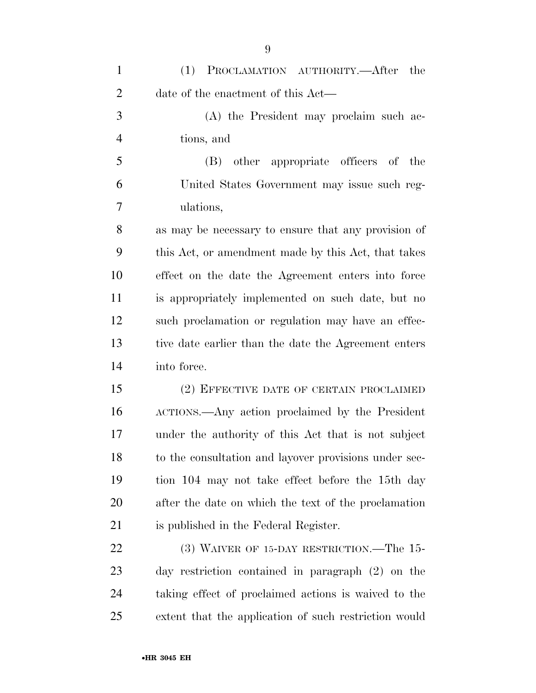| $\mathbf{1}$   | (1)<br>PROCLAMATION AUTHORITY.—After<br>the           |
|----------------|-------------------------------------------------------|
| $\overline{2}$ | date of the enactment of this Act—                    |
| 3              | (A) the President may proclaim such ac-               |
| $\overline{4}$ | tions, and                                            |
| 5              | other appropriate officers of the<br>(B)              |
| 6              | United States Government may issue such reg-          |
| 7              | ulations,                                             |
| 8              | as may be necessary to ensure that any provision of   |
| 9              | this Act, or amendment made by this Act, that takes   |
| 10             | effect on the date the Agreement enters into force    |
| 11             | is appropriately implemented on such date, but no     |
| 12             | such proclamation or regulation may have an effec-    |
| 13             | tive date earlier than the date the Agreement enters  |
| 14             | into force.                                           |
| 15             | (2) EFFECTIVE DATE OF CERTAIN PROCLAIMED              |
| 16             | ACTIONS.—Any action proclaimed by the President       |
| 17             | under the authority of this Act that is not subject   |
| 18             | to the consultation and layover provisions under sec- |
| 19             | tion 104 may not take effect before the 15th day      |
| 20             | after the date on which the text of the proclamation  |
| 21             | is published in the Federal Register.                 |
| 22             | (3) WAIVER OF 15-DAY RESTRICTION.—The 15-             |
| 23             | day restriction contained in paragraph (2) on the     |
| 24             | taking effect of proclaimed actions is waived to the  |

extent that the application of such restriction would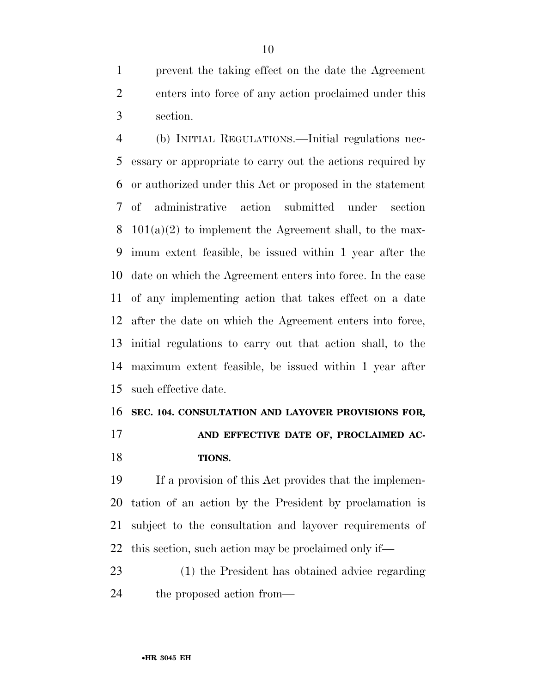prevent the taking effect on the date the Agreement enters into force of any action proclaimed under this section.

 (b) INITIAL REGULATIONS.—Initial regulations nec- essary or appropriate to carry out the actions required by or authorized under this Act or proposed in the statement of administrative action submitted under section  $101(a)(2)$  to implement the Agreement shall, to the max- imum extent feasible, be issued within 1 year after the date on which the Agreement enters into force. In the case of any implementing action that takes effect on a date after the date on which the Agreement enters into force, initial regulations to carry out that action shall, to the maximum extent feasible, be issued within 1 year after such effective date.

## **SEC. 104. CONSULTATION AND LAYOVER PROVISIONS FOR,**

 **AND EFFECTIVE DATE OF, PROCLAIMED AC-TIONS.** 

 If a provision of this Act provides that the implemen- tation of an action by the President by proclamation is subject to the consultation and layover requirements of this section, such action may be proclaimed only if—

 (1) the President has obtained advice regarding 24 the proposed action from—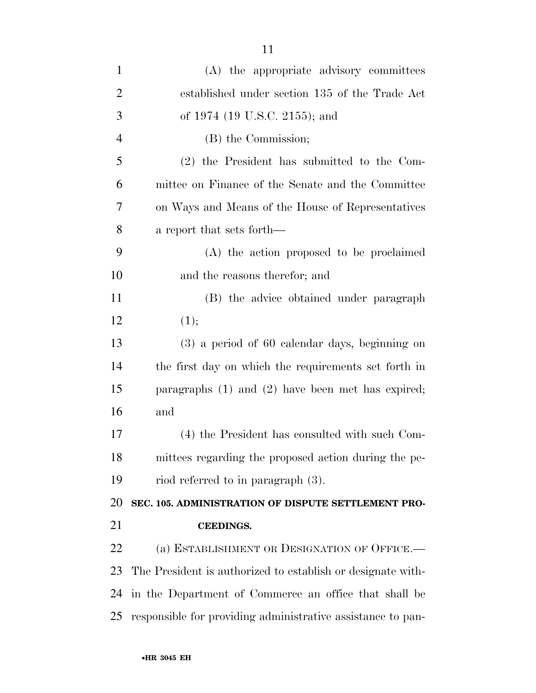| $\mathbf{1}$   | (A) the appropriate advisory committees                     |
|----------------|-------------------------------------------------------------|
| $\overline{2}$ | established under section 135 of the Trade Act              |
| 3              | of 1974 (19 U.S.C. 2155); and                               |
| $\overline{4}$ | (B) the Commission;                                         |
| 5              | (2) the President has submitted to the Com-                 |
| 6              | mittee on Finance of the Senate and the Committee           |
| 7              | on Ways and Means of the House of Representatives           |
| 8              | a report that sets forth—                                   |
| 9              | (A) the action proposed to be proclaimed                    |
| 10             | and the reasons therefor; and                               |
| 11             | (B) the advice obtained under paragraph                     |
| 12             | (1);                                                        |
| 13             | $(3)$ a period of 60 calendar days, beginning on            |
| 14             | the first day on which the requirements set forth in        |
| 15             | paragraphs $(1)$ and $(2)$ have been met has expired;       |
| 16             | and                                                         |
| 17             | (4) the President has consulted with such Com-              |
| 18             | mittees regarding the proposed action during the pe-        |
| 19             | riod referred to in paragraph (3).                          |
| 20             | SEC. 105. ADMINISTRATION OF DISPUTE SETTLEMENT PRO-         |
| 21             | <b>CEEDINGS.</b>                                            |
| 22             | (a) ESTABLISHMENT OR DESIGNATION OF OFFICE.                 |
| 23             | The President is authorized to establish or designate with- |
| 24             | in the Department of Commerce an office that shall be       |
| 25             | responsible for providing administrative assistance to pan- |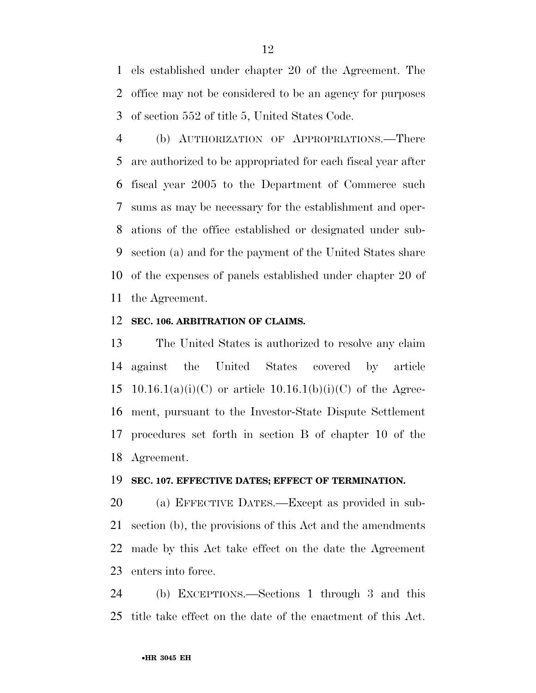els established under chapter 20 of the Agreement. The office may not be considered to be an agency for purposes of section 552 of title 5, United States Code.

 (b) AUTHORIZATION OF APPROPRIATIONS.—There are authorized to be appropriated for each fiscal year after fiscal year 2005 to the Department of Commerce such sums as may be necessary for the establishment and oper- ations of the office established or designated under sub- section (a) and for the payment of the United States share of the expenses of panels established under chapter 20 of the Agreement.

## **SEC. 106. ARBITRATION OF CLAIMS.**

 The United States is authorized to resolve any claim against the United States covered by article 15 10.16.1(a)(i)(C) or article 10.16.1(b)(i)(C) of the Agree- ment, pursuant to the Investor-State Dispute Settlement procedures set forth in section B of chapter 10 of the Agreement.

## **SEC. 107. EFFECTIVE DATES; EFFECT OF TERMINATION.**

 (a) EFFECTIVE DATES.—Except as provided in sub- section (b), the provisions of this Act and the amendments made by this Act take effect on the date the Agreement enters into force.

 (b) EXCEPTIONS.—Sections 1 through 3 and this title take effect on the date of the enactment of this Act.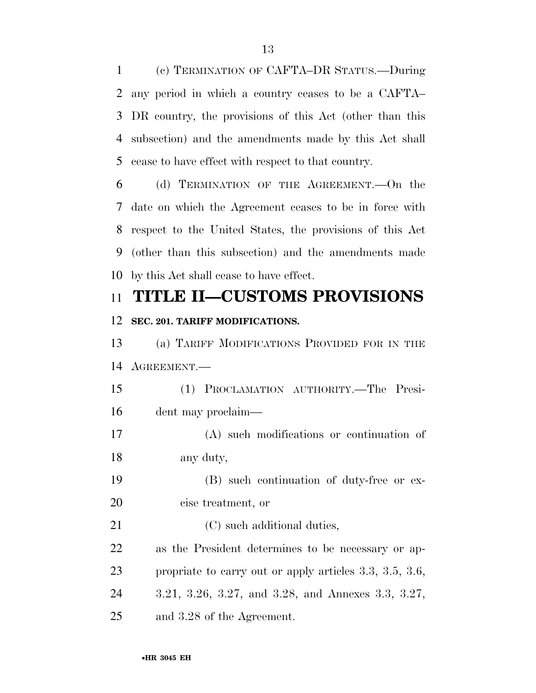(c) TERMINATION OF CAFTA–DR STATUS.—During any period in which a country ceases to be a CAFTA– DR country, the provisions of this Act (other than this subsection) and the amendments made by this Act shall cease to have effect with respect to that country.

 (d) TERMINATION OF THE AGREEMENT.—On the date on which the Agreement ceases to be in force with respect to the United States, the provisions of this Act (other than this subsection) and the amendments made by this Act shall cease to have effect.

## **TITLE II—CUSTOMS PROVISIONS**

## **SEC. 201. TARIFF MODIFICATIONS.**

 (a) TARIFF MODIFICATIONS PROVIDED FOR IN THE AGREEMENT.—

 (1) PROCLAMATION AUTHORITY.—The Presi-dent may proclaim—

 (A) such modifications or continuation of any duty,

 (B) such continuation of duty-free or ex-cise treatment, or

21 (C) such additional duties, as the President determines to be necessary or ap- propriate to carry out or apply articles 3.3, 3.5, 3.6, 3.21, 3.26, 3.27, and 3.28, and Annexes 3.3, 3.27,

and 3.28 of the Agreement.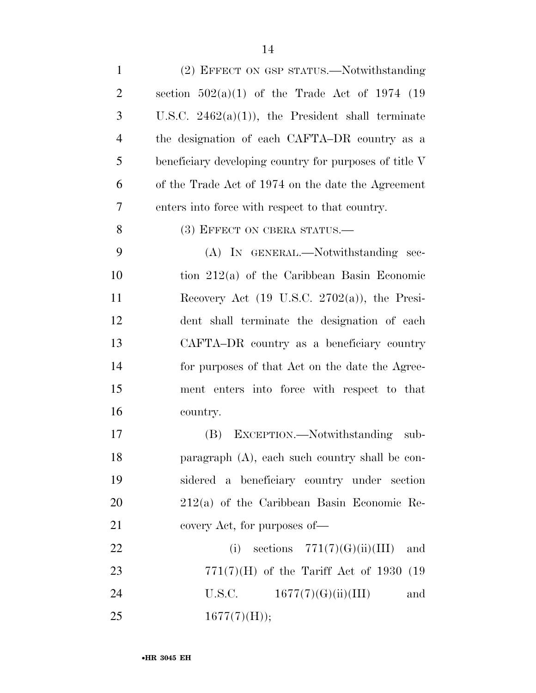| $\mathbf{1}$   | (2) EFFECT ON GSP STATUS.—Notwithstanding                |
|----------------|----------------------------------------------------------|
| $\overline{2}$ | section $502(a)(1)$ of the Trade Act of 1974 (19         |
| 3              | U.S.C. $2462(a)(1)$ , the President shall terminate      |
| $\overline{4}$ | the designation of each CAFTA-DR country as a            |
| 5              | beneficiary developing country for purposes of title V   |
| 6              | of the Trade Act of 1974 on the date the Agreement       |
| 7              | enters into force with respect to that country.          |
| 8              | (3) EFFECT ON CBERA STATUS.—                             |
| 9              | (A) IN GENERAL.—Notwithstanding sec-                     |
| 10             | tion $212(a)$ of the Caribbean Basin Economic            |
| 11             | Recovery Act $(19 \text{ U.S.C. } 2702(a))$ , the Presi- |
| 12             | dent shall terminate the designation of each             |
| 13             | CAFTA-DR country as a beneficiary country                |
| 14             | for purposes of that Act on the date the Agree-          |
| 15             | ment enters into force with respect to that              |
| 16             | country.                                                 |
| 17             | (B) EXCEPTION.—Notwithstanding<br>sub-                   |
| 18             | paragraph $(A)$ , each such country shall be con-        |
| 19             | sidered a beneficiary country under section              |
| 20             | $212(a)$ of the Caribbean Basin Economic Re-             |
| 21             | covery Act, for purposes of—                             |
| 22             | (i) sections $771(7)(G)(ii)(III)$<br>and                 |
| 23             | $771(7)$ (H) of the Tariff Act of 1930 (19               |
| 24             | U.S.C.<br>1677(7)(G)(ii)(III)<br>and                     |
| 25             | $1677(7)$ (H));                                          |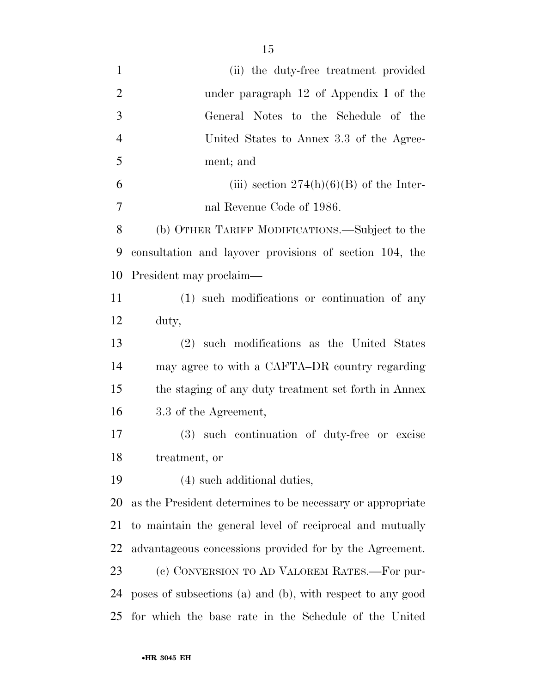| $\mathbf{1}$   | (ii) the duty-free treatment provided                      |
|----------------|------------------------------------------------------------|
| $\overline{2}$ | under paragraph $12$ of Appendix I of the                  |
| 3              | General Notes to the Schedule of the                       |
| $\overline{4}$ | United States to Annex 3.3 of the Agree-                   |
| 5              | ment; and                                                  |
| 6              | (iii) section $274(h)(6)(B)$ of the Inter-                 |
| 7              | nal Revenue Code of 1986.                                  |
| 8              | (b) OTHER TARIFF MODIFICATIONS.—Subject to the             |
| 9              | consultation and layover provisions of section 104, the    |
| 10             | President may proclaim—                                    |
| 11             | (1) such modifications or continuation of any              |
| 12             | duty,                                                      |
| 13             | (2) such modifications as the United States                |
| 14             | may agree to with a CAFTA-DR country regarding             |
| 15             | the staging of any duty treatment set forth in Annex       |
| 16             | 3.3 of the Agreement,                                      |
| 17             | (3) such continuation of duty-free or excise               |
| 18             | treatment, or                                              |
| 19             | (4) such additional duties,                                |
| 20             | as the President determines to be necessary or appropriate |
| 21             | to maintain the general level of reciprocal and mutually   |
| 22             | advantageous concessions provided for by the Agreement.    |
| 23             | (c) CONVERSION TO AD VALOREM RATES.-For pur-               |
| 24             | poses of subsections (a) and (b), with respect to any good |
| 25             | for which the base rate in the Schedule of the United      |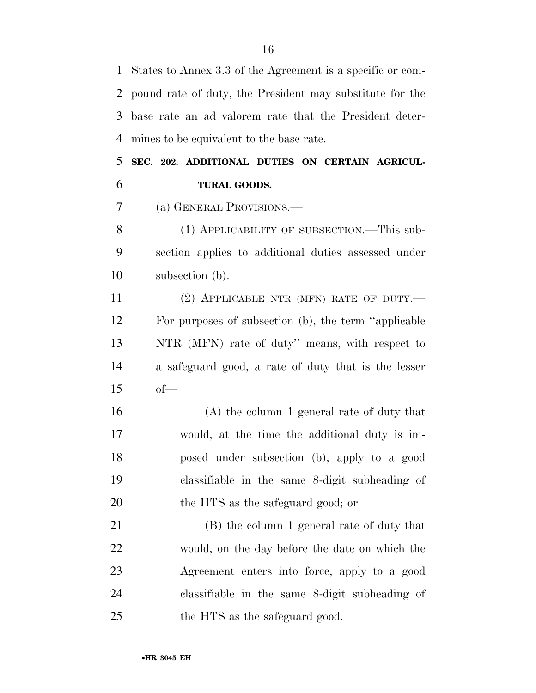States to Annex 3.3 of the Agreement is a specific or com- pound rate of duty, the President may substitute for the base rate an ad valorem rate that the President deter-mines to be equivalent to the base rate.

 **SEC. 202. ADDITIONAL DUTIES ON CERTAIN AGRICUL-TURAL GOODS.** 

(a) GENERAL PROVISIONS.—

8 (1) APPLICABILITY OF SUBSECTION.—This sub- section applies to additional duties assessed under subsection (b).

11 (2) APPLICABLE NTR (MFN) RATE OF DUTY.— For purposes of subsection (b), the term ''applicable NTR (MFN) rate of duty'' means, with respect to a safeguard good, a rate of duty that is the lesser of—

 (A) the column 1 general rate of duty that would, at the time the additional duty is im- posed under subsection (b), apply to a good classifiable in the same 8-digit subheading of the HTS as the safeguard good; or

 (B) the column 1 general rate of duty that would, on the day before the date on which the Agreement enters into force, apply to a good classifiable in the same 8-digit subheading of the HTS as the safeguard good.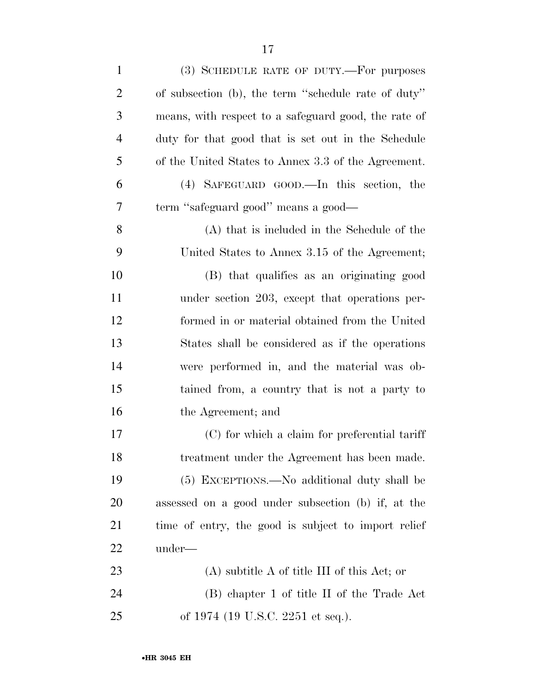| $\mathbf{1}$   | (3) SCHEDULE RATE OF DUTY.—For purposes              |
|----------------|------------------------------------------------------|
| $\overline{2}$ | of subsection (b), the term "schedule rate of duty"  |
| 3              | means, with respect to a safeguard good, the rate of |
| $\overline{4}$ | duty for that good that is set out in the Schedule   |
| 5              | of the United States to Annex 3.3 of the Agreement.  |
| 6              | (4) SAFEGUARD GOOD.—In this section, the             |
| 7              | term "safeguard good" means a good—                  |
| 8              | (A) that is included in the Schedule of the          |
| 9              | United States to Annex 3.15 of the Agreement;        |
| 10             | (B) that qualifies as an originating good            |
| 11             | under section 203, except that operations per-       |
| 12             | formed in or material obtained from the United       |
| 13             | States shall be considered as if the operations      |
| 14             | were performed in, and the material was ob-          |
| 15             | tained from, a country that is not a party to        |
| 16             | the Agreement; and                                   |
| 17             | (C) for which a claim for preferential tariff        |
| 18             | treatment under the Agreement has been made.         |
| 19             | (5) EXCEPTIONS.—No additional duty shall be          |
| <b>20</b>      | assessed on a good under subsection (b) if, at the   |
| 21             | time of entry, the good is subject to import relief  |
| 22             | under—                                               |
| 23             | $(A)$ subtitle A of title III of this Act; or        |
| 24             | (B) chapter 1 of title II of the Trade Act           |
| 25             | of 1974 (19 U.S.C. 2251 et seq.).                    |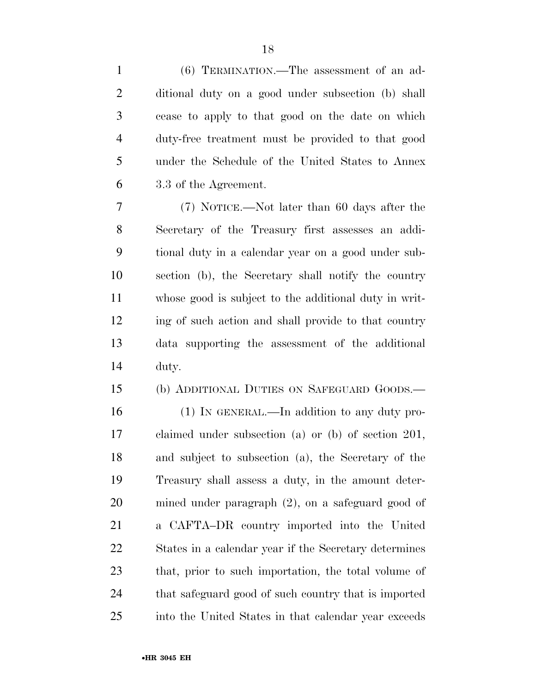(6) TERMINATION.—The assessment of an ad- ditional duty on a good under subsection (b) shall cease to apply to that good on the date on which duty-free treatment must be provided to that good under the Schedule of the United States to Annex 3.3 of the Agreement.

 (7) NOTICE.—Not later than 60 days after the Secretary of the Treasury first assesses an addi- tional duty in a calendar year on a good under sub- section (b), the Secretary shall notify the country whose good is subject to the additional duty in writ- ing of such action and shall provide to that country data supporting the assessment of the additional duty.

(b) ADDITIONAL DUTIES ON SAFEGUARD GOODS.—

 (1) IN GENERAL.—In addition to any duty pro- claimed under subsection (a) or (b) of section 201, and subject to subsection (a), the Secretary of the Treasury shall assess a duty, in the amount deter- mined under paragraph (2), on a safeguard good of a CAFTA–DR country imported into the United States in a calendar year if the Secretary determines that, prior to such importation, the total volume of that safeguard good of such country that is imported into the United States in that calendar year exceeds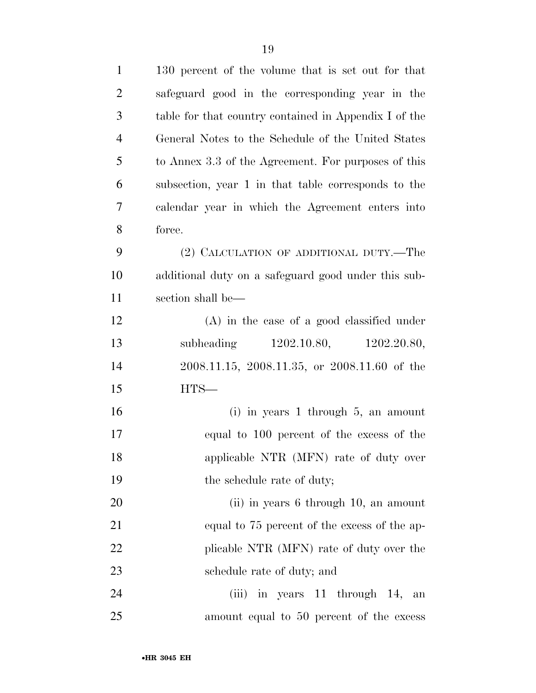| $\mathbf{1}$   | 130 percent of the volume that is set out for that    |
|----------------|-------------------------------------------------------|
| $\overline{2}$ | safeguard good in the corresponding year in the       |
| 3              | table for that country contained in Appendix I of the |
| $\overline{4}$ | General Notes to the Schedule of the United States    |
| 5              | to Annex 3.3 of the Agreement. For purposes of this   |
| 6              | subsection, year 1 in that table corresponds to the   |
| 7              | calendar year in which the Agreement enters into      |
| 8              | force.                                                |
| 9              | (2) CALCULATION OF ADDITIONAL DUTY.—The               |
| 10             | additional duty on a safeguard good under this sub-   |
| 11             | section shall be—                                     |
| 12             | $(A)$ in the case of a good classified under          |
| 13             | 1202.10.80, 1202.20.80,<br>subheading                 |
| 14             | 2008.11.15, 2008.11.35, or 2008.11.60 of the          |
| 15             | $HTS-$                                                |
| 16             | $(i)$ in years 1 through 5, an amount                 |
| 17             | equal to 100 percent of the excess of the             |
| 18             | applicable NTR (MFN) rate of duty over                |
| 19             | the schedule rate of duty;                            |
| 20             | (ii) in years 6 through 10, an amount                 |
| 21             | equal to 75 percent of the excess of the ap-          |
| 22             | plicable NTR (MFN) rate of duty over the              |
| 23             | schedule rate of duty; and                            |
| 24             | (iii) in years 11 through 14, an                      |
| 25             | amount equal to 50 percent of the excess              |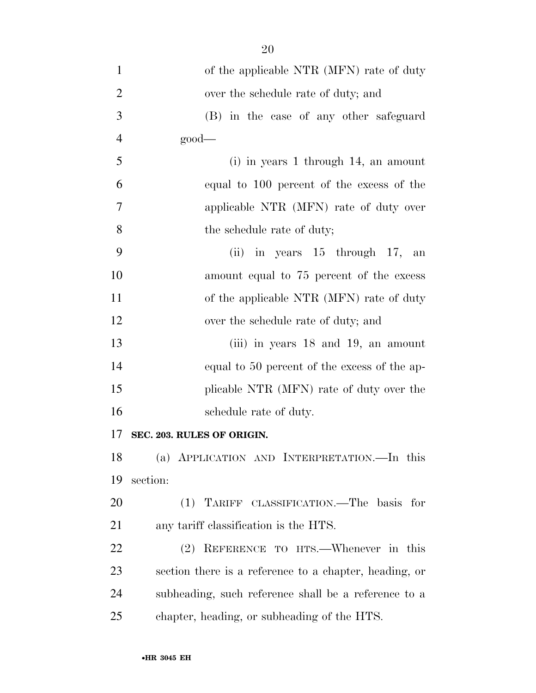| $\mathbf{1}$   | of the applicable NTR (MFN) rate of duty               |
|----------------|--------------------------------------------------------|
| $\overline{2}$ | over the schedule rate of duty; and                    |
| 3              | (B) in the case of any other safeguard                 |
| $\overline{4}$ | $\text{good}$                                          |
| 5              | $(i)$ in years 1 through 14, an amount                 |
| 6              | equal to 100 percent of the excess of the              |
| 7              | applicable NTR (MFN) rate of duty over                 |
| 8              | the schedule rate of duty;                             |
| 9              | (ii) in years $15$ through $17$ , an                   |
| 10             | amount equal to 75 percent of the excess               |
| 11             | of the applicable NTR (MFN) rate of duty               |
| 12             | over the schedule rate of duty; and                    |
| 13             | (iii) in years $18$ and $19$ , an amount               |
| 14             | equal to 50 percent of the excess of the ap-           |
| 15             | plicable NTR (MFN) rate of duty over the               |
| 16             | schedule rate of duty.                                 |
| 17             | SEC. 203. RULES OF ORIGIN.                             |
| 18             | (a) APPLICATION AND INTERPRETATION.—In this            |
| 19             | section:                                               |
| 20             | (1) TARIFF CLASSIFICATION.—The basis for               |
| 21             | any tariff classification is the HTS.                  |
| 22             | (2) REFERENCE TO HTS.—Whenever in this                 |
| 23             | section there is a reference to a chapter, heading, or |
| 24             | subheading, such reference shall be a reference to a   |
| 25             | chapter, heading, or subheading of the HTS.            |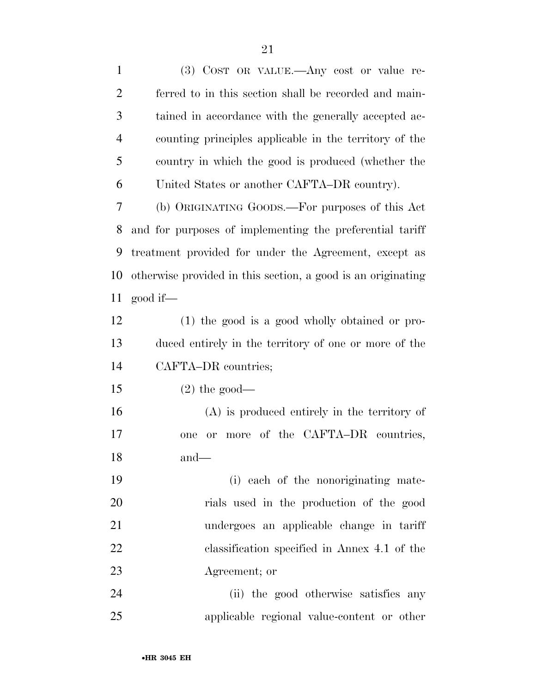(3) COST OR VALUE.—Any cost or value re- ferred to in this section shall be recorded and main- tained in accordance with the generally accepted ac- counting principles applicable in the territory of the country in which the good is produced (whether the United States or another CAFTA–DR country). (b) ORIGINATING GOODS.—For purposes of this Act

 and for purposes of implementing the preferential tariff treatment provided for under the Agreement, except as otherwise provided in this section, a good is an originating good if—

 (1) the good is a good wholly obtained or pro- duced entirely in the territory of one or more of the CAFTA–DR countries;

 $15 \t(2)$  the good—

 (A) is produced entirely in the territory of one or more of the CAFTA–DR countries, and—

 (i) each of the nonoriginating mate- rials used in the production of the good undergoes an applicable change in tariff classification specified in Annex 4.1 of the Agreement; or

 (ii) the good otherwise satisfies any applicable regional value-content or other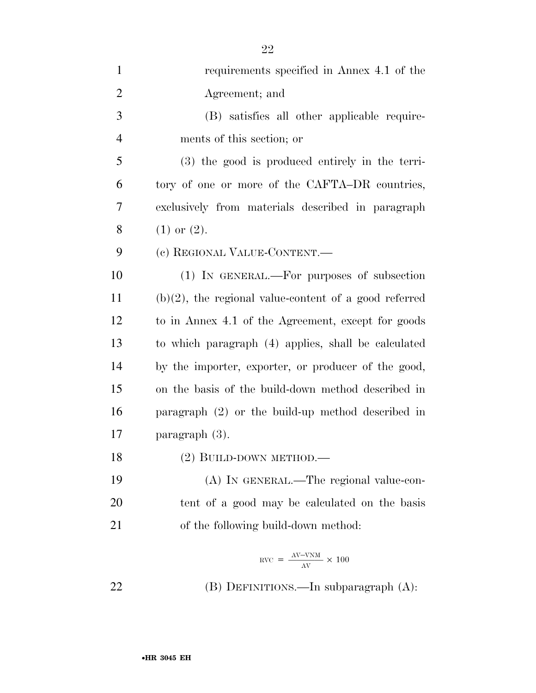| $\mathbf{1}$   | requirements specified in Annex 4.1 of the               |
|----------------|----------------------------------------------------------|
| $\overline{2}$ | Agreement; and                                           |
| 3              | (B) satisfies all other applicable require-              |
| $\overline{4}$ | ments of this section; or                                |
| 5              | (3) the good is produced entirely in the terri-          |
| 6              | tory of one or more of the CAFTA-DR countries,           |
| 7              | exclusively from materials described in paragraph        |
| 8              | $(1)$ or $(2)$ .                                         |
| 9              | (c) REGIONAL VALUE-CONTENT.                              |
| 10             | (1) IN GENERAL.—For purposes of subsection               |
| 11             | $(b)(2)$ , the regional value-content of a good referred |
| 12             | to in Annex 4.1 of the Agreement, except for goods       |
| 13             | to which paragraph (4) applies, shall be calculated      |
| 14             | by the importer, exporter, or producer of the good,      |
| 15             | on the basis of the build-down method described in       |
| 16             | paragraph $(2)$ or the build-up method described in      |
| 17             | paragraph $(3)$ .                                        |
| 18             | $(2)$ BUILD-DOWN METHOD.—                                |
| 19             | (A) IN GENERAL.—The regional value-con-                  |
| 20             | tent of a good may be calculated on the basis            |
| 21             | of the following build-down method:                      |
|                | $NVC = \frac{AV-VNM}{AV} \times 100$                     |
| 22             | (B) DEFINITIONS.—In subparagraph (A):                    |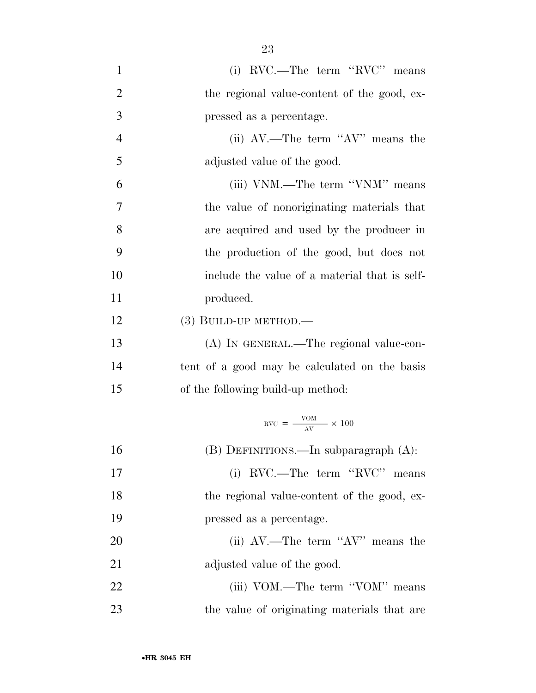| $\mathbf{1}$   | (i) RVC.—The term "RVC" means                                |
|----------------|--------------------------------------------------------------|
| $\overline{2}$ | the regional value-content of the good, ex-                  |
| 3              | pressed as a percentage.                                     |
| $\overline{4}$ | (ii) $AV$ .—The term " $AV$ " means the                      |
| 5              | adjusted value of the good.                                  |
| 6              | (iii) VNM.—The term "VNM" means                              |
| 7              | the value of nonoriginating materials that                   |
| 8              | are acquired and used by the producer in                     |
| 9              | the production of the good, but does not                     |
| 10             | include the value of a material that is self-                |
| 11             | produced.                                                    |
| 12             | (3) BUILD-UP METHOD.-                                        |
| 13             | (A) IN GENERAL.—The regional value-con-                      |
| 14             | tent of a good may be calculated on the basis                |
| 15             | of the following build-up method:                            |
|                | $\text{RVC} = \frac{\text{VOM}}{\Delta \text{V}} \times 100$ |
| 16             | (B) DEFINITIONS.—In subparagraph (A):                        |
| 17             | (i) RVC.—The term "RVC" means                                |
| 18             | the regional value-content of the good, ex-                  |
| 19             | pressed as a percentage.                                     |
| 20             | (ii) $AV$ .—The term " $AV$ " means the                      |
| 21             | adjusted value of the good.                                  |
| 22             | (iii) VOM.—The term "VOM" means                              |
| 23             | the value of originating materials that are                  |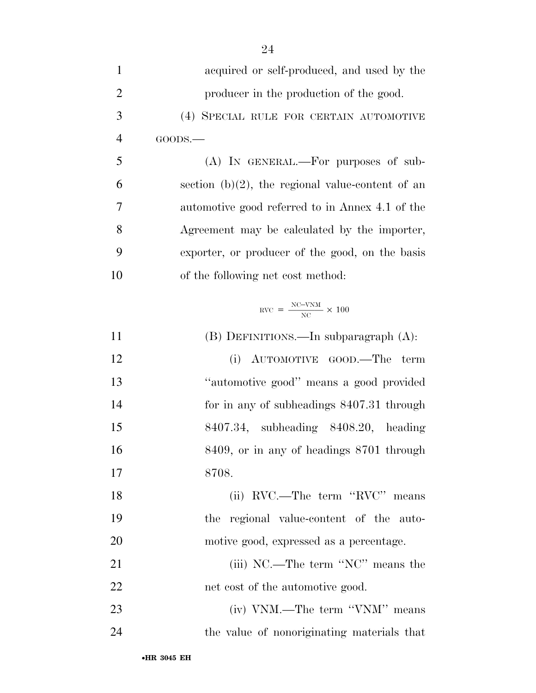| $\mathbf{1}$   | acquired or self-produced, and used by the                |
|----------------|-----------------------------------------------------------|
| $\overline{2}$ | producer in the production of the good.                   |
| 3              | (4) SPECIAL RULE FOR CERTAIN AUTOMOTIVE                   |
| $\overline{4}$ | GOODS.                                                    |
| 5              | (A) IN GENERAL.—For purposes of sub-                      |
| 6              | section $(b)(2)$ , the regional value-content of an       |
| 7              | automotive good referred to in Annex 4.1 of the           |
| 8              | Agreement may be calculated by the importer,              |
| 9              | exporter, or producer of the good, on the basis           |
| 10             | of the following net cost method:                         |
|                | $\text{RVC} = \frac{\text{NC-VNM}}{\text{NC}} \times 100$ |
| 11             | $(B)$ DEFINITIONS.—In subparagraph $(A)$ :                |
| 12             | AUTOMOTIVE GOOD.—The<br>(i)<br>term                       |
| 13             | "automotive good" means a good provided                   |
| 14             | for in any of subheadings 8407.31 through                 |
| 15             | 8407.34, subheading 8408.20, heading                      |
| 16             | 8409, or in any of headings 8701 through                  |
| 17             | 8708.                                                     |
| 18             | (ii) RVC.—The term "RVC" means                            |
| 19             | the regional value-content of the auto-                   |
| 20             | motive good, expressed as a percentage.                   |
| 21             | (iii) NC.—The term "NC" means the                         |
| 22             | net cost of the automotive good.                          |
| 23             | (iv) VNM.—The term "VNM" means                            |
| 24             | the value of nonoriginating materials that                |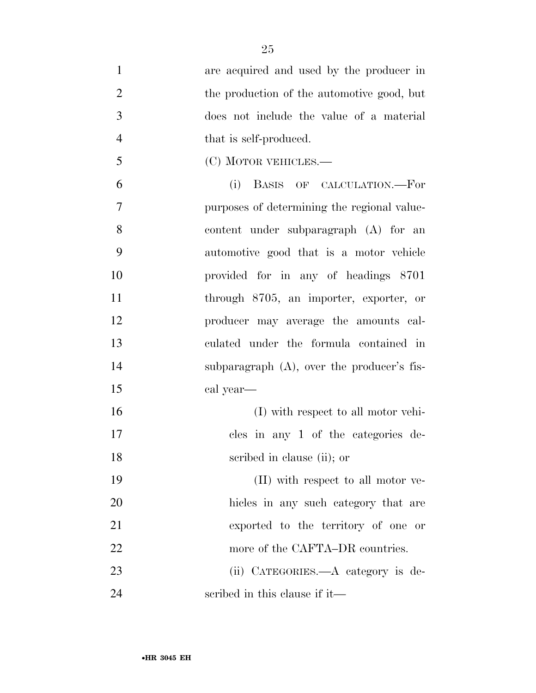are acquired and used by the producer in 2 the production of the automotive good, but does not include the value of a material 4 that is self-produced. (C) MOTOR VEHICLES.— (i) BASIS OF CALCULATION.—For purposes of determining the regional value- content under subparagraph (A) for an automotive good that is a motor vehicle provided for in any of headings 8701 through 8705, an importer, exporter, or producer may average the amounts cal- culated under the formula contained in subparagraph (A), over the producer's fis- cal year— (I) with respect to all motor vehi- cles in any 1 of the categories de- scribed in clause (ii); or (II) with respect to all motor ve- hicles in any such category that are exported to the territory of one or 22 more of the CAFTA–DR countries. 23 (ii) CATEGORIES.—A category is de-scribed in this clause if it—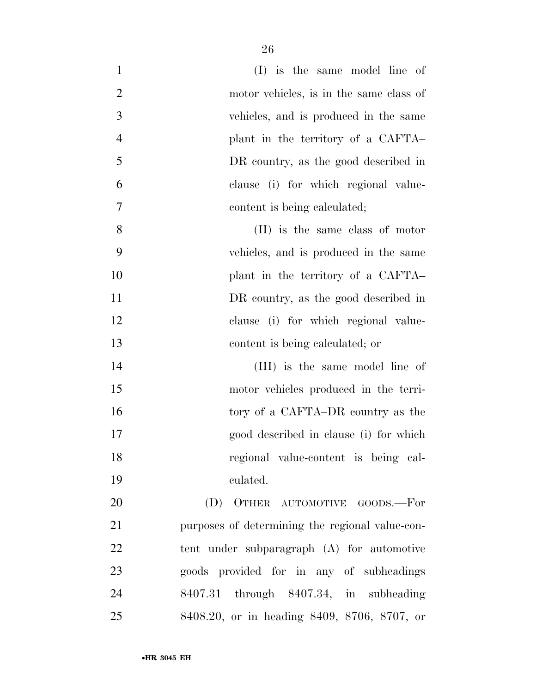| $\mathbf{1}$   | $(I)$ is the same model line of                 |
|----------------|-------------------------------------------------|
| $\overline{2}$ | motor vehicles, is in the same class of         |
| 3              | vehicles, and is produced in the same           |
| $\overline{4}$ | plant in the territory of a CAFTA-              |
| 5              | DR country, as the good described in            |
| 6              | clause (i) for which regional value-            |
| $\tau$         | content is being calculated;                    |
| 8              | (II) is the same class of motor                 |
| 9              | vehicles, and is produced in the same           |
| 10             | plant in the territory of a CAFTA-              |
| 11             | DR country, as the good described in            |
| 12             | clause (i) for which regional value-            |
| 13             | content is being calculated; or                 |
| 14             | (III) is the same model line of                 |
| 15             | motor vehicles produced in the terri-           |
| 16             | tory of a CAFTA–DR country as the               |
| 17             | good described in clause (i) for which          |
| 18             | regional value-content is being cal-            |
| 19             | culated.                                        |
| 20             | (D) OTHER AUTOMOTIVE GOODS.-For                 |
| 21             | purposes of determining the regional value-con- |
| 22             | tent under subparagraph (A) for automotive      |
| 23             | goods provided for in any of subheadings        |
| 24             | 8407.31 through 8407.34, in subheading          |
| 25             | 8408.20, or in heading 8409, 8706, 8707, or     |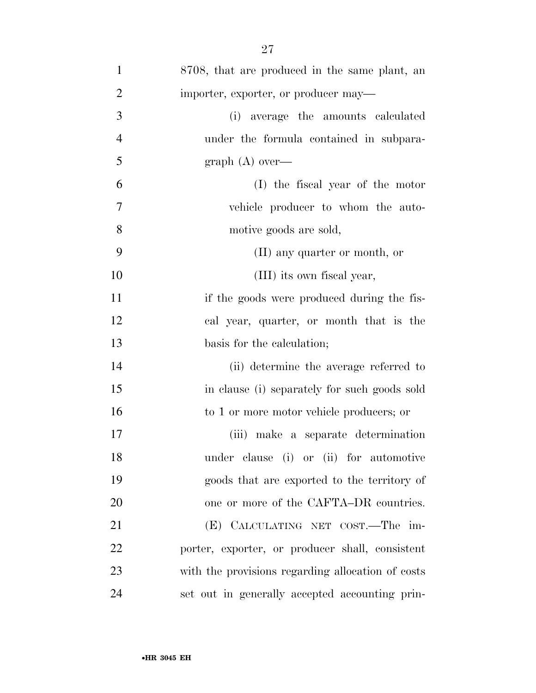| $\mathbf{1}$   | 8708, that are produced in the same plant, an     |
|----------------|---------------------------------------------------|
| $\overline{2}$ | importer, exporter, or producer may—              |
| 3              | (i) average the amounts calculated                |
| $\overline{4}$ | under the formula contained in subpara-           |
| 5              | graph $(A)$ over—                                 |
| 6              | (I) the fiscal year of the motor                  |
| 7              | vehicle producer to whom the auto-                |
| 8              | motive goods are sold,                            |
| 9              | (II) any quarter or month, or                     |
| 10             | (III) its own fiscal year,                        |
| 11             | if the goods were produced during the fis-        |
| 12             | cal year, quarter, or month that is the           |
| 13             | basis for the calculation;                        |
| 14             | (ii) determine the average referred to            |
| 15             | in clause (i) separately for such goods sold      |
| 16             | to 1 or more motor vehicle producers; or          |
| 17             | make a separate determination<br>(iii)            |
| 18             | under clause (i) or (ii) for automotive           |
| 19             | goods that are exported to the territory of       |
| 20             | one or more of the CAFTA–DR countries.            |
| 21             | (E) CALCULATING NET COST.—The im-                 |
| 22             | porter, exporter, or producer shall, consistent   |
| 23             | with the provisions regarding allocation of costs |
| 24             | set out in generally accepted accounting prin-    |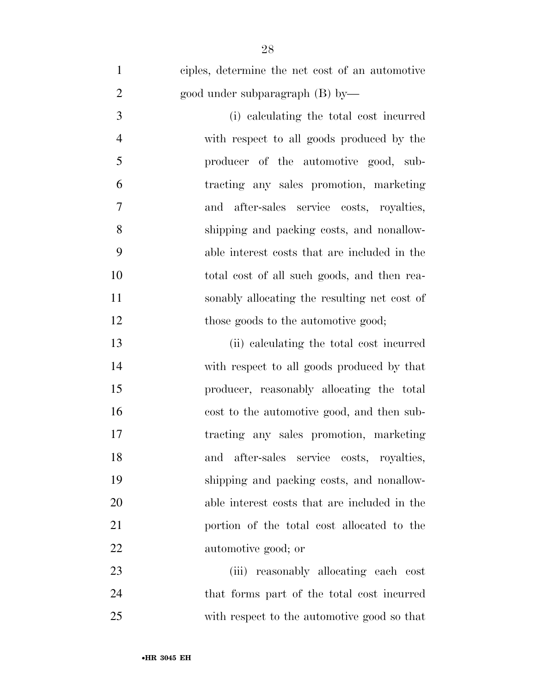ciples, determine the net cost of an automotive good under subparagraph (B) by—

 (i) calculating the total cost incurred with respect to all goods produced by the producer of the automotive good, sub- tracting any sales promotion, marketing and after-sales service costs, royalties, shipping and packing costs, and nonallow- able interest costs that are included in the total cost of all such goods, and then rea- sonably allocating the resulting net cost of 12 those goods to the automotive good;

 (ii) calculating the total cost incurred with respect to all goods produced by that producer, reasonably allocating the total cost to the automotive good, and then sub- tracting any sales promotion, marketing and after-sales service costs, royalties, shipping and packing costs, and nonallow- able interest costs that are included in the portion of the total cost allocated to the automotive good; or

 (iii) reasonably allocating each cost that forms part of the total cost incurred with respect to the automotive good so that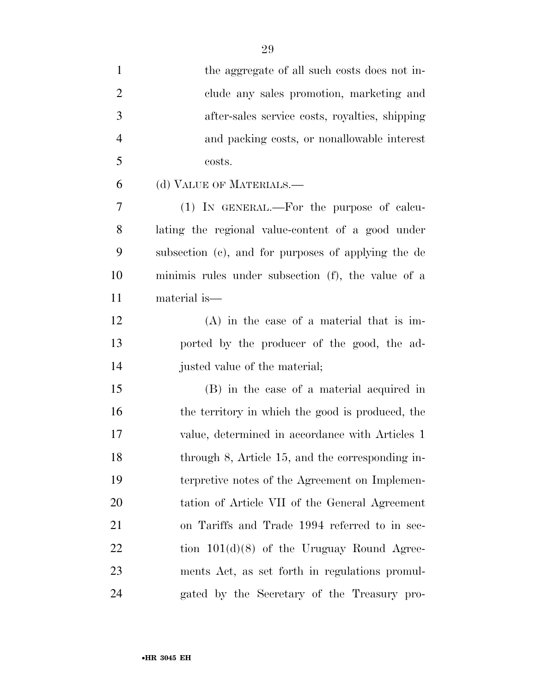| $\mathbf{1}$   | the aggregate of all such costs does not in-        |
|----------------|-----------------------------------------------------|
| $\overline{2}$ | clude any sales promotion, marketing and            |
| 3              | after-sales service costs, royalties, shipping      |
| $\overline{4}$ | and packing costs, or nonallowable interest         |
| 5              | costs.                                              |
| 6              | (d) VALUE OF MATERIALS.—                            |
| 7              | (1) IN GENERAL.—For the purpose of calcu-           |
| 8              | lating the regional value-content of a good under   |
| 9              | subsection (c), and for purposes of applying the de |
| 10             | minimis rules under subsection (f), the value of a  |
| 11             | material is—                                        |
| 12             | $(A)$ in the case of a material that is im-         |
| 13             | ported by the producer of the good, the ad-         |
| 14             | justed value of the material;                       |
| 15             | (B) in the case of a material acquired in           |
| 16             | the territory in which the good is produced, the    |
| 17             | value, determined in accordance with Articles 1     |
| 18             | through 8, Article 15, and the corresponding in-    |
| 19             | terpretive notes of the Agreement on Implemen-      |
| 20             | tation of Article VII of the General Agreement      |
| 21             | on Tariffs and Trade 1994 referred to in sec-       |
| 22             | tion $101(d)(8)$ of the Uruguay Round Agree-        |
| 23             | ments Act, as set forth in regulations promul-      |
| 24             | gated by the Secretary of the Treasury pro-         |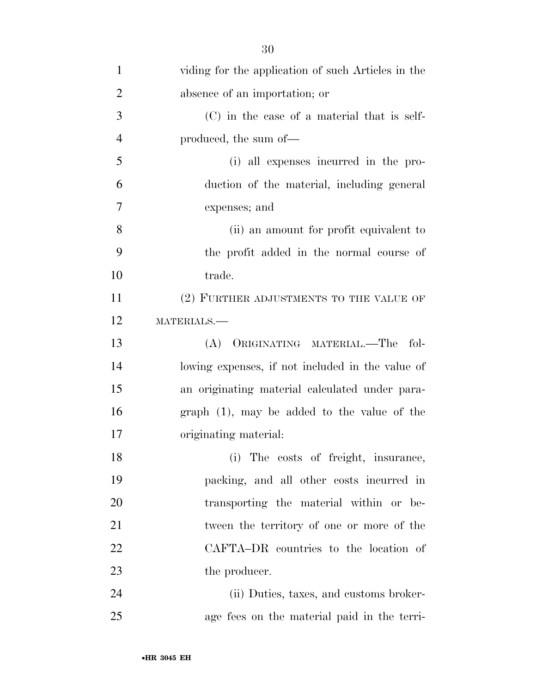| $\mathbf{1}$   | viding for the application of such Articles in the |
|----------------|----------------------------------------------------|
| $\overline{2}$ | absence of an importation; or                      |
| 3              | $(C)$ in the case of a material that is self-      |
| $\overline{4}$ | produced, the sum of—                              |
| 5              | (i) all expenses incurred in the pro-              |
| 6              | duction of the material, including general         |
| 7              | expenses; and                                      |
| 8              | (ii) an amount for profit equivalent to            |
| 9              | the profit added in the normal course of           |
| 10             | trade.                                             |
| 11             | (2) FURTHER ADJUSTMENTS TO THE VALUE OF            |
| 12             | MATERIALS.-                                        |
| 13             | ORIGINATING MATERIAL.—The<br>fol-<br>(A)           |
| 14             | lowing expenses, if not included in the value of   |
| 15             | an originating material calculated under para-     |
| 16             | $graph(1)$ , may be added to the value of the      |
| 17             | originating material:                              |
| 18             | (i) The costs of freight, insurance,               |
| 19             | packing, and all other costs incurred in           |
| 20             | transporting the material within or be-            |
| 21             | tween the territory of one or more of the          |
| 22             | CAFTA-DR countries to the location of              |
| 23             | the producer.                                      |
| 24             | (ii) Duties, taxes, and customs broker-            |
| 25             | age fees on the material paid in the terri-        |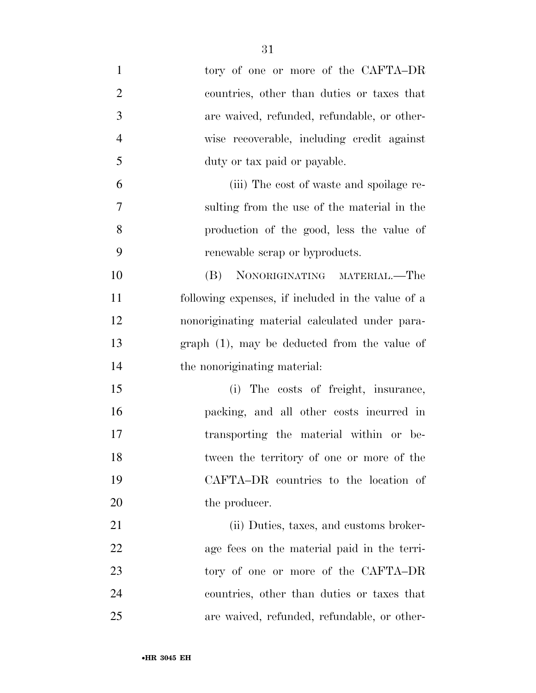| $\mathbf{1}$   | tory of one or more of the CAFTA-DR               |
|----------------|---------------------------------------------------|
| $\overline{2}$ | countries, other than duties or taxes that        |
| 3              | are waived, refunded, refundable, or other-       |
| $\overline{4}$ | wise recoverable, including credit against        |
| 5              | duty or tax paid or payable.                      |
| 6              | (iii) The cost of waste and spoilage re-          |
| 7              | sulting from the use of the material in the       |
| 8              | production of the good, less the value of         |
| 9              | renewable scrap or byproducts.                    |
| 10             | NONORIGINATING MATERIAL.—The<br>(B)               |
| 11             | following expenses, if included in the value of a |
| 12             | nonoriginating material calculated under para-    |
| 13             | $graph(1)$ , may be deducted from the value of    |
| 14             | the nonoriginating material:                      |
| 15             | (i) The costs of freight, insurance,              |
| 16             | packing, and all other costs incurred in          |
| 17             | transporting the material within or be-           |
| 18             | tween the territory of one or more of the         |
| 19             | CAFTA-DR countries to the location of             |
| 20             | the producer.                                     |
| 21             | (ii) Duties, taxes, and customs broker-           |
| 22             | age fees on the material paid in the terri-       |
| 23             | tory of one or more of the CAFTA-DR               |
| 24             | countries, other than duties or taxes that        |
| 25             | are waived, refunded, refundable, or other-       |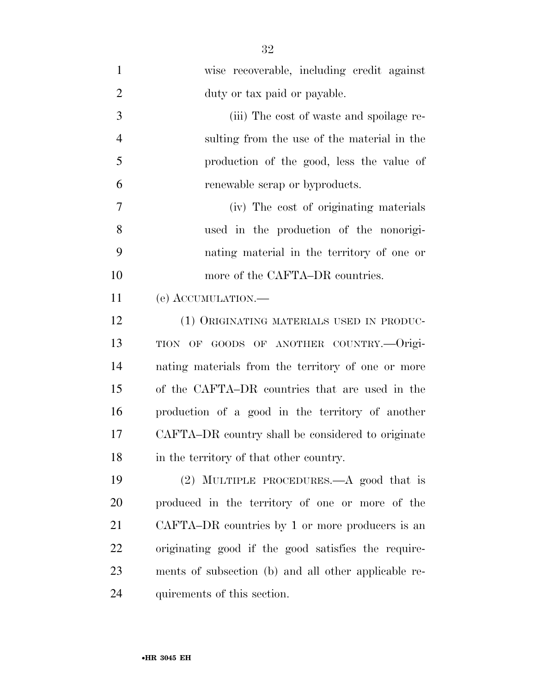| $\mathbf{1}$   | wise recoverable, including credit against           |
|----------------|------------------------------------------------------|
| $\overline{2}$ | duty or tax paid or payable.                         |
| 3              | (iii) The cost of waste and spoilage re-             |
| $\overline{4}$ | sulting from the use of the material in the          |
| 5              | production of the good, less the value of            |
| 6              | renewable scrap or byproducts.                       |
| 7              | (iv) The cost of originating materials               |
| 8              | used in the production of the nonorigi-              |
| 9              | nating material in the territory of one or           |
| 10             | more of the CAFTA-DR countries.                      |
| 11             | (e) ACCUMULATION.-                                   |
| 12             | (1) ORIGINATING MATERIALS USED IN PRODUC-            |
| 13             | TION OF GOODS OF ANOTHER COUNTRY.—Origi-             |
| 14             | nating materials from the territory of one or more   |
| 15             | of the CAFTA–DR countries that are used in the       |
| 16             | production of a good in the territory of another     |
| 17             | CAFTA–DR country shall be considered to originate    |
| 18             | in the territory of that other country.              |
| 19             | (2) MULTIPLE PROCEDURES.—A good that is              |
| 20             | produced in the territory of one or more of the      |
| 21             | CAFTA–DR countries by 1 or more producers is an      |
| 22             | originating good if the good satisfies the require-  |
| 23             | ments of subsection (b) and all other applicable re- |
| 24             | quirements of this section.                          |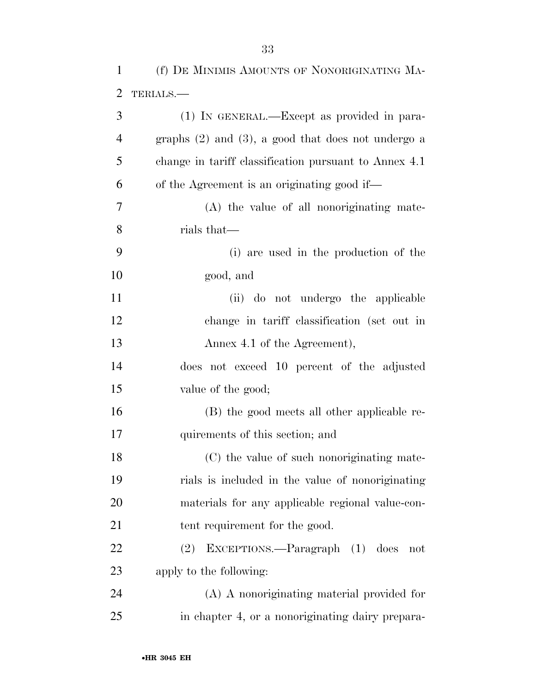| $\mathbf{1}$   | (f) DE MINIMIS AMOUNTS OF NONORIGINATING MA-            |
|----------------|---------------------------------------------------------|
| $\overline{2}$ | TERIALS.                                                |
| 3              | (1) IN GENERAL.—Except as provided in para-             |
| $\overline{4}$ | graphs $(2)$ and $(3)$ , a good that does not undergo a |
| 5              | change in tariff classification pursuant to Annex 4.1   |
| 6              | of the Agreement is an originating good if—             |
| 7              | (A) the value of all nonoriginating mate-               |
| 8              | rials that—                                             |
| 9              | (i) are used in the production of the                   |
| 10             | good, and                                               |
| 11             | (ii) do not undergo the applicable                      |
| 12             | change in tariff classification (set out in             |
| 13             | Annex 4.1 of the Agreement),                            |
| 14             | does not exceed 10 percent of the adjusted              |
| 15             | value of the good;                                      |
| 16             | (B) the good meets all other applicable re-             |
| 17             | quirements of this section; and                         |
| 18             | (C) the value of such nonoriginating mate-              |
| 19             | rials is included in the value of nonoriginating        |
| 20             | materials for any applicable regional value-con-        |
| 21             | tent requirement for the good.                          |
| 22             | (2) EXCEPTIONS.—Paragraph (1) does<br>not               |
| 23             | apply to the following:                                 |
| 24             | (A) A nonoriginating material provided for              |
| 25             | in chapter 4, or a nonoriginating dairy prepara-        |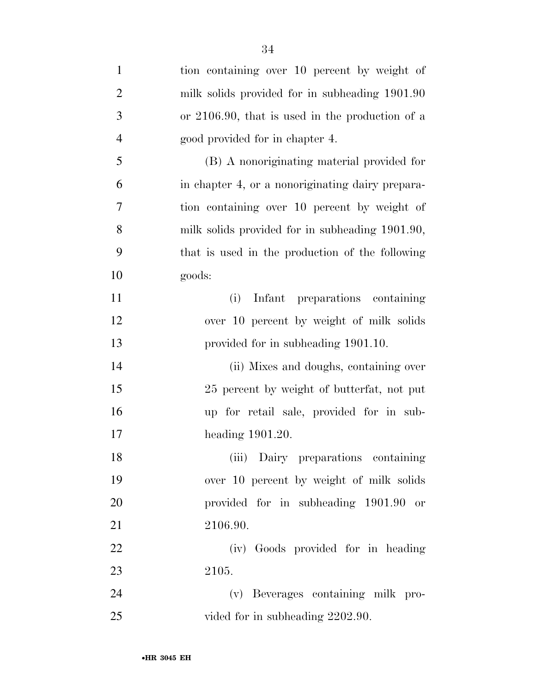| $\mathbf{1}$   | tion containing over 10 percent by weight of     |
|----------------|--------------------------------------------------|
| $\overline{2}$ | milk solids provided for in subheading 1901.90   |
| 3              | or 2106.90, that is used in the production of a  |
| $\overline{4}$ | good provided for in chapter 4.                  |
| 5              | (B) A nonoriginating material provided for       |
| 6              | in chapter 4, or a nonoriginating dairy prepara- |
| 7              | tion containing over 10 percent by weight of     |
| 8              | milk solids provided for in subheading 1901.90,  |
| 9              | that is used in the production of the following  |
| 10             | goods:                                           |
| 11             | Infant preparations containing<br>(i)            |
| 12             | over 10 percent by weight of milk solids         |
| 13             | provided for in subheading 1901.10.              |
| 14             | (ii) Mixes and doughs, containing over           |
| 15             | 25 percent by weight of butterfat, not put       |
| 16             | up for retail sale, provided for in sub-         |
| 17             | heading $1901.20$ .                              |
| 18             | (iii) Dairy preparations containing              |
| 19             | over 10 percent by weight of milk solids         |
| 20             | provided for in subheading 1901.90 or            |
| 21             | 2106.90.                                         |
| 22             | (iv) Goods provided for in heading               |
| 23             | 2105.                                            |
| 24             | (v) Beverages containing milk pro-               |
| 25             | vided for in subheading 2202.90.                 |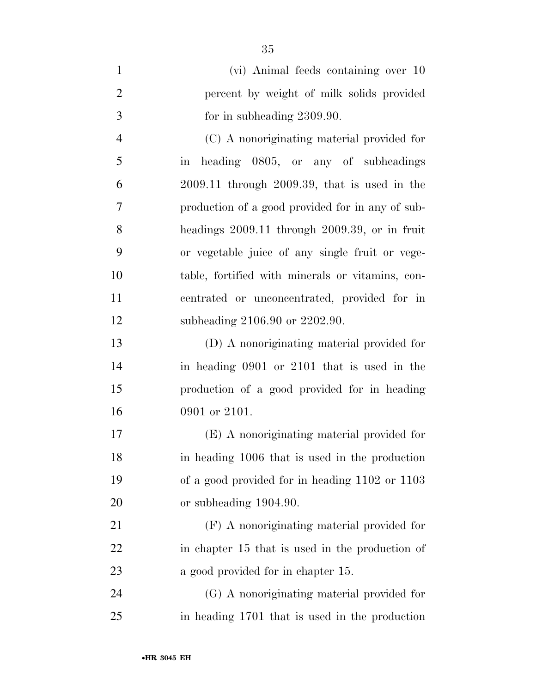|   | (vi) Animal feeds containing over 10              |
|---|---------------------------------------------------|
| 2 | percent by weight of milk solids provided         |
| 3 | for in subheading 2309.90.                        |
|   | (C) A nonoriginating material provided for        |
| 5 | in heading 0805, or any of subheadings            |
| 6 | $2009.11$ through $2009.39$ , that is used in the |
|   |                                                   |

 production of a good provided for in any of sub- headings 2009.11 through 2009.39, or in fruit or vegetable juice of any single fruit or vege- table, fortified with minerals or vitamins, con- centrated or unconcentrated, provided for in subheading 2106.90 or 2202.90.

 (D) A nonoriginating material provided for in heading 0901 or 2101 that is used in the production of a good provided for in heading 0901 or 2101.

 (E) A nonoriginating material provided for in heading 1006 that is used in the production of a good provided for in heading 1102 or 1103 or subheading 1904.90.

 (F) A nonoriginating material provided for in chapter 15 that is used in the production of 23 a good provided for in chapter 15.

 (G) A nonoriginating material provided for in heading 1701 that is used in the production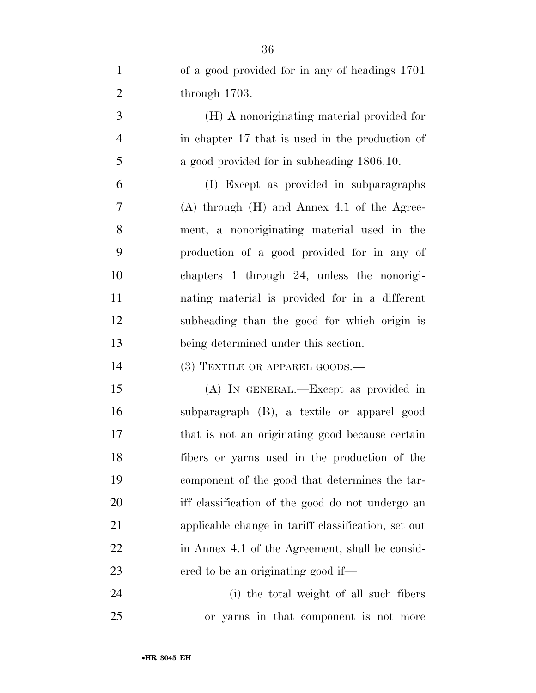| $\mathbf{1}$   | of a good provided for in any of headings 1701      |
|----------------|-----------------------------------------------------|
| $\overline{2}$ | through $1703$ .                                    |
| 3              | (H) A nonoriginating material provided for          |
| $\overline{4}$ | in chapter 17 that is used in the production of     |
| 5              | a good provided for in subheading 1806.10.          |
| 6              | (I) Except as provided in subparagraphs             |
| 7              | $(A)$ through $(H)$ and Annex 4.1 of the Agree-     |
| 8              | ment, a nonoriginating material used in the         |
| 9              | production of a good provided for in any of         |
| 10             | chapters 1 through 24, unless the nonorigi-         |
| 11             | nating material is provided for in a different      |
| 12             | subheading than the good for which origin is        |
| 13             | being determined under this section.                |
| 14             | $(3)$ TEXTILE OR APPAREL GOODS.—                    |
| 15             | (A) IN GENERAL.—Except as provided in               |
| 16             | subparagraph (B), a textile or apparel good         |
| 17             | that is not an originating good because certain     |
| 18             | fibers or yarns used in the production of the       |
| 19             | component of the good that determines the tar-      |
| 20             | iff classification of the good do not undergo an    |
| 21             | applicable change in tariff classification, set out |
| 22             | in Annex 4.1 of the Agreement, shall be consid-     |
| 23             | ered to be an originating good if—                  |
| 24             | (i) the total weight of all such fibers             |

or yarns in that component is not more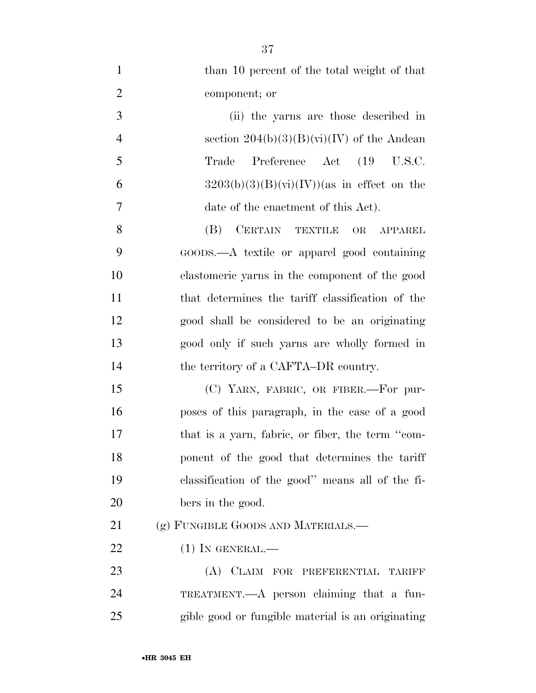| $\mathbf{1}$   | than 10 percent of the total weight of that       |
|----------------|---------------------------------------------------|
| $\overline{2}$ | component; or                                     |
| 3              | (ii) the yarns are those described in             |
| $\overline{4}$ | section $204(b)(3)(B)(vi)(IV)$ of the Andean      |
| 5              | Preference Act (19 U.S.C.<br>Trade                |
| 6              | $3203(b)(3)(B)(vi)(IV))$ (as in effect on the     |
| $\tau$         | date of the enactment of this Act).               |
| 8              | CERTAIN TEXTILE<br>(B)<br>OR<br><b>APPAREL</b>    |
| 9              | GOODS.—A textile or apparel good containing       |
| 10             | elastomeric yarns in the component of the good    |
| 11             | that determines the tariff classification of the  |
| 12             | good shall be considered to be an originating     |
| 13             | good only if such yarns are wholly formed in      |
| 14             | the territory of a CAFTA–DR country.              |
| 15             | (C) YARN, FABRIC, OR FIBER.—For pur-              |
| 16             | poses of this paragraph, in the case of a good    |
| 17             | that is a yarn, fabric, or fiber, the term "com-  |
| 18             | ponent of the good that determines the tariff     |
| 19             | classification of the good" means all of the fi-  |
| 20             | bers in the good.                                 |
| 21             | (g) FUNGIBLE GOODS AND MATERIALS.—                |
| 22             | $(1)$ In GENERAL.—                                |
| 23             | (A) CLAIM FOR PREFERENTIAL TARIFF                 |
| 24             | TREATMENT.— $A$ person claiming that a fun-       |
| 25             | gible good or fungible material is an originating |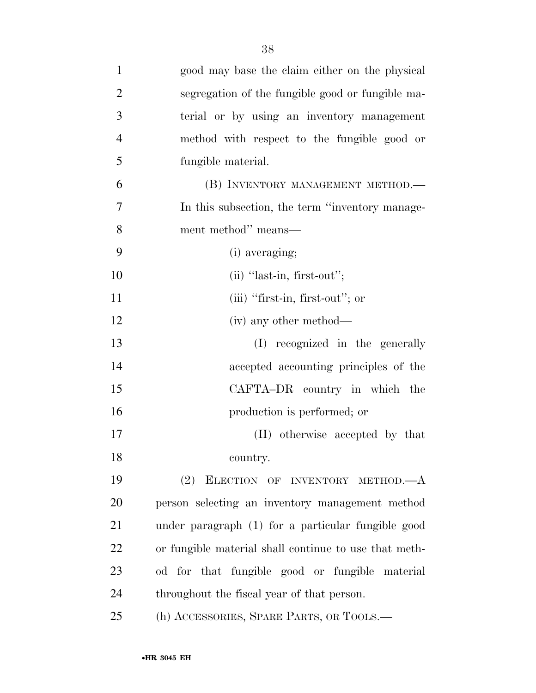| $\mathbf{1}$   | good may base the claim either on the physical        |
|----------------|-------------------------------------------------------|
| $\overline{2}$ | segregation of the fungible good or fungible ma-      |
| 3              | terial or by using an inventory management            |
| $\overline{4}$ | method with respect to the fungible good or           |
| 5              | fungible material.                                    |
| 6              | (B) INVENTORY MANAGEMENT METHOD.—                     |
| 7              | In this subsection, the term "inventory manage-       |
| 8              | ment method" means—                                   |
| 9              | (i) averaging;                                        |
| 10             | $(ii)$ "last-in, first-out";                          |
| 11             | $(iii)$ "first-in, first-out"; or                     |
| 12             | (iv) any other method—                                |
| 13             | (I) recognized in the generally                       |
| 14             | accepted accounting principles of the                 |
| 15             | CAFTA-DR country in which the                         |
| 16             | production is performed; or                           |
| 17             | (II) otherwise accepted by that                       |
| 18             | country.                                              |
| 19             | ELECTION OF INVENTORY METHOD.-<br>(2)                 |
| 20             | person selecting an inventory management method       |
| 21             | under paragraph (1) for a particular fungible good    |
| 22             | or fungible material shall continue to use that meth- |
| 23             | od for that fungible good or fungible material        |
| 24             | throughout the fiscal year of that person.            |
| 25             | (h) ACCESSORIES, SPARE PARTS, OR TOOLS.—              |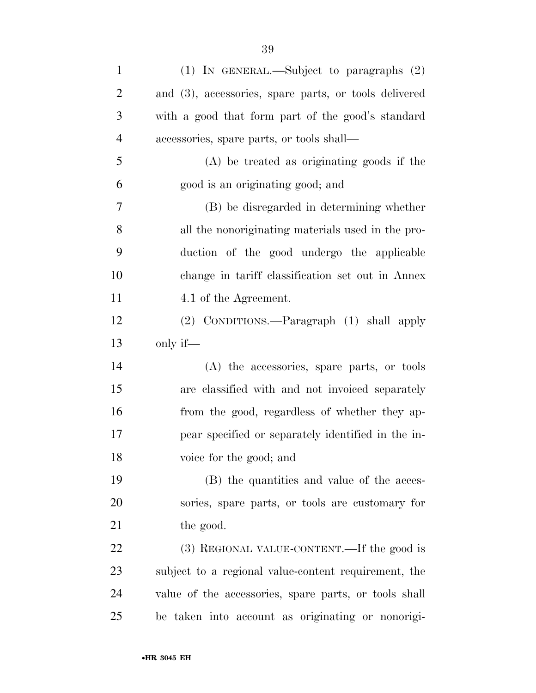| $\mathbf{1}$   | (1) IN GENERAL.—Subject to paragraphs $(2)$           |
|----------------|-------------------------------------------------------|
| $\overline{2}$ | and (3), accessories, spare parts, or tools delivered |
| 3              | with a good that form part of the good's standard     |
| $\overline{4}$ | accessories, spare parts, or tools shall—             |
| 5              | (A) be treated as originating goods if the            |
| 6              | good is an originating good; and                      |
| 7              | (B) be disregarded in determining whether             |
| 8              | all the nonoriginating materials used in the pro-     |
| 9              | duction of the good undergo the applicable            |
| 10             | change in tariff classification set out in Annex      |
| 11             | 4.1 of the Agreement.                                 |
| 12             | (2) CONDITIONS.—Paragraph (1) shall apply             |
| 13             | only if—                                              |
| 14             | (A) the accessories, spare parts, or tools            |
| 15             | are classified with and not invoiced separately       |
|                |                                                       |
| 16             | from the good, regardless of whether they ap-         |
| 17             | pear specified or separately identified in the in-    |
| 18             | voice for the good; and                               |
| 19             | (B) the quantities and value of the acces-            |
| $20\,$         | sories, spare parts, or tools are customary for       |
| 21             | the good.                                             |
| 22             | (3) REGIONAL VALUE-CONTENT.—If the good is            |
| 23             | subject to a regional value-content requirement, the  |
| 24             | value of the accessories, spare parts, or tools shall |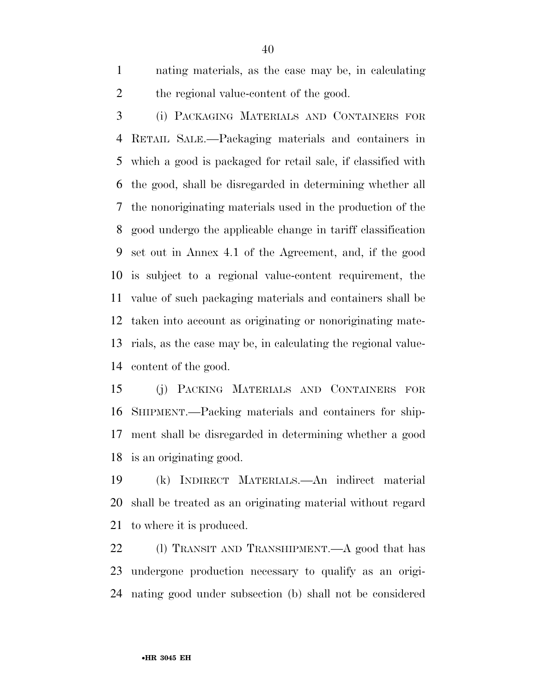nating materials, as the case may be, in calculating the regional value-content of the good.

 (i) PACKAGING MATERIALS AND CONTAINERS FOR RETAIL SALE.—Packaging materials and containers in which a good is packaged for retail sale, if classified with the good, shall be disregarded in determining whether all the nonoriginating materials used in the production of the good undergo the applicable change in tariff classification set out in Annex 4.1 of the Agreement, and, if the good is subject to a regional value-content requirement, the value of such packaging materials and containers shall be taken into account as originating or nonoriginating mate- rials, as the case may be, in calculating the regional value-content of the good.

 (j) PACKING MATERIALS AND CONTAINERS FOR SHIPMENT.—Packing materials and containers for ship- ment shall be disregarded in determining whether a good is an originating good.

 (k) INDIRECT MATERIALS.—An indirect material shall be treated as an originating material without regard to where it is produced.

22 (l) TRANSIT AND TRANSHIPMENT.—A good that has undergone production necessary to qualify as an origi-nating good under subsection (b) shall not be considered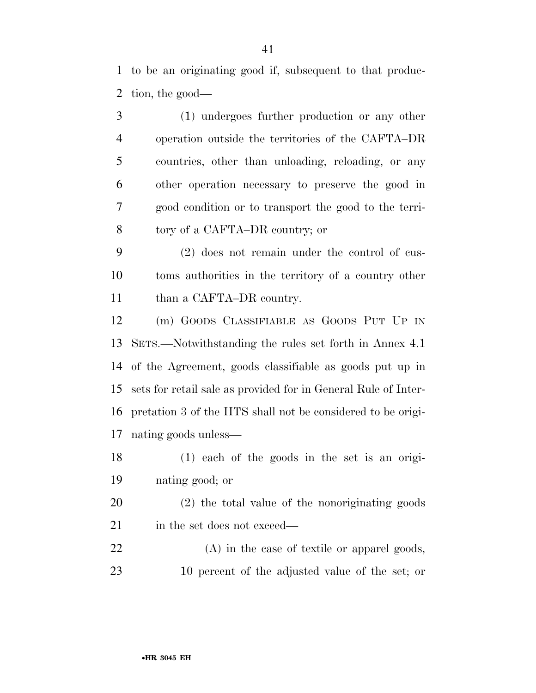to be an originating good if, subsequent to that produc-tion, the good—

 (1) undergoes further production or any other operation outside the territories of the CAFTA–DR countries, other than unloading, reloading, or any other operation necessary to preserve the good in good condition or to transport the good to the terri-tory of a CAFTA–DR country; or

 (2) does not remain under the control of cus- toms authorities in the territory of a country other 11 than a CAFTA–DR country.

 (m) GOODS CLASSIFIABLE AS GOODS PUT UP IN SETS.—Notwithstanding the rules set forth in Annex 4.1 of the Agreement, goods classifiable as goods put up in sets for retail sale as provided for in General Rule of Inter- pretation 3 of the HTS shall not be considered to be origi-nating goods unless—

 (1) each of the goods in the set is an origi-nating good; or

 (2) the total value of the nonoriginating goods 21 in the set does not exceed—

 (A) in the case of textile or apparel goods, 10 percent of the adjusted value of the set; or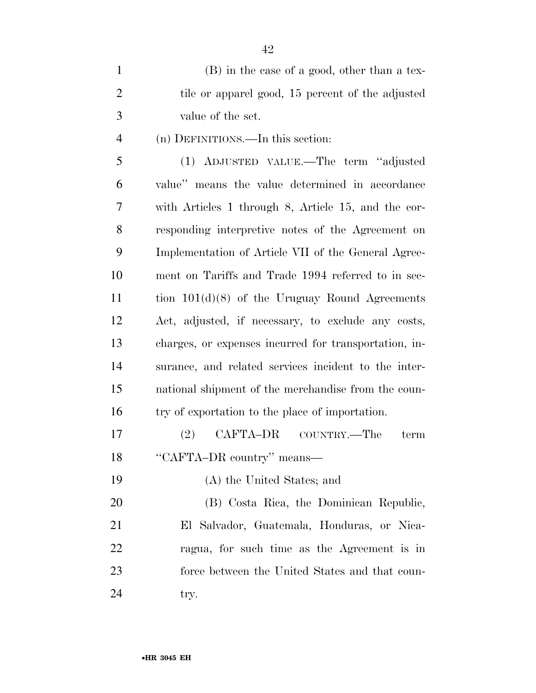| $\mathbf{1}$   | (B) in the case of a good, other than a tex-          |
|----------------|-------------------------------------------------------|
| $\overline{2}$ | tile or apparel good, 15 percent of the adjusted      |
| 3              | value of the set.                                     |
| $\overline{4}$ | (n) DEFINITIONS.—In this section:                     |
| 5              | (1) ADJUSTED VALUE.—The term "adjusted                |
| 6              | value" means the value determined in accordance       |
| 7              | with Articles 1 through 8, Article 15, and the cor-   |
| 8              | responding interpretive notes of the Agreement on     |
| 9              | Implementation of Article VII of the General Agree-   |
| 10             | ment on Tariffs and Trade 1994 referred to in sec-    |
| 11             | tion $101(d)(8)$ of the Uruguay Round Agreements      |
| 12             | Act, adjusted, if necessary, to exclude any costs,    |
| 13             | charges, or expenses incurred for transportation, in- |
| 14             | surance, and related services incident to the inter-  |
| 15             | national shipment of the merchandise from the coun-   |
| 16             | try of exportation to the place of importation.       |
| 17             | CAFTA–DR<br>(2)<br>COUNTRY.—The<br>term               |
| 18             | "CAFTA-DR country" means—                             |
| 19             | (A) the United States; and                            |
| 20             | (B) Costa Rica, the Dominican Republic,               |
| 21             | El Salvador, Guatemala, Honduras, or Nica-            |
| 22             | ragua, for such time as the Agreement is in           |
| 23             | force between the United States and that coun-        |

24 try.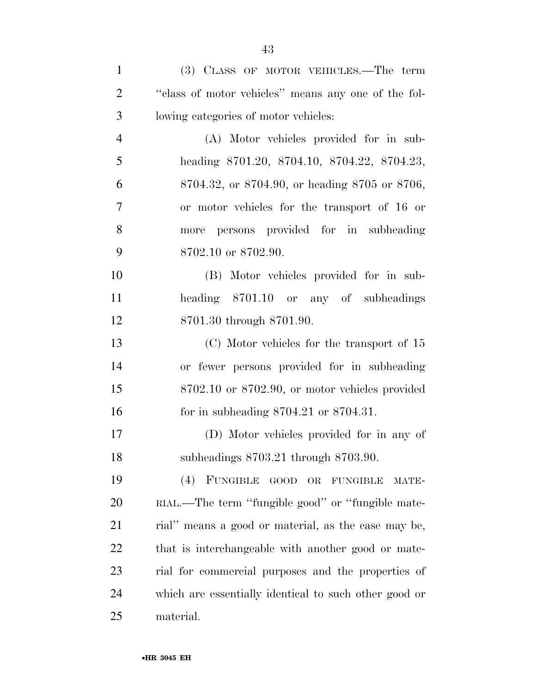| $\mathbf{1}$   | (3) CLASS OF MOTOR VEHICLES.—The term                 |
|----------------|-------------------------------------------------------|
| $\overline{2}$ | "class of motor vehicles" means any one of the fol-   |
| 3              | lowing categories of motor vehicles:                  |
| $\overline{4}$ | (A) Motor vehicles provided for in sub-               |
| 5              | heading 8701.20, 8704.10, 8704.22, 8704.23,           |
| 6              | 8704.32, or 8704.90, or heading 8705 or 8706,         |
| 7              | or motor vehicles for the transport of 16 or          |
| 8              | persons provided for in subheading<br>more            |
| 9              | 8702.10 or 8702.90.                                   |
| 10             | (B) Motor vehicles provided for in sub-               |
| 11             | heading 8701.10 or any of subheadings                 |
| 12             | 8701.30 through 8701.90.                              |
| 13             | $(C)$ Motor vehicles for the transport of 15          |
| 14             | or fewer persons provided for in subheading           |
| 15             | $8702.10$ or $8702.90$ , or motor vehicles provided   |
| 16             | for in subheading $8704.21$ or $8704.31$ .            |
| 17             | (D) Motor vehicles provided for in any of             |
| 18             | subheadings 8703.21 through 8703.90.                  |
| 19             | $(4)$ FUNGIBLE<br>GOOD OR<br><b>FUNGIBLE</b><br>MATE- |
| 20             | RIAL.—The term "fungible good" or "fungible mate-     |
| 21             | rial" means a good or material, as the case may be,   |
| 22             | that is interchangeable with another good or mate-    |
| 23             | rial for commercial purposes and the properties of    |
| 24             | which are essentially identical to such other good or |
| 25             | material.                                             |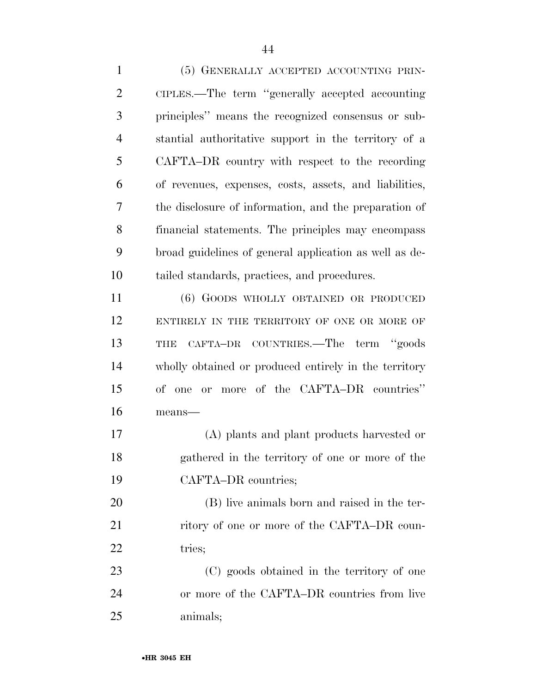(5) GENERALLY ACCEPTED ACCOUNTING PRIN- CIPLES.—The term ''generally accepted accounting principles'' means the recognized consensus or sub- stantial authoritative support in the territory of a CAFTA–DR country with respect to the recording of revenues, expenses, costs, assets, and liabilities, the disclosure of information, and the preparation of financial statements. The principles may encompass broad guidelines of general application as well as de- tailed standards, practices, and procedures. (6) GOODS WHOLLY OBTAINED OR PRODUCED

12 ENTIRELY IN THE TERRITORY OF ONE OR MORE OF THE CAFTA–DR COUNTRIES.—The term ''goods wholly obtained or produced entirely in the territory of one or more of the CAFTA–DR countries'' means—

 (A) plants and plant products harvested or gathered in the territory of one or more of the CAFTA–DR countries;

 (B) live animals born and raised in the ter-21 ritory of one or more of the CAFTA–DR coun-22 tries:

 (C) goods obtained in the territory of one or more of the CAFTA–DR countries from live animals;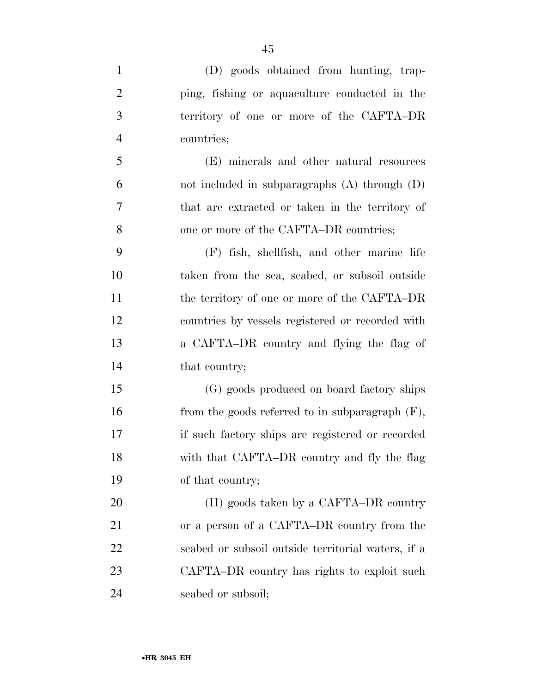| $\mathbf{1}$   | (D) goods obtained from hunting, trap-             |
|----------------|----------------------------------------------------|
| $\overline{2}$ | ping, fishing or aquaculture conducted in the      |
| 3              | territory of one or more of the CAFTA-DR           |
| $\overline{4}$ | countries;                                         |
| 5              | (E) minerals and other natural resources           |
| 6              | not included in subparagraphs $(A)$ through $(D)$  |
| 7              | that are extracted or taken in the territory of    |
| 8              | one or more of the CAFTA–DR countries;             |
| 9              | (F) fish, shellfish, and other marine life         |
| 10             | taken from the sea, seabed, or subsoil outside     |
| 11             | the territory of one or more of the CAFTA-DR       |
| 12             | countries by vessels registered or recorded with   |
| 13             | a CAFTA–DR country and flying the flag of          |
| 14             | that country;                                      |
| 15             | (G) goods produced on board factory ships          |
| 16             | from the goods referred to in subparagraph $(F)$ , |
| 17             | if such factory ships are registered or recorded   |
| 18             | with that CAFTA–DR country and fly the flag        |
| 19             | of that country;                                   |
| 20             | (H) goods taken by a CAFTA–DR country              |
| 21             | or a person of a CAFTA–DR country from the         |
| <u>22</u>      | seabed or subsoil outside territorial waters, if a |
| 23             | CAFTA–DR country has rights to exploit such        |
| 24             | seabed or subsoil;                                 |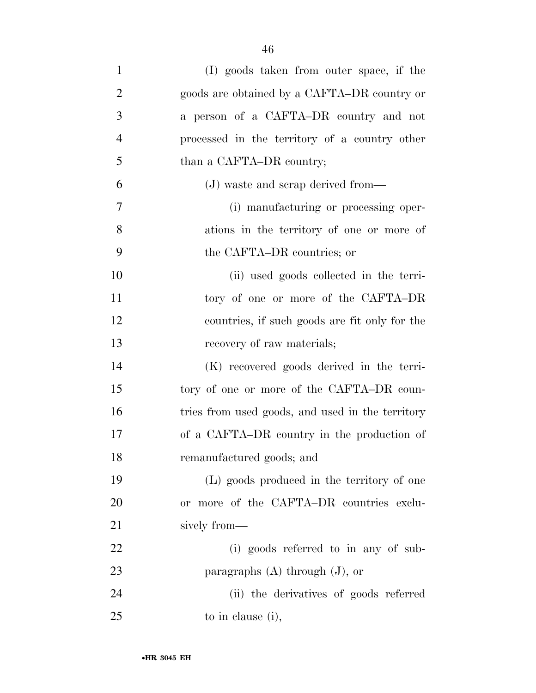| $\mathbf{1}$   | (I) goods taken from outer space, if the         |
|----------------|--------------------------------------------------|
| $\overline{2}$ | goods are obtained by a CAFTA–DR country or      |
| 3              | a person of a CAFTA-DR country and not           |
| $\overline{4}$ | processed in the territory of a country other    |
| 5              | than a CAFTA–DR country;                         |
| 6              | (J) waste and scrap derived from—                |
| 7              | (i) manufacturing or processing oper-            |
| 8              | ations in the territory of one or more of        |
| 9              | the CAFTA–DR countries; or                       |
| 10             | (ii) used goods collected in the terri-          |
| 11             | tory of one or more of the CAFTA-DR              |
| 12             | countries, if such goods are fit only for the    |
| 13             | recovery of raw materials;                       |
| 14             | (K) recovered goods derived in the terri-        |
| 15             | tory of one or more of the CAFTA-DR coun-        |
| 16             | tries from used goods, and used in the territory |
| 17             | of a CAFTA–DR country in the production of       |
| 18             | remanufactured goods; and                        |
| 19             | (L) goods produced in the territory of one       |
| 20             | or more of the CAFTA-DR countries exclu-         |
| 21             | sively from-                                     |
| 22             | (i) goods referred to in any of sub-             |
| 23             | paragraphs $(A)$ through $(J)$ , or              |
| 24             | (ii) the derivatives of goods referred           |
| 25             | to in clause (i),                                |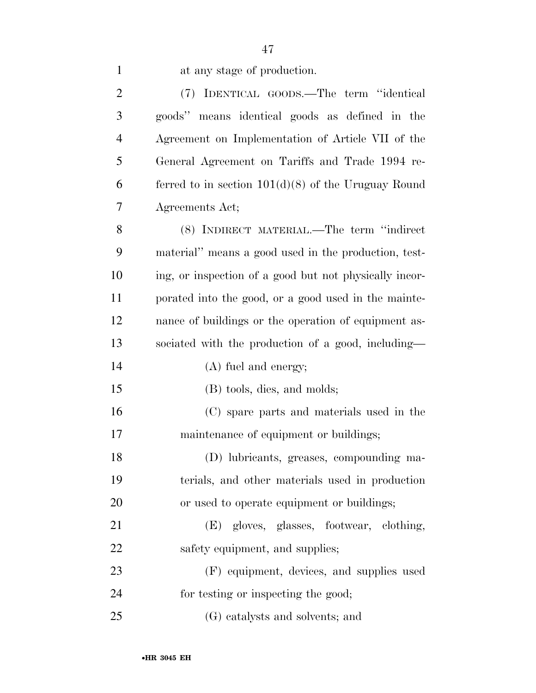|  |  | at any stage of production. |
|--|--|-----------------------------|
|  |  |                             |

| $\overline{2}$ | (7) IDENTICAL GOODS.—The term "identical               |
|----------------|--------------------------------------------------------|
| 3              | goods" means identical goods as defined in the         |
| $\overline{4}$ | Agreement on Implementation of Article VII of the      |
| 5              | General Agreement on Tariffs and Trade 1994 re-        |
| 6              | ferred to in section $101(d)(8)$ of the Uruguay Round  |
| 7              | Agreements Act;                                        |
| 8              | (8) INDIRECT MATERIAL.—The term "indirect              |
| 9              | material" means a good used in the production, test-   |
| 10             | ing, or inspection of a good but not physically incor- |
| 11             | porated into the good, or a good used in the mainte-   |
| 12             | nance of buildings or the operation of equipment as-   |
| 13             | sociated with the production of a good, including—     |
|                |                                                        |
| 14             | (A) fuel and energy;                                   |
| 15             | (B) tools, dies, and molds;                            |
| 16             | (C) spare parts and materials used in the              |
| 17             | maintenance of equipment or buildings;                 |
| 18             | (D) lubricants, greases, compounding ma-               |
| 19             | terials, and other materials used in production        |
| 20             | or used to operate equipment or buildings;             |
| 21             | (E) gloves, glasses, footwear, clothing,               |
| 22             | safety equipment, and supplies;                        |
| 23             | (F) equipment, devices, and supplies used              |
| 24             | for testing or inspecting the good;                    |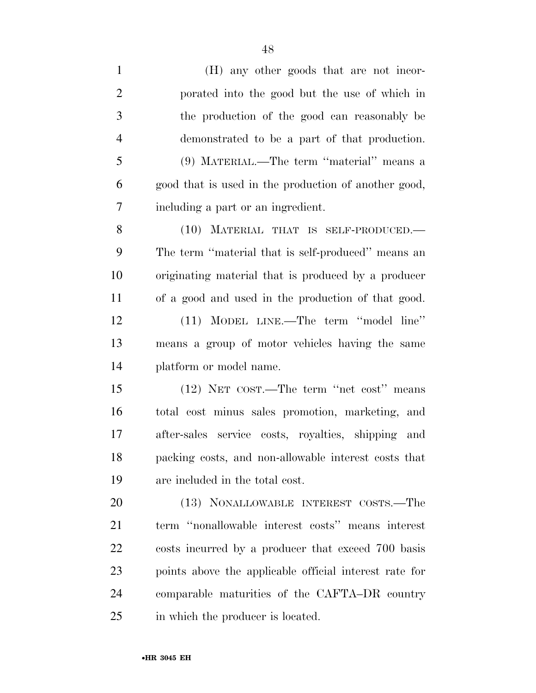(H) any other goods that are not incor- porated into the good but the use of which in the production of the good can reasonably be demonstrated to be a part of that production. (9) MATERIAL.—The term ''material'' means a good that is used in the production of another good, including a part or an ingredient. (10) MATERIAL THAT IS SELF-PRODUCED.— The term ''material that is self-produced'' means an originating material that is produced by a producer of a good and used in the production of that good. (11) MODEL LINE.—The term ''model line'' means a group of motor vehicles having the same platform or model name. (12) NET COST.—The term ''net cost'' means total cost minus sales promotion, marketing, and after-sales service costs, royalties, shipping and packing costs, and non-allowable interest costs that are included in the total cost. (13) NONALLOWABLE INTEREST COSTS.—The term ''nonallowable interest costs'' means interest costs incurred by a producer that exceed 700 basis points above the applicable official interest rate for comparable maturities of the CAFTA–DR country

in which the producer is located.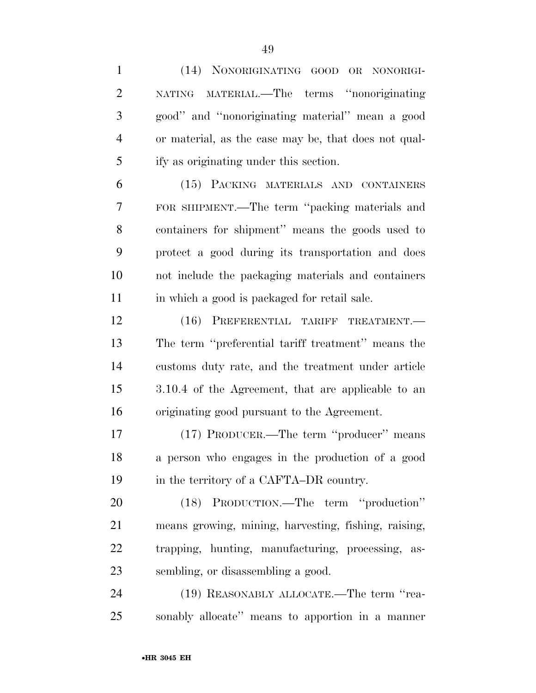(14) NONORIGINATING GOOD OR NONORIGI- NATING MATERIAL.—The terms ''nonoriginating good'' and ''nonoriginating material'' mean a good or material, as the case may be, that does not qual- ify as originating under this section. (15) PACKING MATERIALS AND CONTAINERS FOR SHIPMENT.—The term ''packing materials and containers for shipment'' means the goods used to protect a good during its transportation and does not include the packaging materials and containers 11 in which a good is packaged for retail sale. 12 (16) PREFERENTIAL TARIFF TREATMENT. The term ''preferential tariff treatment'' means the customs duty rate, and the treatment under article 3.10.4 of the Agreement, that are applicable to an originating good pursuant to the Agreement. (17) PRODUCER.—The term ''producer'' means a person who engages in the production of a good 19 in the territory of a CAFTA–DR country. (18) PRODUCTION.—The term ''production'' means growing, mining, harvesting, fishing, raising, trapping, hunting, manufacturing, processing, as- sembling, or disassembling a good. 24 (19) REASONABLY ALLOCATE.—The term "rea-sonably allocate'' means to apportion in a manner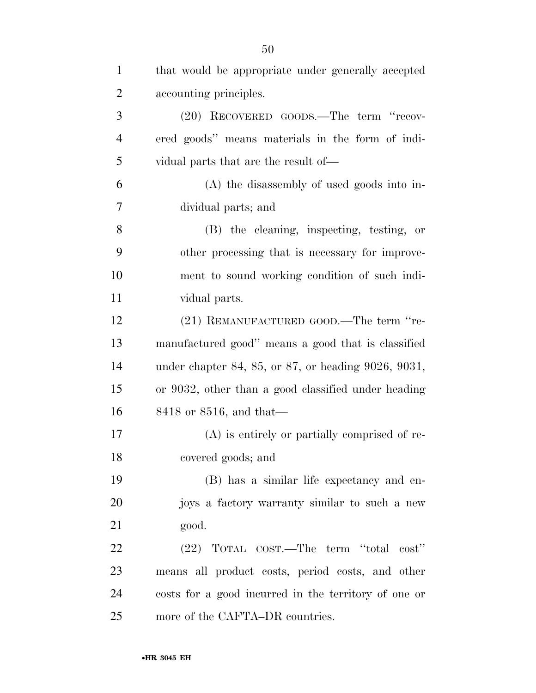| $\mathbf{1}$   | that would be appropriate under generally accepted   |
|----------------|------------------------------------------------------|
| $\overline{2}$ | accounting principles.                               |
| 3              | (20) RECOVERED GOODS.—The term "recov-               |
| $\overline{4}$ | ered goods" means materials in the form of indi-     |
| 5              | vidual parts that are the result of—                 |
| 6              | (A) the disassembly of used goods into in-           |
| 7              | dividual parts; and                                  |
| 8              | (B) the cleaning, inspecting, testing, or            |
| 9              | other processing that is necessary for improve-      |
| 10             | ment to sound working condition of such indi-        |
| 11             | vidual parts.                                        |
| 12             | (21) REMANUFACTURED GOOD.—The term "re-              |
| 13             | manufactured good" means a good that is classified   |
| 14             | under chapter 84, 85, or 87, or heading 9026, 9031,  |
| 15             | or 9032, other than a good classified under heading  |
| 16             | $8418$ or $8516$ , and that—                         |
| 17             | (A) is entirely or partially comprised of re-        |
| 18             | covered goods; and                                   |
| 19             | (B) has a similar life expectancy and en-            |
| 20             | joys a factory warranty similar to such a new        |
| 21             | good.                                                |
| 22             | (22) TOTAL COST.—The term "total<br>$\cos t$ "       |
| 23             | means all product costs, period costs, and other     |
| 24             | costs for a good incurred in the territory of one or |
| 25             | more of the CAFTA–DR countries.                      |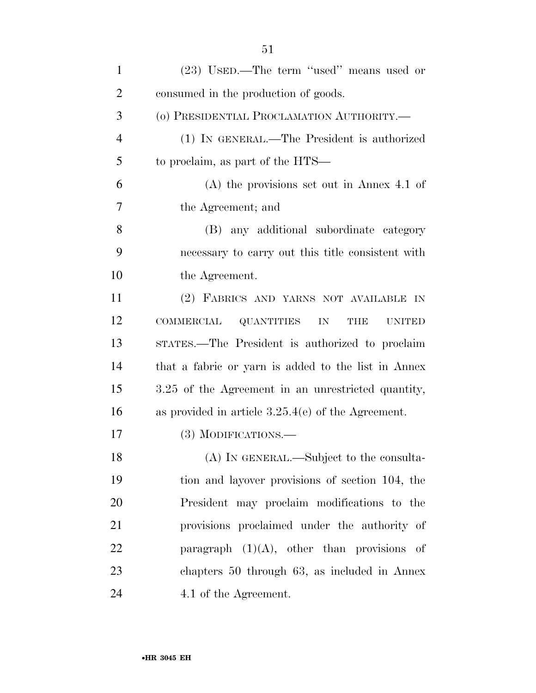| $\mathbf{1}$   | (23) USED.—The term "used" means used or                                    |
|----------------|-----------------------------------------------------------------------------|
| $\overline{2}$ | consumed in the production of goods.                                        |
| 3              | (o) PRESIDENTIAL PROCLAMATION AUTHORITY.-                                   |
| $\overline{4}$ | (1) IN GENERAL.—The President is authorized                                 |
| 5              | to proclaim, as part of the HTS—                                            |
| 6              | $(A)$ the provisions set out in Annex 4.1 of                                |
| 7              | the Agreement; and                                                          |
| 8              | (B) any additional subordinate category                                     |
| 9              | necessary to carry out this title consistent with                           |
| 10             | the Agreement.                                                              |
| 11             | (2) FABRICS AND YARNS NOT AVAILABLE IN                                      |
| 12             | <b>COMMERCIAL</b><br><b>QUANTITIES</b><br><b>THE</b><br>IN<br><b>UNITED</b> |
| 13             | STATES.—The President is authorized to proclaim                             |
| 14             | that a fabric or yarn is added to the list in Annex                         |
| 15             | 3.25 of the Agreement in an unrestricted quantity,                          |
| 16             | as provided in article $3.25.4(e)$ of the Agreement.                        |
| 17             | $(3)$ MODIFICATIONS.—                                                       |
| 18             | (A) IN GENERAL.—Subject to the consulta-                                    |
| 19             | tion and layover provisions of section 104, the                             |
| 20             | President may proclaim modifications to the                                 |
| 21             | provisions proclaimed under the authority of                                |
| 22             | paragraph $(1)(A)$ , other than provisions of                               |
| 23             | chapters 50 through 63, as included in Annex                                |
| 24             | 4.1 of the Agreement.                                                       |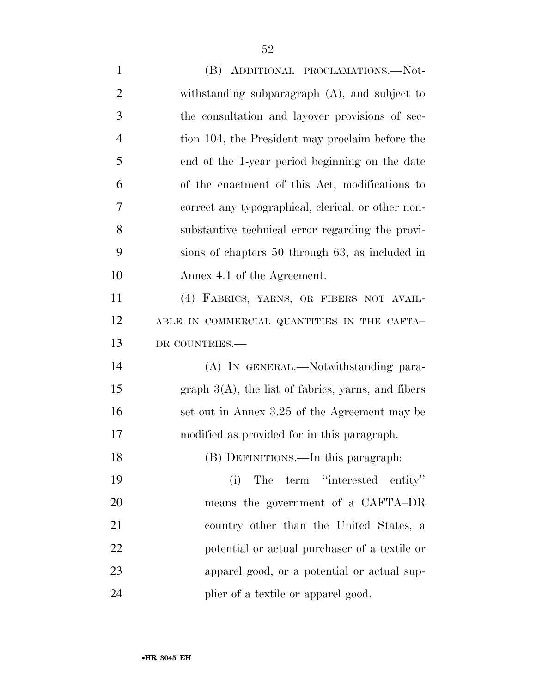(B) ADDITIONAL PROCLAMATIONS.—Not- withstanding subparagraph (A), and subject to the consultation and layover provisions of sec- tion 104, the President may proclaim before the end of the 1-year period beginning on the date of the enactment of this Act, modifications to correct any typographical, clerical, or other non- substantive technical error regarding the provi- sions of chapters 50 through 63, as included in Annex 4.1 of the Agreement. (4) FABRICS, YARNS, OR FIBERS NOT AVAIL-12 ABLE IN COMMERCIAL QUANTITIES IN THE CAFTA- DR COUNTRIES.— (A) IN GENERAL.—Notwithstanding para-15 graph  $3(A)$ , the list of fabrics, yarns, and fibers 16 set out in Annex 3.25 of the Agreement may be modified as provided for in this paragraph. (B) DEFINITIONS.—In this paragraph: (i) The term ''interested entity'' means the government of a CAFTA–DR country other than the United States, a potential or actual purchaser of a textile or apparel good, or a potential or actual sup-24 plier of a textile or apparel good.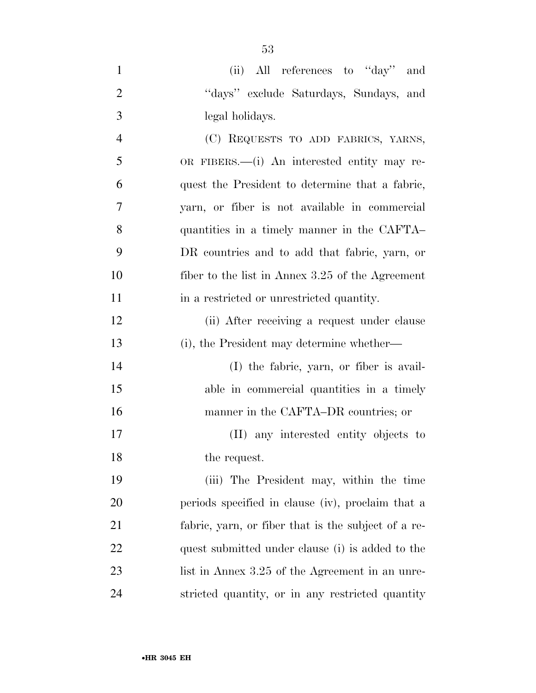| $\mathbf{1}$   | (ii) All references to "day"<br>and                 |
|----------------|-----------------------------------------------------|
| $\overline{2}$ | "days" exclude Saturdays, Sundays, and              |
| 3              | legal holidays.                                     |
| $\overline{4}$ | (C) REQUESTS TO ADD FABRICS, YARNS,                 |
| 5              | OR FIBERS.—(i) An interested entity may re-         |
| 6              | quest the President to determine that a fabric,     |
| $\overline{7}$ | yarn, or fiber is not available in commercial       |
| 8              | quantities in a timely manner in the CAFTA          |
| 9              | DR countries and to add that fabric, yarn, or       |
| 10             | fiber to the list in Annex 3.25 of the Agreement    |
| 11             | in a restricted or unrestricted quantity.           |
| 12             | (ii) After receiving a request under clause         |
| 13             | (i), the President may determine whether—           |
| 14             | (I) the fabric, yarn, or fiber is avail-            |
| 15             | able in commercial quantities in a timely           |
| 16             | manner in the CAFTA–DR countries; or                |
| 17             | (II) any interested entity objects to               |
| 18             | the request.                                        |
| 19             | (iii) The President may, within the time            |
| 20             | periods specified in clause (iv), proclaim that a   |
| 21             | fabric, yarn, or fiber that is the subject of a re- |
| 22             | quest submitted under clause (i) is added to the    |
| 23             | list in Annex 3.25 of the Agreement in an unre-     |
| 24             | stricted quantity, or in any restricted quantity    |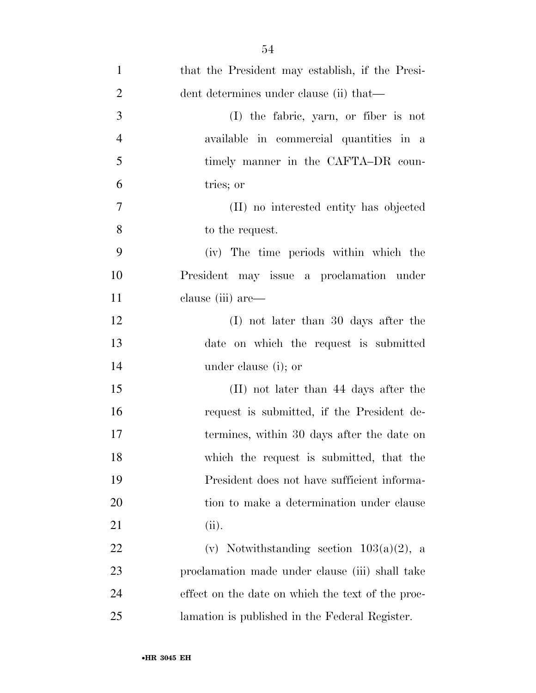| $\mathbf{1}$   | that the President may establish, if the Presi-   |
|----------------|---------------------------------------------------|
| $\overline{2}$ | dent determines under clause (ii) that—           |
| 3              | (I) the fabric, yarn, or fiber is not             |
| $\overline{4}$ | available in commercial quantities in a           |
| 5              | timely manner in the CAFTA-DR coun-               |
| 6              | tries; or                                         |
| $\tau$         | (II) no interested entity has objected            |
| 8              | to the request.                                   |
| 9              | (iv) The time periods within which the            |
| 10             | President may issue a proclamation under          |
| 11             | clause (iii) are—                                 |
| 12             | $(I)$ not later than 30 days after the            |
| 13             | date on which the request is submitted            |
| 14             | under clause (i); or                              |
| 15             | (II) not later than 44 days after the             |
| 16             | request is submitted, if the President de-        |
| 17             | termines, within 30 days after the date on        |
| 18             | which the request is submitted, that the          |
| 19             | President does not have sufficient informa-       |
| 20             | tion to make a determination under clause         |
| 21             | (ii).                                             |
| 22             | (v) Notwithstanding section $103(a)(2)$ , a       |
| 23             | proclamation made under clause (iii) shall take   |
| 24             | effect on the date on which the text of the proc- |
| 25             | lamation is published in the Federal Register.    |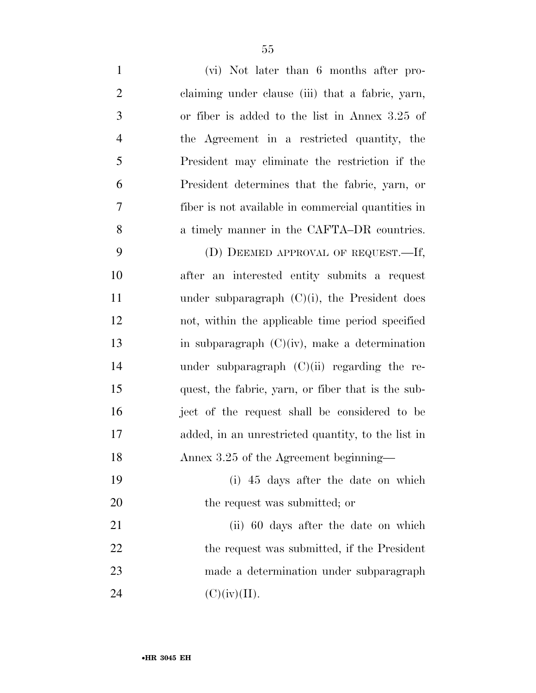| $\mathbf{1}$   | (vi) Not later than 6 months after pro-            |
|----------------|----------------------------------------------------|
| $\overline{2}$ | claiming under clause (iii) that a fabric, yarn,   |
| 3              | or fiber is added to the list in Annex 3.25 of     |
| $\overline{4}$ | the Agreement in a restricted quantity, the        |
| 5              | President may eliminate the restriction if the     |
| 6              | President determines that the fabric, yarn, or     |
| 7              | fiber is not available in commercial quantities in |
| 8              | a timely manner in the CAFTA–DR countries.         |
| 9              | (D) DEEMED APPROVAL OF REQUEST.—If,                |
| 10             | after an interested entity submits a request       |
| 11             | under subparagraph $(C)(i)$ , the President does   |
| 12             | not, within the applicable time period specified   |
| 13             | in subparagraph $(C)(iv)$ , make a determination   |
| 14             | under subparagraph $(C)(ii)$ regarding the re-     |
| 15             | quest, the fabric, yarn, or fiber that is the sub- |
| 16             | ject of the request shall be considered to be      |
| 17             | added, in an unrestricted quantity, to the list in |
| 18             | Annex 3.25 of the Agreement beginning–             |
| 19             | (i) 45 days after the date on which                |
| 20             | the request was submitted; or                      |
| 21             | (ii) 60 days after the date on which               |
| 22             | the request was submitted, if the President        |
| 23             | made a determination under subparagraph            |
| 24             | (C)(iv)(II).                                       |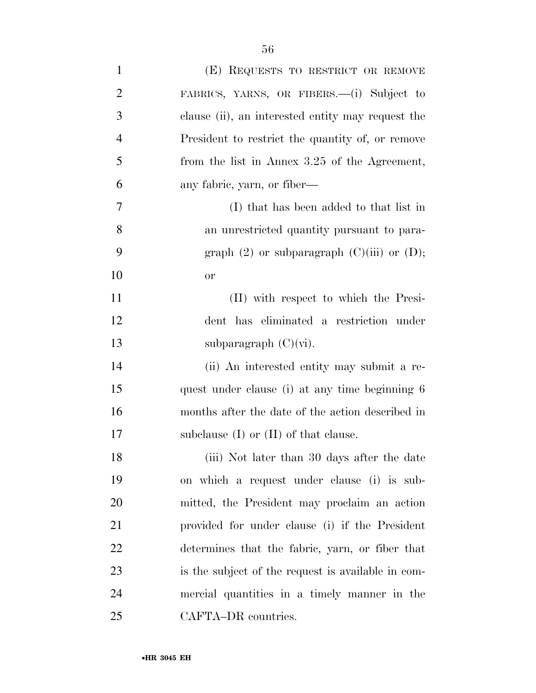| $\mathbf{1}$   | (E) REQUESTS TO RESTRICT OR REMOVE                 |
|----------------|----------------------------------------------------|
| 2              | FABRICS, YARNS, OR FIBERS.—(i) Subject to          |
| 3              | clause (ii), an interested entity may request the  |
| $\overline{4}$ | President to restrict the quantity of, or remove   |
| 5              | from the list in Annex 3.25 of the Agreement,      |
| 6              | any fabric, yarn, or fiber—                        |
| 7              | (I) that has been added to that list in            |
| 8              | an unrestricted quantity pursuant to para-         |
| 9              | graph $(2)$ or subparagraph $(C)(iii)$ or $(D)$ ;  |
| 10             | <b>or</b>                                          |
| 11             | (II) with respect to which the Presi-              |
| 12             | dent has eliminated a restriction under            |
| 13             | subparagraph $(C)(vi)$ .                           |
| 14             | (ii) An interested entity may submit a re-         |
| 15             | quest under clause (i) at any time beginning 6     |
| 16             | months after the date of the action described in   |
| 17             | subclause $(I)$ or $(II)$ of that clause.          |
| 18             | (iii) Not later than 30 days after the date        |
| 19             | on which a request under clause (i) is sub-        |
| 20             | mitted, the President may proclaim an action       |
| 21             | provided for under clause (i) if the President     |
| 22             | determines that the fabric, yarn, or fiber that    |
| 23             | is the subject of the request is available in com- |
| 24             | mercial quantities in a timely manner in the       |
| 25             | CAFTA-DR countries.                                |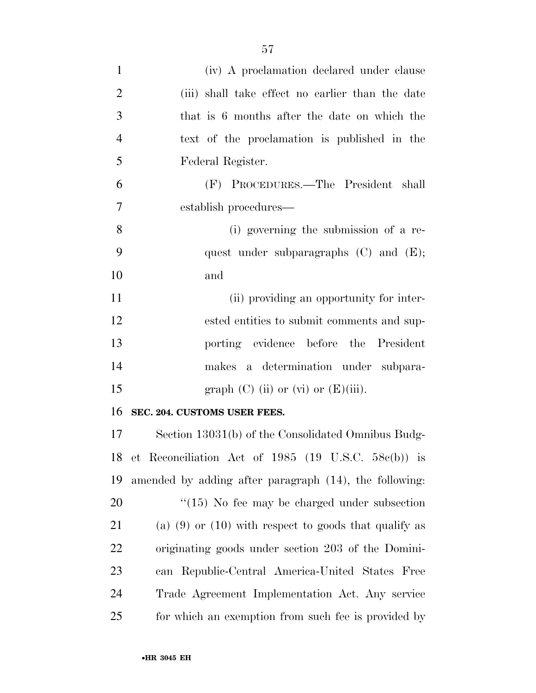| $\mathbf{1}$   | (iv) A proclamation declared under clause                 |
|----------------|-----------------------------------------------------------|
| $\overline{2}$ | (iii) shall take effect no earlier than the date          |
| 3              | that is 6 months after the date on which the              |
| $\overline{4}$ | text of the proclamation is published in the              |
| 5              | Federal Register.                                         |
| 6              | (F) PROCEDURES.—The President shall                       |
| 7              | establish procedures—                                     |
| 8              | (i) governing the submission of a re-                     |
| 9              | quest under subparagraphs $(C)$ and $(E)$ ;               |
| 10             | and                                                       |
| 11             | (ii) providing an opportunity for inter-                  |
| 12             | ested entities to submit comments and sup-                |
| 13             | porting evidence before the President                     |
| 14             | makes a determination under subpara-                      |
| 15             | graph $(C)$ (ii) or $(vi)$ or $(E)$ (iii).                |
| 16             | SEC. 204. CUSTOMS USER FEES.                              |
| 17             | Section 13031(b) of the Consolidated Omnibus Budg-        |
|                | 18 et Reconciliation Act of 1985 (19 U.S.C. 58c(b)) is    |
| 19             | amended by adding after paragraph (14), the following:    |
| 20             | $\degree$ (15) No fee may be charged under subsection     |
| 21             | (a) $(9)$ or $(10)$ with respect to goods that qualify as |
| 22             | originating goods under section 203 of the Domini-        |
| 23             | can Republic-Central America-United States Free           |
| 24             | Trade Agreement Implementation Act. Any service           |
| 25             | for which an exemption from such fee is provided by       |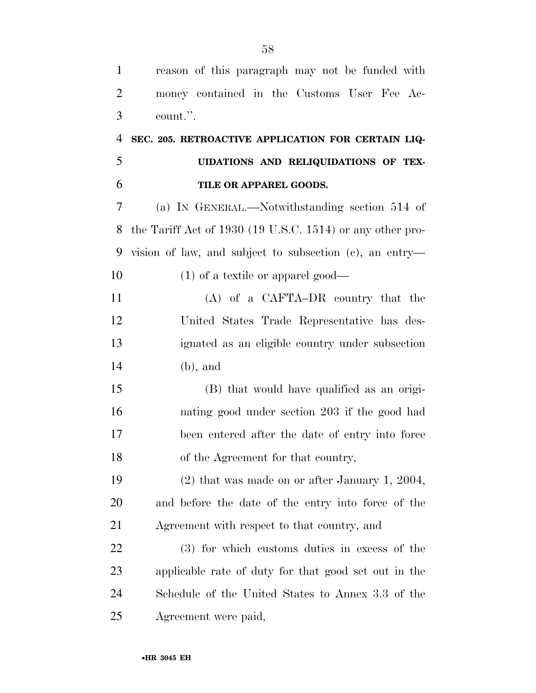| $\mathbf{1}$   | reason of this paragraph may not be funded with            |
|----------------|------------------------------------------------------------|
| $\overline{2}$ | money contained in the Customs User Fee Ac-                |
| 3              | count.".                                                   |
| $\overline{4}$ | SEC. 205. RETROACTIVE APPLICATION FOR CERTAIN LIQ-         |
| 5              | UIDATIONS AND RELIQUIDATIONS OF TEX-                       |
| 6              | TILE OR APPAREL GOODS.                                     |
| 7              | (a) IN GENERAL.—Notwithstanding section 514 of             |
| 8              | the Tariff Act of 1930 (19 U.S.C. 1514) or any other pro-  |
| 9              | vision of law, and subject to subsection $(e)$ , an entry— |
| 10             | $(1)$ of a textile or apparel good—                        |
| 11             | $(A)$ of a CAFTA-DR country that the                       |
| 12             | United States Trade Representative has des-                |
| 13             | ignated as an eligible country under subsection            |
| 14             | $(b)$ , and                                                |
| 15             | (B) that would have qualified as an origi-                 |
| 16             | nating good under section 203 if the good had              |
| 17             | been entered after the date of entry into force            |
| 18             | of the Agreement for that country,                         |
| 19             | $(2)$ that was made on or after January 1, 2004,           |
| 20             | and before the date of the entry into force of the         |
| 21             | Agreement with respect to that country, and                |
| 22             | (3) for which customs duties in excess of the              |
| 23             | applicable rate of duty for that good set out in the       |
| 24             | Schedule of the United States to Annex 3.3 of the          |
| 25             | Agreement were paid,                                       |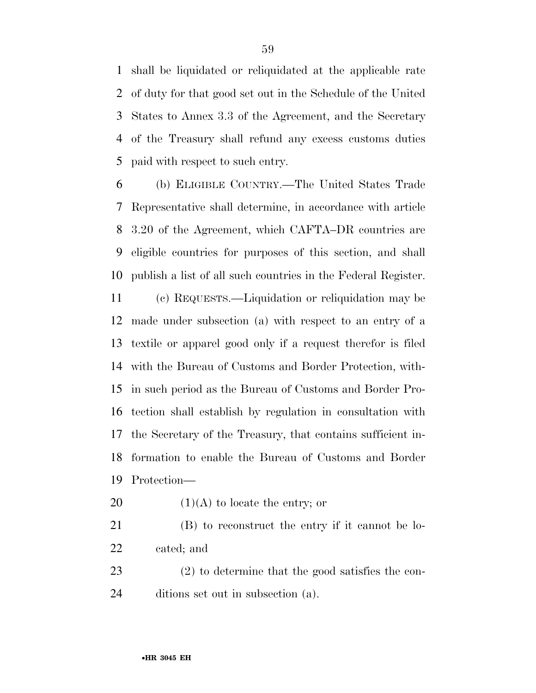shall be liquidated or reliquidated at the applicable rate of duty for that good set out in the Schedule of the United States to Annex 3.3 of the Agreement, and the Secretary of the Treasury shall refund any excess customs duties paid with respect to such entry.

 (b) ELIGIBLE COUNTRY.—The United States Trade Representative shall determine, in accordance with article 3.20 of the Agreement, which CAFTA–DR countries are eligible countries for purposes of this section, and shall publish a list of all such countries in the Federal Register.

 (c) REQUESTS.—Liquidation or reliquidation may be made under subsection (a) with respect to an entry of a textile or apparel good only if a request therefor is filed with the Bureau of Customs and Border Protection, with- in such period as the Bureau of Customs and Border Pro- tection shall establish by regulation in consultation with the Secretary of the Treasury, that contains sufficient in- formation to enable the Bureau of Customs and Border Protection—

20  $(1)(A)$  to locate the entry; or

 (B) to reconstruct the entry if it cannot be lo-cated; and

 (2) to determine that the good satisfies the con-ditions set out in subsection (a).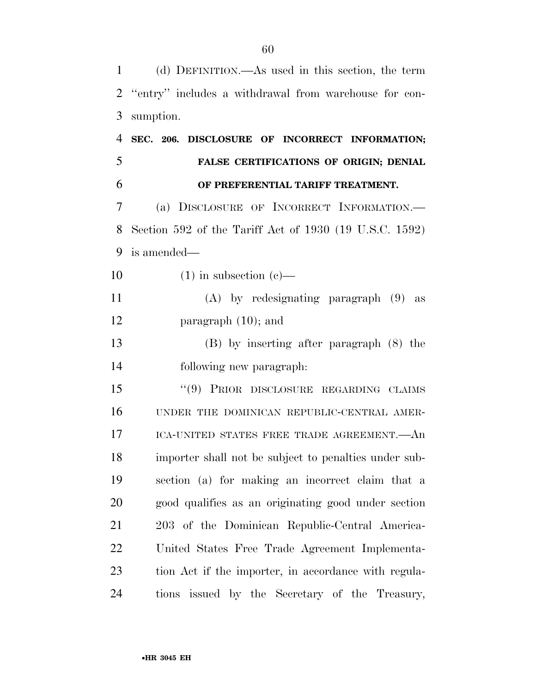(d) DEFINITION.—As used in this section, the term ''entry'' includes a withdrawal from warehouse for con- sumption. **SEC. 206. DISCLOSURE OF INCORRECT INFORMATION; FALSE CERTIFICATIONS OF ORIGIN; DENIAL OF PREFERENTIAL TARIFF TREATMENT.**  (a) DISCLOSURE OF INCORRECT INFORMATION.— Section 592 of the Tariff Act of 1930 (19 U.S.C. 1592) is amended—  $(1)$  in subsection  $(e)$ — (A) by redesignating paragraph (9) as paragraph (10); and (B) by inserting after paragraph (8) the following new paragraph: ''(9) PRIOR DISCLOSURE REGARDING CLAIMS UNDER THE DOMINICAN REPUBLIC-CENTRAL AMER- ICA-UNITED STATES FREE TRADE AGREEMENT.—An importer shall not be subject to penalties under sub- section (a) for making an incorrect claim that a good qualifies as an originating good under section 203 of the Dominican Republic-Central America- United States Free Trade Agreement Implementa- tion Act if the importer, in accordance with regula-tions issued by the Secretary of the Treasury,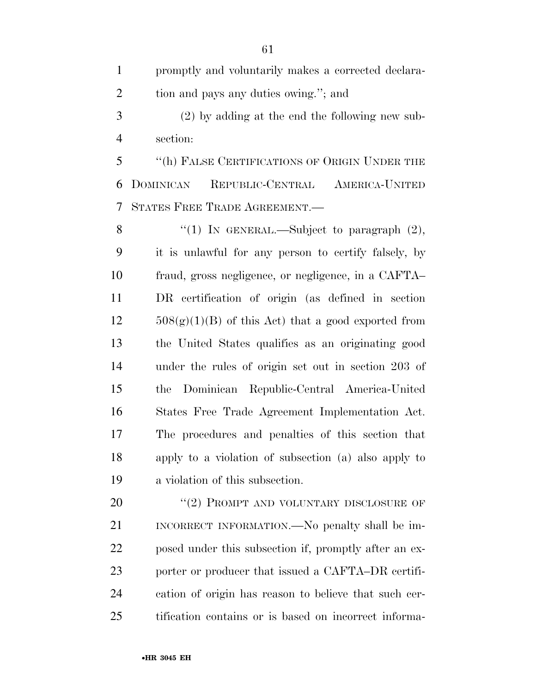promptly and voluntarily makes a corrected declara-2 tion and pays any duties owing."; and

 (2) by adding at the end the following new sub-section:

 ''(h) FALSE CERTIFICATIONS OF ORIGIN UNDER THE DOMINICAN REPUBLIC-CENTRAL AMERICA-UNITED STATES FREE TRADE AGREEMENT.—

8 "(1) In GENERAL.—Subject to paragraph  $(2)$ , it is unlawful for any person to certify falsely, by fraud, gross negligence, or negligence, in a CAFTA– DR certification of origin (as defined in section  $12 \qquad 508(g)(1)(B)$  of this Act) that a good exported from the United States qualifies as an originating good under the rules of origin set out in section 203 of the Dominican Republic-Central America-United States Free Trade Agreement Implementation Act. The procedures and penalties of this section that apply to a violation of subsection (a) also apply to a violation of this subsection.

20 "(2) PROMPT AND VOLUNTARY DISCLOSURE OF INCORRECT INFORMATION.—No penalty shall be im- posed under this subsection if, promptly after an ex-23 porter or producer that issued a CAFTA–DR certifi- cation of origin has reason to believe that such cer-tification contains or is based on incorrect informa-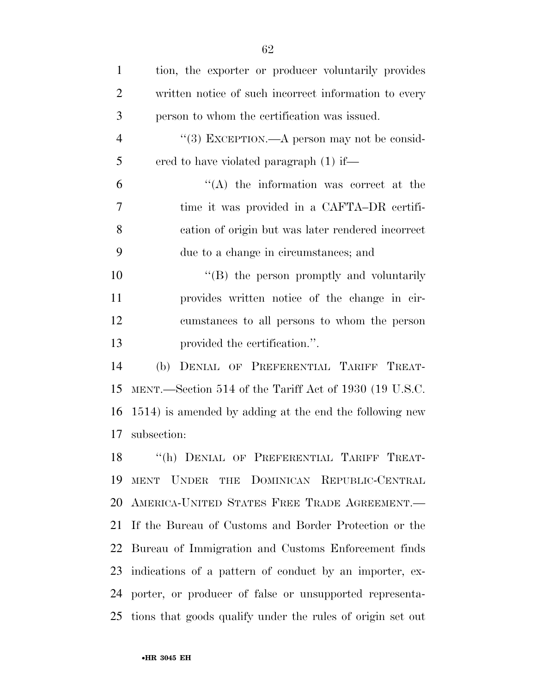| 1              | tion, the exporter or producer voluntarily provides           |
|----------------|---------------------------------------------------------------|
| $\overline{2}$ | written notice of such incorrect information to every         |
| 3              | person to whom the certification was issued.                  |
| $\overline{4}$ | "(3) EXCEPTION.—A person may not be consid-                   |
| 5              | ered to have violated paragraph (1) if—                       |
| 6              | $\lq\lq$ the information was correct at the                   |
| 7              | time it was provided in a CAFTA-DR certifi-                   |
| 8              | cation of origin but was later rendered incorrect             |
| 9              | due to a change in circumstances; and                         |
| 10             | "(B) the person promptly and voluntarily                      |
| 11             | provides written notice of the change in cir-                 |
| 12             | cumstances to all persons to whom the person                  |
| 13             | provided the certification.".                                 |
| 14             | DENIAL OF PREFERENTIAL TARIFF TREAT-<br>(b)                   |
| 15             | MENT.—Section 514 of the Tariff Act of 1930 (19 U.S.C.        |
| 16             | 1514) is amended by adding at the end the following new       |
| 17             | subsection:                                                   |
|                | "(h) DENIAL OF PREFERENTIAL TARIFF TREAT-                     |
| 19             | THE DOMINICAN REPUBLIC-CENTRAL<br><b>MENT</b><br><b>UNDER</b> |
| 20             | AMERICA-UNITED STATES FREE TRADE AGREEMENT.                   |
| 21             | If the Bureau of Customs and Border Protection or the         |
| 22             | Bureau of Immigration and Customs Enforcement finds           |
| 23             | indications of a pattern of conduct by an importer, ex-       |
| 24             | porter, or producer of false or unsupported representa-       |
| 25             | tions that goods qualify under the rules of origin set out    |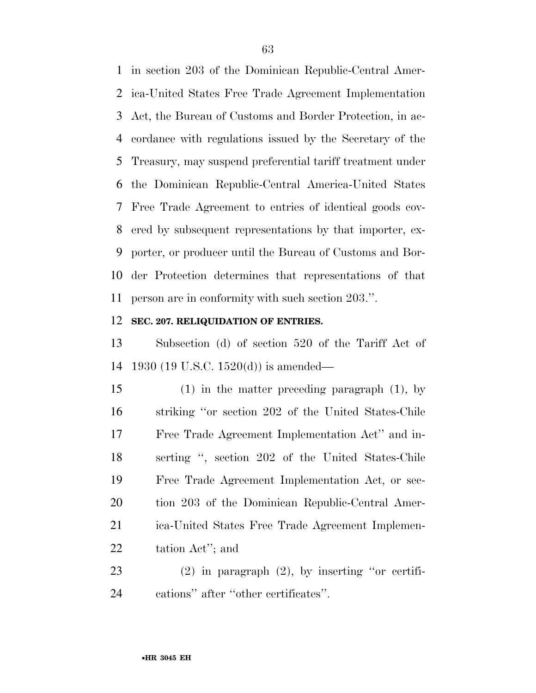in section 203 of the Dominican Republic-Central Amer- ica-United States Free Trade Agreement Implementation Act, the Bureau of Customs and Border Protection, in ac- cordance with regulations issued by the Secretary of the Treasury, may suspend preferential tariff treatment under the Dominican Republic-Central America-United States Free Trade Agreement to entries of identical goods cov- ered by subsequent representations by that importer, ex- porter, or producer until the Bureau of Customs and Bor- der Protection determines that representations of that person are in conformity with such section 203.''.

#### **SEC. 207. RELIQUIDATION OF ENTRIES.**

 Subsection (d) of section 520 of the Tariff Act of 1930 (19 U.S.C. 1520(d)) is amended—

 (1) in the matter preceding paragraph (1), by striking ''or section 202 of the United States-Chile Free Trade Agreement Implementation Act'' and in- serting '', section 202 of the United States-Chile Free Trade Agreement Implementation Act, or sec- tion 203 of the Dominican Republic-Central Amer- ica-United States Free Trade Agreement Implemen-tation Act''; and

 (2) in paragraph (2), by inserting ''or certifi-cations'' after ''other certificates''.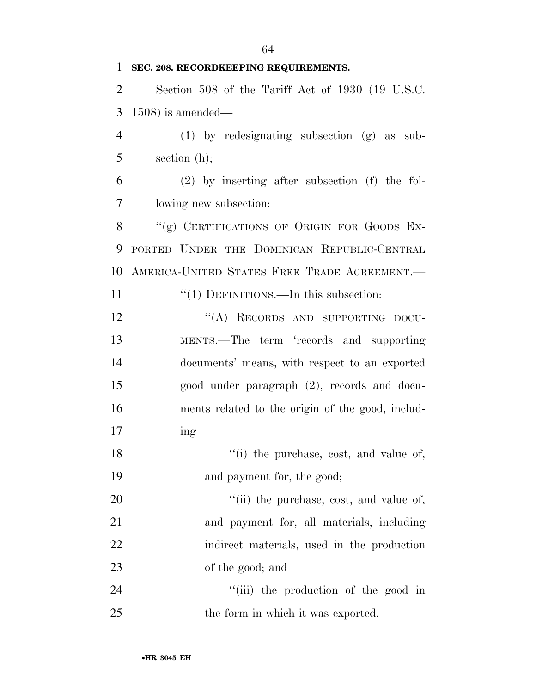### **SEC. 208. RECORDKEEPING REQUIREMENTS.**

 Section 508 of the Tariff Act of 1930 (19 U.S.C. 1508) is amended—

 (1) by redesignating subsection (g) as sub-section (h);

 (2) by inserting after subsection (f) the fol-lowing new subsection:

8 "(g) CERTIFICATIONS OF ORIGIN FOR GOODS EX- PORTED UNDER THE DOMINICAN REPUBLIC-CENTRAL AMERICA-UNITED STATES FREE TRADE AGREEMENT.—

11 "(1) DEFINITIONS.—In this subsection:

12 "(A) RECORDS AND SUPPORTING DOCU- MENTS.—The term 'records and supporting documents' means, with respect to an exported good under paragraph (2), records and docu- ments related to the origin of the good, includ-ing—

18  $\frac{1}{2}$  the purchase, cost, and value of, 19 and payment for, the good;

 $\frac{1}{1}$  the purchase, cost, and value of, and payment for, all materials, including indirect materials, used in the production of the good; and

24 ''(iii) the production of the good in 25 the form in which it was exported.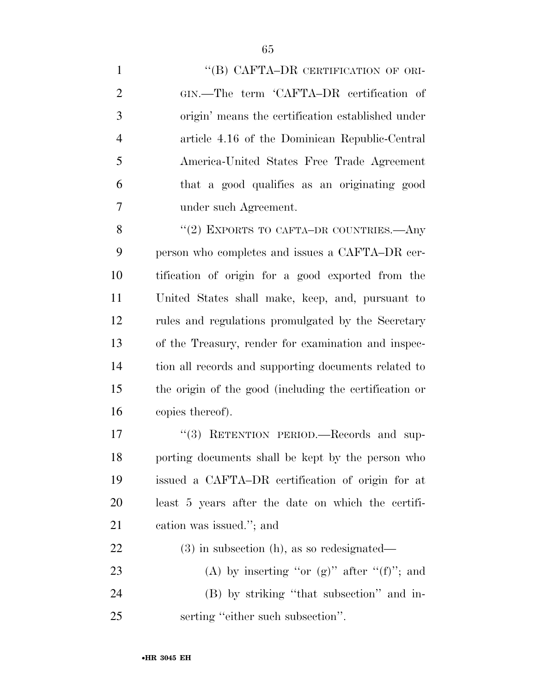1 "(B) CAFTA–DR CERTIFICATION OF ORI- GIN.—The term 'CAFTA–DR certification of origin' means the certification established under article 4.16 of the Dominican Republic-Central America-United States Free Trade Agreement that a good qualifies as an originating good under such Agreement.

8 "(2) EXPORTS TO CAFTA–DR COUNTRIES.—Any person who completes and issues a CAFTA–DR cer- tification of origin for a good exported from the United States shall make, keep, and, pursuant to rules and regulations promulgated by the Secretary of the Treasury, render for examination and inspec- tion all records and supporting documents related to the origin of the good (including the certification or copies thereof).

17 "(3) RETENTION PERIOD.—Records and sup- porting documents shall be kept by the person who issued a CAFTA–DR certification of origin for at least 5 years after the date on which the certifi-cation was issued.''; and

 (3) in subsection (h), as so redesignated— 23 (A) by inserting "or  $(g)$ " after " $(f)$ "; and (B) by striking ''that subsection'' and in-serting ''either such subsection''.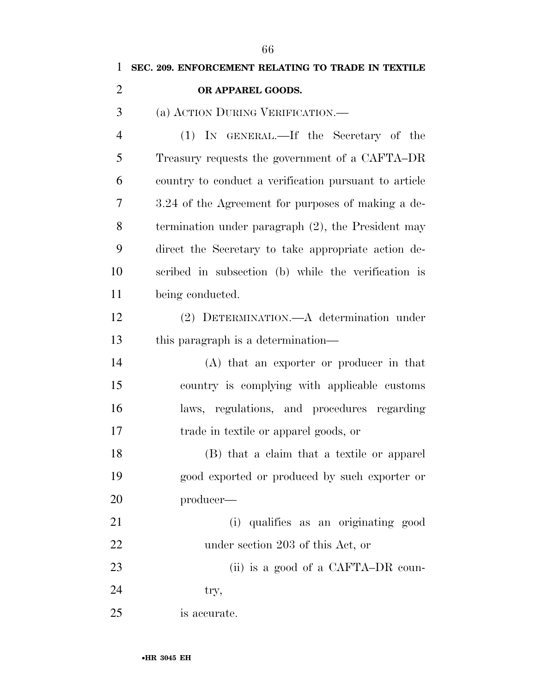**SEC. 209. ENFORCEMENT RELATING TO TRADE IN TEXTILE** 

#### **OR APPAREL GOODS.**

(a) ACTION DURING VERIFICATION.—

 (1) IN GENERAL.—If the Secretary of the Treasury requests the government of a CAFTA–DR country to conduct a verification pursuant to article 3.24 of the Agreement for purposes of making a de- termination under paragraph (2), the President may direct the Secretary to take appropriate action de- scribed in subsection (b) while the verification is being conducted.

 (2) DETERMINATION.—A determination under 13 this paragraph is a determination—

 (A) that an exporter or producer in that country is complying with applicable customs laws, regulations, and procedures regarding trade in textile or apparel goods, or

 (B) that a claim that a textile or apparel good exported or produced by such exporter or producer—

 (i) qualifies as an originating good under section 203 of this Act, or

23 (ii) is a good of a CAFTA–DR coun-

 $24 \text{ try},$ 

is accurate.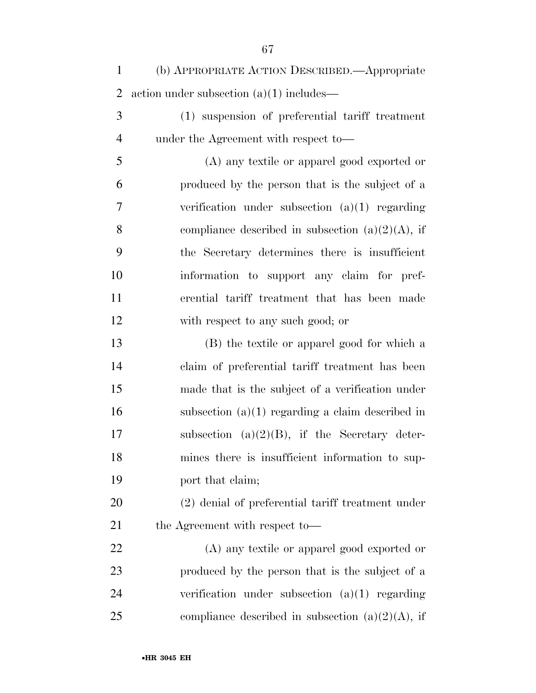| $\mathbf{1}$   | (b) APPROPRIATE ACTION DESCRIBED. - Appropriate     |
|----------------|-----------------------------------------------------|
| $\overline{2}$ | action under subsection $(a)(1)$ includes—          |
| 3              | (1) suspension of preferential tariff treatment     |
| $\overline{4}$ | under the Agreement with respect to-                |
| 5              | (A) any textile or apparel good exported or         |
| 6              | produced by the person that is the subject of a     |
| 7              | verification under subsection $(a)(1)$ regarding    |
| 8              | compliance described in subsection $(a)(2)(A)$ , if |
| 9              | the Secretary determines there is insufficient      |
| 10             | information to support any claim for pref-          |
| 11             | erential tariff treatment that has been made        |
| 12             | with respect to any such good; or                   |
| 13             | (B) the textile or apparel good for which a         |
| 14             | claim of preferential tariff treatment has been     |
| 15             | made that is the subject of a verification under    |
| 16             | subsection $(a)(1)$ regarding a claim described in  |
| 17             | subsection $(a)(2)(B)$ , if the Secretary deter-    |
| 18             | mines there is insufficient information to sup-     |
| 19             | port that claim;                                    |
| 20             | (2) denial of preferential tariff treatment under   |
| 21             | the Agreement with respect to-                      |
| 22             | (A) any textile or apparel good exported or         |
| 23             | produced by the person that is the subject of a     |
| 24             | verification under subsection $(a)(1)$ regarding    |
| 25             | compliance described in subsection $(a)(2)(A)$ , if |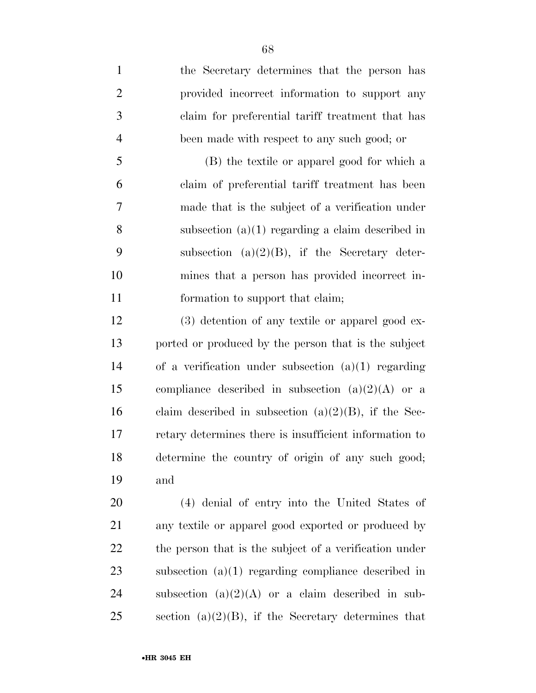the Secretary determines that the person has provided incorrect information to support any claim for preferential tariff treatment that has been made with respect to any such good; or

 (B) the textile or apparel good for which a claim of preferential tariff treatment has been made that is the subject of a verification under subsection (a)(1) regarding a claim described in 9 subsection (a) $(2)(B)$ , if the Secretary deter- mines that a person has provided incorrect in-11 formation to support that claim;

 (3) detention of any textile or apparel good ex- ported or produced by the person that is the subject of a verification under subsection (a)(1) regarding 15 compliance described in subsection  $(a)(2)(A)$  or a 16 claim described in subsection  $(a)(2)(B)$ , if the Sec- retary determines there is insufficient information to determine the country of origin of any such good; and

 (4) denial of entry into the United States of any textile or apparel good exported or produced by 22 the person that is the subject of a verification under subsection (a)(1) regarding compliance described in 24 subsection  $(a)(2)(A)$  or a claim described in sub-25 section  $(a)(2)(B)$ , if the Secretary determines that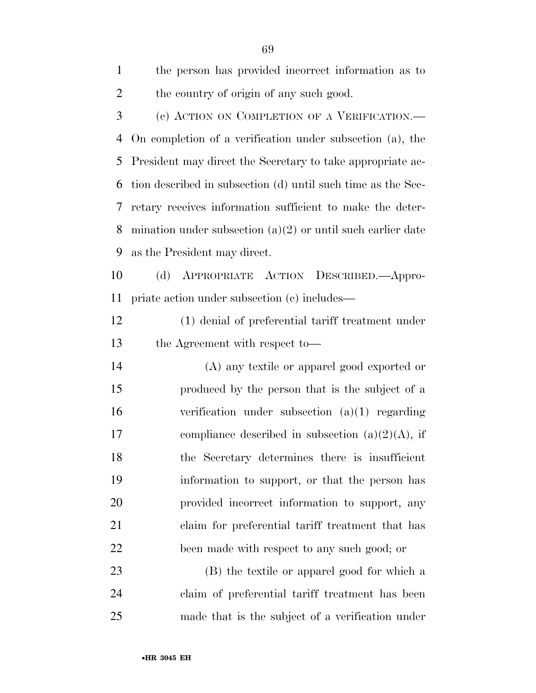| $\mathbf{1}$   | the person has provided incorrect information as to           |
|----------------|---------------------------------------------------------------|
| $\overline{2}$ | the country of origin of any such good.                       |
| 3              | (c) ACTION ON COMPLETION OF A VERIFICATION.—                  |
| 4              | On completion of a verification under subsection (a), the     |
| 5              | President may direct the Secretary to take appropriate ac-    |
| 6              | tion described in subsection (d) until such time as the Sec-  |
| 7              | retary receives information sufficient to make the deter-     |
| 8              | mination under subsection $(a)(2)$ or until such earlier date |
| 9              | as the President may direct.                                  |
| 10             | (d)<br>APPROPRIATE ACTION DESCRIBED.—Appro-                   |
| 11             | priate action under subsection (c) includes—                  |
| 12             | (1) denial of preferential tariff treatment under             |
| 13             | the Agreement with respect to-                                |
| 14             | (A) any textile or apparel good exported or                   |
| 15             | produced by the person that is the subject of a               |
| 16             | verification under subsection $(a)(1)$ regarding              |
| 17             | compliance described in subsection $(a)(2)(A)$ , if           |
| 18             | the Secretary determines there is insufficient                |
| 19             | information to support, or that the person has                |
| 20             | provided incorrect information to support, any                |
| 21             | claim for preferential tariff treatment that has              |
| 22             | been made with respect to any such good; or                   |
| 23             | (B) the textile or apparel good for which a                   |
| 24             | claim of preferential tariff treatment has been               |

made that is the subject of a verification under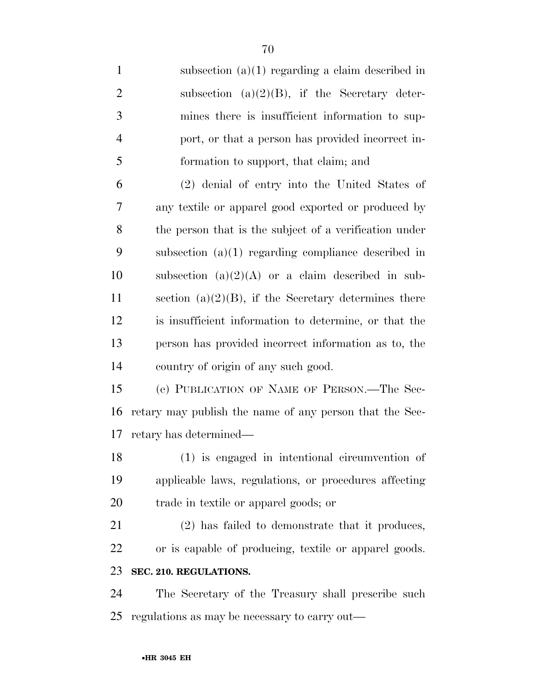| $\mathbf{1}$   | subsection $(a)(1)$ regarding a claim described in       |
|----------------|----------------------------------------------------------|
| $\overline{2}$ | subsection $(a)(2)(B)$ , if the Secretary deter-         |
| 3              | mines there is insufficient information to sup-          |
| 4              | port, or that a person has provided incorrect in-        |
| 5              | formation to support, that claim; and                    |
| 6              | (2) denial of entry into the United States of            |
| $\overline{7}$ | any textile or apparel good exported or produced by      |
| 8              | the person that is the subject of a verification under   |
| 9              | subsection $(a)(1)$ regarding compliance described in    |
| 10             | subsection $(a)(2)(A)$ or a claim described in sub-      |
| 11             | section (a) $(2)(B)$ , if the Secretary determines there |
| 12             | is insufficient information to determine, or that the    |
| 13             | person has provided incorrect information as to, the     |
| 14             | country of origin of any such good.                      |
| 15             | (e) PUBLICATION OF NAME OF PERSON.—The Sec-              |
| 16             | retary may publish the name of any person that the Sec-  |
| 17             | retary has determined—                                   |
| 18             | (1) is engaged in intentional circumvention of           |
| 19             | applicable laws, regulations, or procedures affecting    |
| 20             | trade in textile or apparel goods; or                    |
| 21             | (2) has failed to demonstrate that it produces,          |
| 22             | or is capable of producing, textile or apparel goods.    |
| 23             | SEC. 210. REGULATIONS.                                   |
| 24             | The Secretary of the Treasury shall prescribe such       |
| 25             | regulations as may be necessary to carry out—            |
|                |                                                          |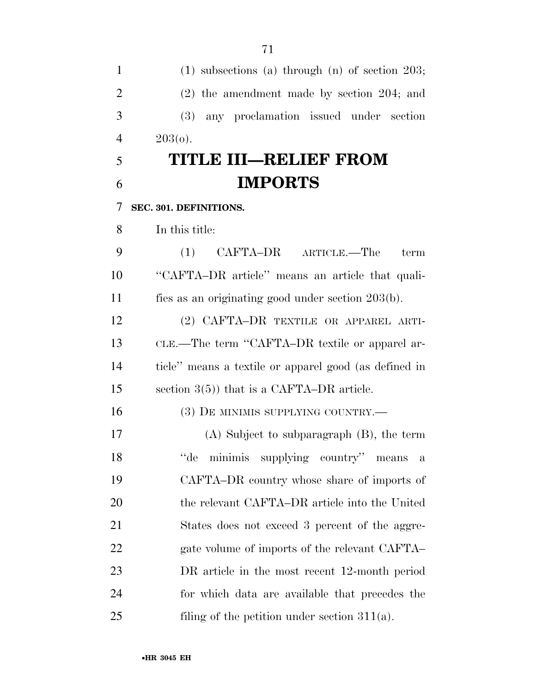(1) subsections (a) through (n) of section 203; (2) the amendment made by section 204; and (3) any proclamation issued under section 4  $203(0)$ . **TITLE III—RELIEF FROM IMPORTS SEC. 301. DEFINITIONS.**  In this title: (1) CAFTA–DR ARTICLE.—The term ''CAFTA–DR article'' means an article that quali- fies as an originating good under section 203(b). (2) CAFTA–DR TEXTILE OR APPAREL ARTI- CLE.—The term ''CAFTA–DR textile or apparel ar- ticle'' means a textile or apparel good (as defined in section 3(5)) that is a CAFTA–DR article. (3) DE MINIMIS SUPPLYING COUNTRY.— (A) Subject to subparagraph (B), the term ''de minimis supplying country'' means a CAFTA–DR country whose share of imports of the relevant CAFTA–DR article into the United States does not exceed 3 percent of the aggre-22 gate volume of imports of the relevant CAFTA– DR article in the most recent 12-month period for which data are available that precedes the 25 filing of the petition under section 311(a).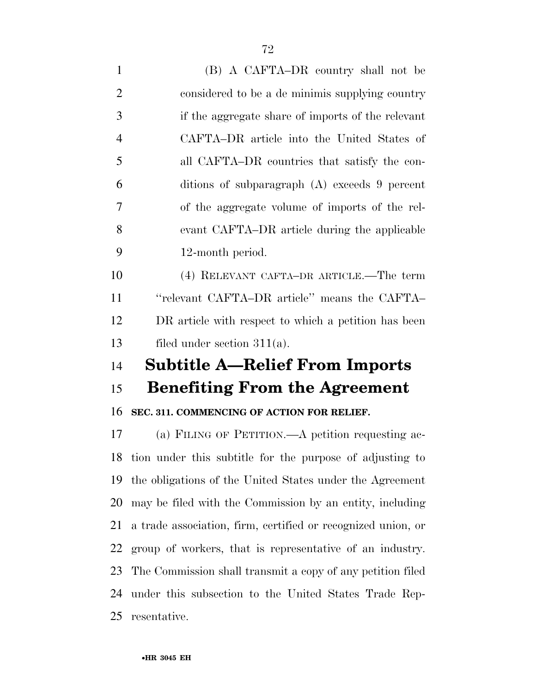(B) A CAFTA–DR country shall not be considered to be a de minimis supplying country if the aggregate share of imports of the relevant CAFTA–DR article into the United States of all CAFTA–DR countries that satisfy the con- ditions of subparagraph (A) exceeds 9 percent of the aggregate volume of imports of the rel- evant CAFTA–DR article during the applicable 12-month period. (4) RELEVANT CAFTA–DR ARTICLE.—The term ''relevant CAFTA–DR article'' means the CAFTA– DR article with respect to which a petition has been

filed under section 311(a).

# **Subtitle A—Relief From Imports**

## **Benefiting From the Agreement**

### **SEC. 311. COMMENCING OF ACTION FOR RELIEF.**

 (a) FILING OF PETITION.—A petition requesting ac- tion under this subtitle for the purpose of adjusting to the obligations of the United States under the Agreement may be filed with the Commission by an entity, including a trade association, firm, certified or recognized union, or group of workers, that is representative of an industry. The Commission shall transmit a copy of any petition filed under this subsection to the United States Trade Rep-resentative.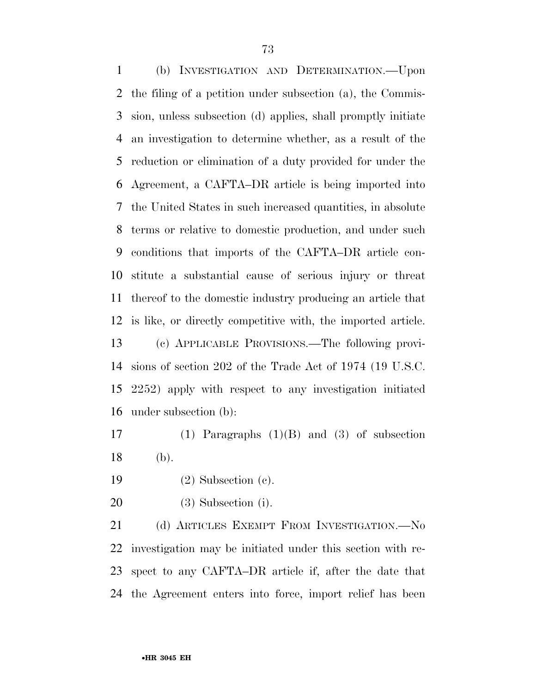(b) INVESTIGATION AND DETERMINATION.—Upon the filing of a petition under subsection (a), the Commis- sion, unless subsection (d) applies, shall promptly initiate an investigation to determine whether, as a result of the reduction or elimination of a duty provided for under the Agreement, a CAFTA–DR article is being imported into the United States in such increased quantities, in absolute terms or relative to domestic production, and under such conditions that imports of the CAFTA–DR article con- stitute a substantial cause of serious injury or threat thereof to the domestic industry producing an article that is like, or directly competitive with, the imported article. (c) APPLICABLE PROVISIONS.—The following provi- sions of section 202 of the Trade Act of 1974 (19 U.S.C. 2252) apply with respect to any investigation initiated under subsection (b):

 (1) Paragraphs (1)(B) and (3) of subsection (b).

(2) Subsection (c).

(3) Subsection (i).

21 (d) ARTICLES EXEMPT FROM INVESTIGATION. No investigation may be initiated under this section with re- spect to any CAFTA–DR article if, after the date that the Agreement enters into force, import relief has been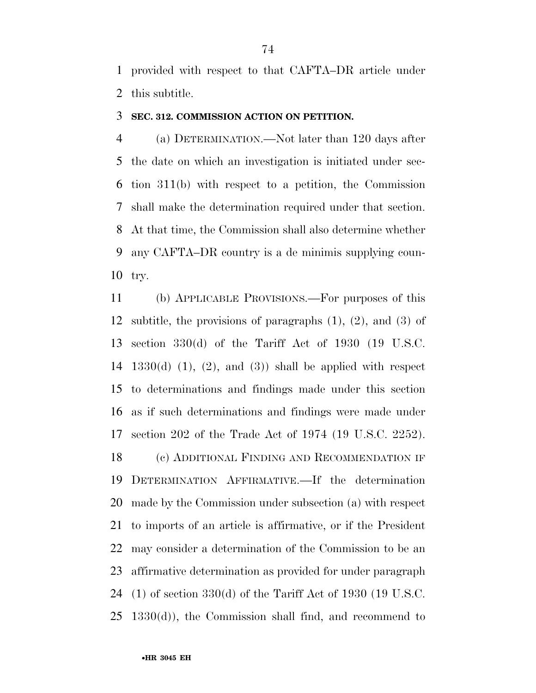provided with respect to that CAFTA–DR article under this subtitle.

#### **SEC. 312. COMMISSION ACTION ON PETITION.**

 (a) DETERMINATION.—Not later than 120 days after the date on which an investigation is initiated under sec- tion 311(b) with respect to a petition, the Commission shall make the determination required under that section. At that time, the Commission shall also determine whether any CAFTA–DR country is a de minimis supplying coun-try.

 (b) APPLICABLE PROVISIONS.—For purposes of this subtitle, the provisions of paragraphs (1), (2), and (3) of section 330(d) of the Tariff Act of 1930 (19 U.S.C.  $1330(d)$  (1), (2), and (3)) shall be applied with respect to determinations and findings made under this section as if such determinations and findings were made under section 202 of the Trade Act of 1974 (19 U.S.C. 2252). (c) ADDITIONAL FINDING AND RECOMMENDATION IF DETERMINATION AFFIRMATIVE.—If the determination made by the Commission under subsection (a) with respect to imports of an article is affirmative, or if the President may consider a determination of the Commission to be an

affirmative determination as provided for under paragraph

(1) of section 330(d) of the Tariff Act of 1930 (19 U.S.C.

 $25 \text{ } 1330(d)$ , the Commission shall find, and recommend to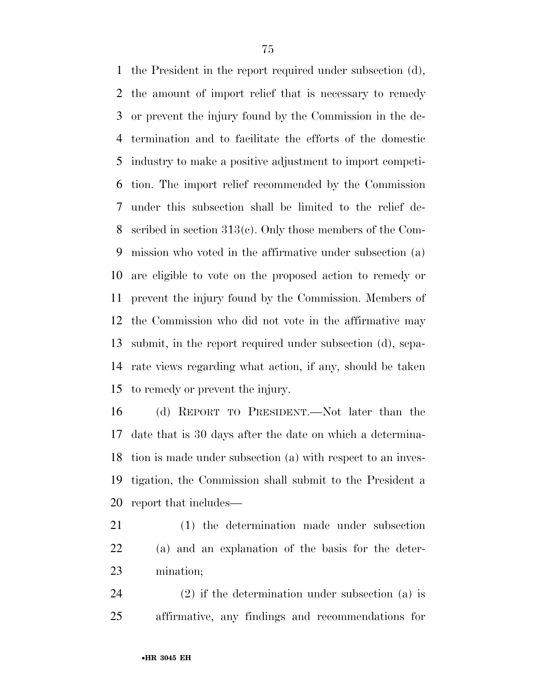the President in the report required under subsection (d), the amount of import relief that is necessary to remedy or prevent the injury found by the Commission in the de- termination and to facilitate the efforts of the domestic industry to make a positive adjustment to import competi- tion. The import relief recommended by the Commission under this subsection shall be limited to the relief de- scribed in section 313(c). Only those members of the Com- mission who voted in the affirmative under subsection (a) are eligible to vote on the proposed action to remedy or prevent the injury found by the Commission. Members of the Commission who did not vote in the affirmative may submit, in the report required under subsection (d), sepa- rate views regarding what action, if any, should be taken to remedy or prevent the injury.

 (d) REPORT TO PRESIDENT.—Not later than the date that is 30 days after the date on which a determina- tion is made under subsection (a) with respect to an inves- tigation, the Commission shall submit to the President a report that includes—

 (1) the determination made under subsection (a) and an explanation of the basis for the deter-mination;

 (2) if the determination under subsection (a) is affirmative, any findings and recommendations for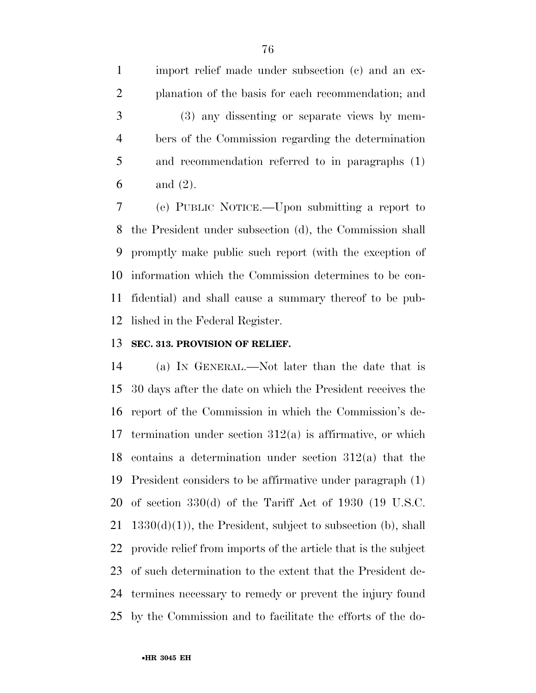import relief made under subsection (c) and an ex- planation of the basis for each recommendation; and (3) any dissenting or separate views by mem- bers of the Commission regarding the determination and recommendation referred to in paragraphs (1) and (2).

 (e) PUBLIC NOTICE.—Upon submitting a report to the President under subsection (d), the Commission shall promptly make public such report (with the exception of information which the Commission determines to be con- fidential) and shall cause a summary thereof to be pub-lished in the Federal Register.

#### **SEC. 313. PROVISION OF RELIEF.**

 (a) IN GENERAL.—Not later than the date that is 30 days after the date on which the President receives the report of the Commission in which the Commission's de-17 termination under section  $312(a)$  is affirmative, or which contains a determination under section 312(a) that the President considers to be affirmative under paragraph (1) of section 330(d) of the Tariff Act of 1930 (19 U.S.C.  $1330(d)(1)$ , the President, subject to subsection (b), shall provide relief from imports of the article that is the subject of such determination to the extent that the President de- termines necessary to remedy or prevent the injury found by the Commission and to facilitate the efforts of the do-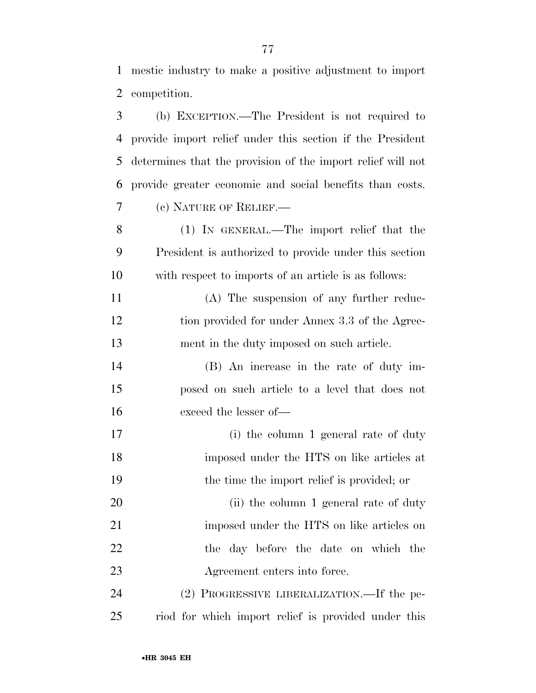| 3  | (b) EXCEPTION.—The President is not required to             |
|----|-------------------------------------------------------------|
| 4  | provide import relief under this section if the President   |
| 5  | determines that the provision of the import relief will not |
| 6  | provide greater economic and social benefits than costs.    |
| 7  | (c) NATURE OF RELIEF.                                       |
| 8  | (1) IN GENERAL.—The import relief that the                  |
| 9  | President is authorized to provide under this section       |
| 10 | with respect to imports of an article is as follows:        |
| 11 | (A) The suspension of any further reduc-                    |
| 12 | tion provided for under Annex 3.3 of the Agree-             |
| 13 | ment in the duty imposed on such article.                   |
| 14 | (B) An increase in the rate of duty im-                     |
| 15 | posed on such article to a level that does not              |
| 16 | exceed the lesser of-                                       |
| 17 | (i) the column 1 general rate of duty                       |
| 18 | imposed under the HTS on like articles at                   |
| 19 | the time the import relief is provided; or                  |
| 20 | (ii) the column 1 general rate of duty                      |
| 21 | imposed under the HTS on like articles on                   |
| 22 | the day before the date on which the                        |
| 23 | Agreement enters into force.                                |
| 24 | (2) PROGRESSIVE LIBERALIZATION.—If the pe-                  |
| 25 | riod for which import relief is provided under this         |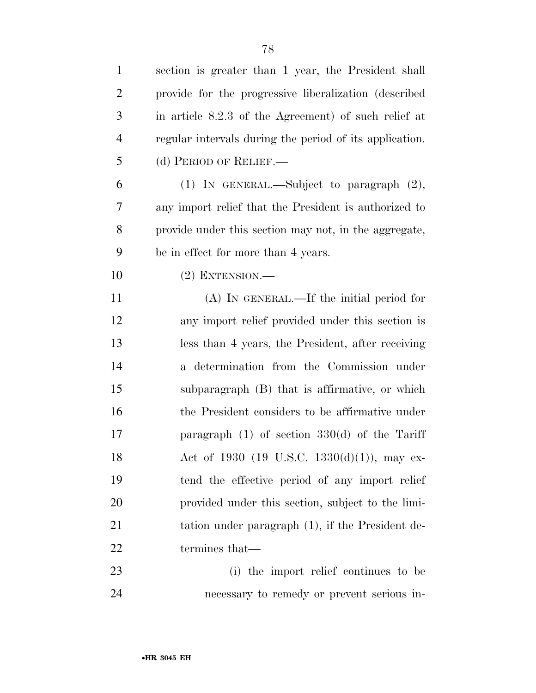| $\mathbf{1}$   | section is greater than 1 year, the President shall     |
|----------------|---------------------------------------------------------|
| $\overline{2}$ | provide for the progressive liberalization (described   |
| 3              | in article 8.2.3 of the Agreement) of such relief at    |
| $\overline{4}$ | regular intervals during the period of its application. |
| 5              | (d) PERIOD OF RELIEF.—                                  |
| 6              | (1) IN GENERAL.—Subject to paragraph $(2)$ ,            |
| 7              | any import relief that the President is authorized to   |
| 8              | provide under this section may not, in the aggregate,   |
| 9              | be in effect for more than 4 years.                     |
| 10             | $(2)$ EXTENSION.—                                       |
| 11             | $(A)$ IN GENERAL.—If the initial period for             |
| 12             | any import relief provided under this section is        |
| 13             | less than 4 years, the President, after receiving       |
| 14             | a determination from the Commission under               |
| 15             | subparagraph (B) that is affirmative, or which          |
| 16             | the President considers to be affirmative under         |
| 17             | paragraph $(1)$ of section 330 $(d)$ of the Tariff      |
| 18             | Act of 1930 (19 U.S.C. 1330(d)(1)), may ex-             |
| 19             | tend the effective period of any import relief          |
| 20             | provided under this section, subject to the limi-       |
| 21             | tation under paragraph (1), if the President de-        |
| 22             | termines that—                                          |
| 23             | (i) the import relief continues to be                   |
| 24             | necessary to remedy or prevent serious in-              |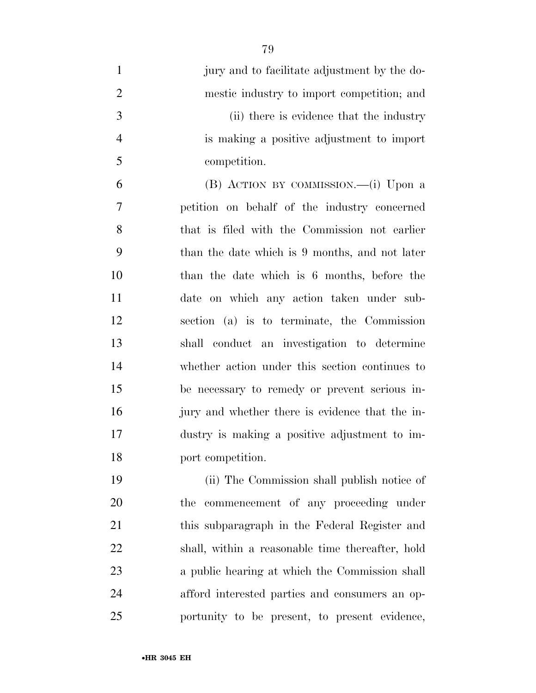| $\mathbf{1}$   | jury and to facilitate adjustment by the do-    |
|----------------|-------------------------------------------------|
| $\overline{2}$ | mestic industry to import competition; and      |
| 3              | (ii) there is evidence that the industry        |
| $\overline{4}$ | is making a positive adjustment to import       |
| 5              | competition.                                    |
| 6              | (B) ACTION BY COMMISSION.—(i) Upon a            |
| 7              | petition on behalf of the industry concerned    |
| 8              | that is filed with the Commission not earlier   |
| 9              | than the date which is 9 months, and not later  |
| 10             | than the date which is 6 months, before the     |
| 11             | date on which any action taken under sub-       |
| 12             | section (a) is to terminate, the Commission     |
| 13             | shall conduct an investigation to determine     |
| 14             | whether action under this section continues to  |
| 15             | be necessary to remedy or prevent serious in-   |
| 16             | jury and whether there is evidence that the in- |
| 17             | dustry is making a positive adjustment to im-   |
| 18             | port competition.                               |
| 19             | (ii) The Commission shall publish notice of     |
| 20             | commencement of any proceeding under<br>the     |
| 21             | this subparagraph in the Federal Register and   |

shall, within a reasonable time thereafter, hold

a public hearing at which the Commission shall

afford interested parties and consumers an op-

portunity to be present, to present evidence,

•**HR 3045 EH**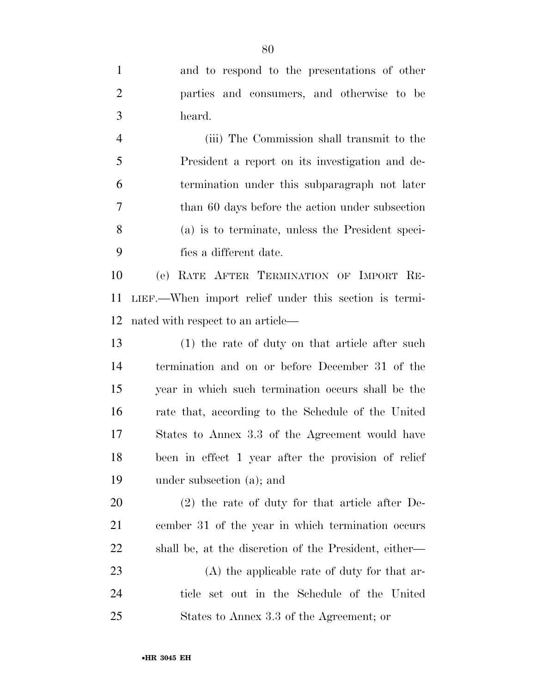| $\mathbf{1}$   | and to respond to the presentations of other          |
|----------------|-------------------------------------------------------|
| $\overline{2}$ | parties and consumers, and otherwise to be            |
| 3              | heard.                                                |
| $\overline{4}$ | (iii) The Commission shall transmit to the            |
| 5              | President a report on its investigation and de-       |
| 6              | termination under this subparagraph not later         |
| 7              | than 60 days before the action under subsection       |
| 8              | (a) is to terminate, unless the President speci-      |
| 9              | fies a different date.                                |
| 10             | RATE AFTER TERMINATION OF IMPORT RE-<br>(e)           |
| 11             | LIEF.—When import relief under this section is termi- |
| 12             | nated with respect to an article—                     |
| 13             | (1) the rate of duty on that article after such       |
| 14             | termination and on or before December 31 of the       |
| 15             | year in which such termination occurs shall be the    |
| 16             | rate that, according to the Schedule of the United    |
| 17             | States to Annex 3.3 of the Agreement would have       |
| 18             | been in effect 1 year after the provision of relief   |
| 19             | under subsection (a); and                             |
| 20             | $(2)$ the rate of duty for that article after De-     |
| 21             | cember 31 of the year in which termination occurs     |
| 22             | shall be, at the discretion of the President, either— |
| 23             | $(A)$ the applicable rate of duty for that ar-        |
| 24             | ticle set out in the Schedule of the United           |
| 25             | States to Annex 3.3 of the Agreement; or              |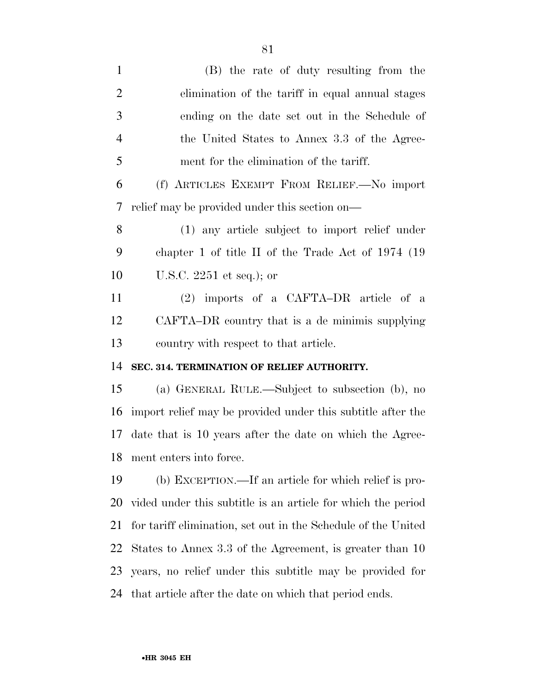| $\mathbf{1}$   | (B) the rate of duty resulting from the                       |
|----------------|---------------------------------------------------------------|
| $\overline{2}$ | elimination of the tariff in equal annual stages              |
| 3              | ending on the date set out in the Schedule of                 |
| $\overline{4}$ | the United States to Annex 3.3 of the Agree-                  |
| 5              | ment for the elimination of the tariff.                       |
| 6              | (f) ARTICLES EXEMPT FROM RELIEF. No import                    |
| 7              | relief may be provided under this section on—                 |
| 8              | (1) any article subject to import relief under                |
| 9              | chapter 1 of title II of the Trade Act of $1974$ (19          |
| 10             | U.S.C. $2251$ et seq.); or                                    |
| 11             | $(2)$ imports of a CAFTA-DR article of a                      |
| 12             | CAFTA–DR country that is a de minimis supplying               |
|                |                                                               |
|                | country with respect to that article.                         |
|                | SEC. 314. TERMINATION OF RELIEF AUTHORITY.                    |
| 13<br>14<br>15 | (a) GENERAL RULE.—Subject to subsection (b), no               |
| 16             | import relief may be provided under this subtitle after the   |
| 17             | date that is 10 years after the date on which the Agree-      |
|                | 18 ment enters into force.                                    |
| 19             | (b) EXCEPTION.—If an article for which relief is pro-         |
| 20             | vided under this subtitle is an article for which the period  |
| 21             | for tariff elimination, set out in the Schedule of the United |
| 22             | States to Annex 3.3 of the Agreement, is greater than 10      |
| 23             | years, no relief under this subtitle may be provided for      |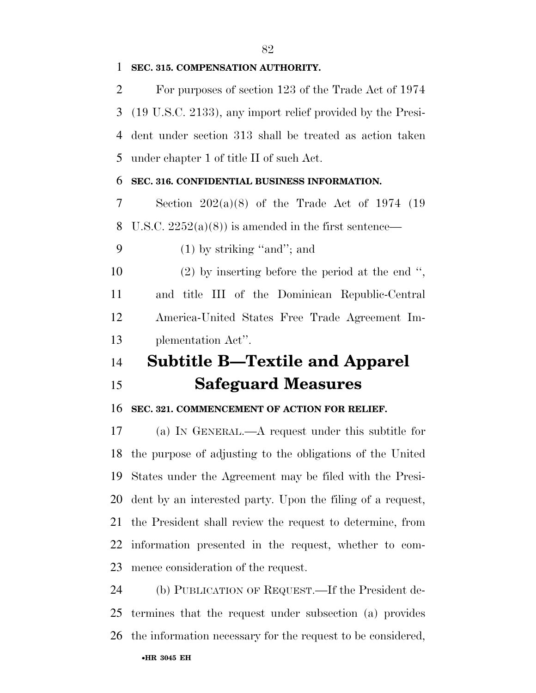#### **SEC. 315. COMPENSATION AUTHORITY.**

 For purposes of section 123 of the Trade Act of 1974 (19 U.S.C. 2133), any import relief provided by the Presi- dent under section 313 shall be treated as action taken under chapter 1 of title II of such Act.

#### **SEC. 316. CONFIDENTIAL BUSINESS INFORMATION.**

 Section 202(a)(8) of the Trade Act of 1974 (19 8 U.S.C.  $2252(a)(8)$  is amended in the first sentence—

(1) by striking ''and''; and

 (2) by inserting before the period at the end '', and title III of the Dominican Republic-Central America-United States Free Trade Agreement Im-plementation Act''.

## **Subtitle B—Textile and Apparel Safeguard Measures**

#### **SEC. 321. COMMENCEMENT OF ACTION FOR RELIEF.**

 (a) IN GENERAL.—A request under this subtitle for the purpose of adjusting to the obligations of the United States under the Agreement may be filed with the Presi- dent by an interested party. Upon the filing of a request, the President shall review the request to determine, from information presented in the request, whether to com-mence consideration of the request.

 (b) PUBLICATION OF REQUEST.—If the President de- termines that the request under subsection (a) provides the information necessary for the request to be considered,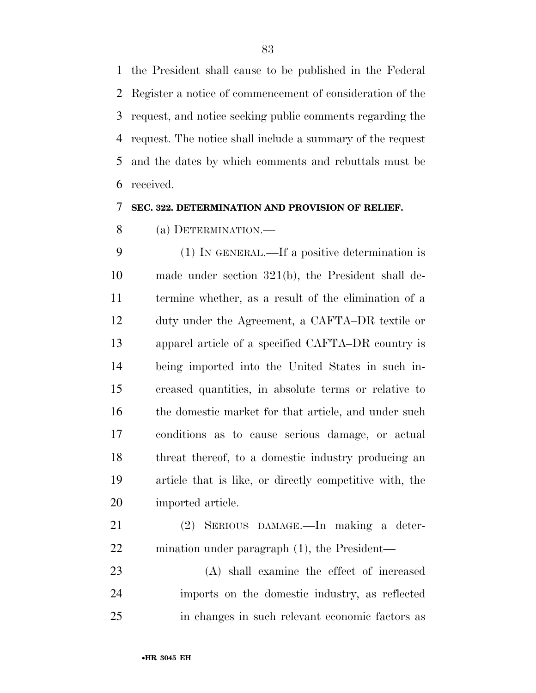the President shall cause to be published in the Federal Register a notice of commencement of consideration of the request, and notice seeking public comments regarding the request. The notice shall include a summary of the request and the dates by which comments and rebuttals must be received.

#### **SEC. 322. DETERMINATION AND PROVISION OF RELIEF.**

(a) DETERMINATION.—

 (1) IN GENERAL.—If a positive determination is made under section 321(b), the President shall de- termine whether, as a result of the elimination of a duty under the Agreement, a CAFTA–DR textile or apparel article of a specified CAFTA–DR country is being imported into the United States in such in- creased quantities, in absolute terms or relative to 16 the domestic market for that article, and under such conditions as to cause serious damage, or actual threat thereof, to a domestic industry producing an article that is like, or directly competitive with, the imported article.

 (2) SERIOUS DAMAGE.—In making a deter-mination under paragraph (1), the President—

 (A) shall examine the effect of increased imports on the domestic industry, as reflected in changes in such relevant economic factors as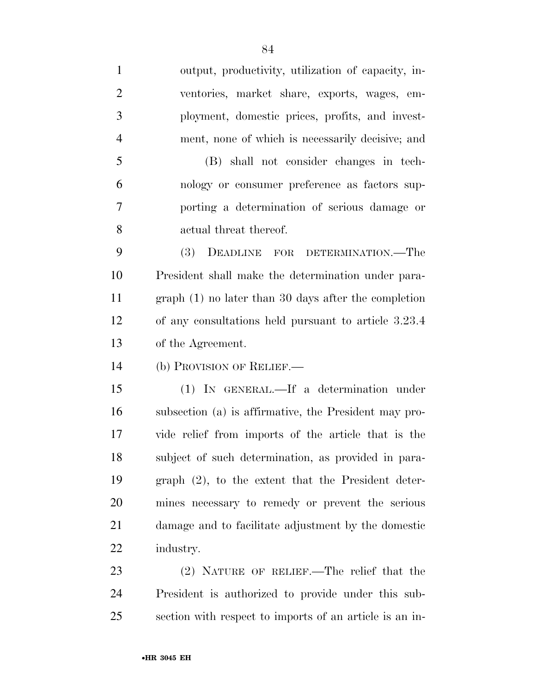output, productivity, utilization of capacity, in- ventories, market share, exports, wages, em- ployment, domestic prices, profits, and invest-ment, none of which is necessarily decisive; and

 (B) shall not consider changes in tech- nology or consumer preference as factors sup- porting a determination of serious damage or actual threat thereof.

 (3) DEADLINE FOR DETERMINATION.—The President shall make the determination under para- graph (1) no later than 30 days after the completion of any consultations held pursuant to article 3.23.4 of the Agreement.

(b) PROVISION OF RELIEF.—

 (1) IN GENERAL.—If a determination under subsection (a) is affirmative, the President may pro- vide relief from imports of the article that is the subject of such determination, as provided in para- graph (2), to the extent that the President deter- mines necessary to remedy or prevent the serious damage and to facilitate adjustment by the domestic industry.

 (2) NATURE OF RELIEF.—The relief that the President is authorized to provide under this sub-section with respect to imports of an article is an in-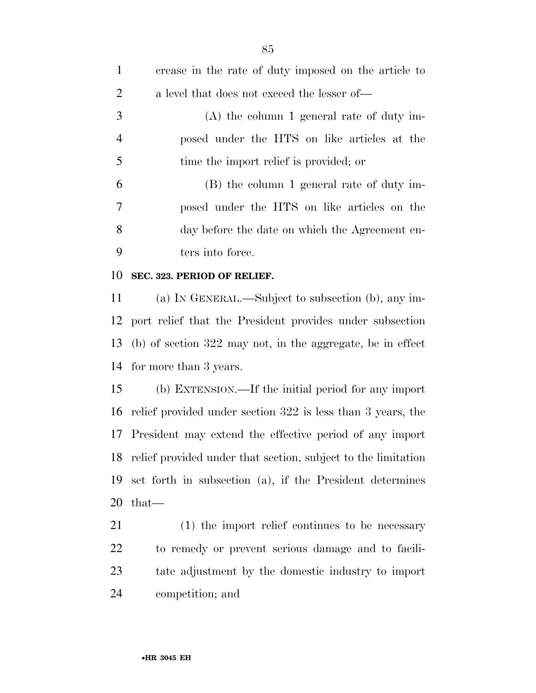| $\mathbf{1}$   | crease in the rate of duty imposed on the article to          |
|----------------|---------------------------------------------------------------|
| $\overline{2}$ | a level that does not exceed the lesser of—                   |
| 3              | $(A)$ the column 1 general rate of duty im-                   |
| $\overline{4}$ | posed under the HTS on like articles at the                   |
| 5              | time the import relief is provided; or                        |
| 6              | (B) the column 1 general rate of duty im-                     |
| 7              | posed under the HTS on like articles on the                   |
| 8              | day before the date on which the Agreement en-                |
| 9              | ters into force.                                              |
| 10             | SEC. 323. PERIOD OF RELIEF.                                   |
| 11             | (a) IN GENERAL.—Subject to subsection (b), any im-            |
| 12             | port relief that the President provides under subsection      |
| 13             | $(b)$ of section 322 may not, in the aggregate, be in effect  |
| 14             | for more than 3 years.                                        |
| 15             | (b) EXTENSION.—If the initial period for any import           |
| 16             | relief provided under section 322 is less than 3 years, the   |
| 17             | President may extend the effective period of any import       |
| 18             | relief provided under that section, subject to the limitation |
| 19             | set forth in subsection (a), if the President determines      |
| 20             | $that-$                                                       |
| 21             | $(1)$ the import relief continues to be necessary             |
| <u>22</u>      | to remedy or prevent serious damage and to facili-            |
| 23             | tate adjustment by the domestic industry to import            |
| 24             | competition; and                                              |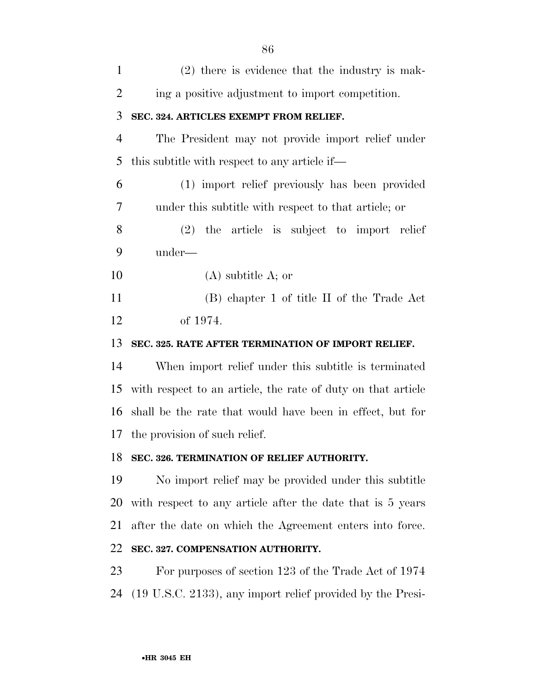| $\mathbf{1}$   | $(2)$ there is evidence that the industry is mak-            |
|----------------|--------------------------------------------------------------|
| $\overline{2}$ | ing a positive adjustment to import competition.             |
| 3              | SEC. 324. ARTICLES EXEMPT FROM RELIEF.                       |
| $\overline{4}$ | The President may not provide import relief under            |
| 5              | this subtitle with respect to any article if—                |
| 6              | (1) import relief previously has been provided               |
| 7              | under this subtitle with respect to that article; or         |
| 8              | $(2)$ the article is subject to import relief                |
| 9              | under—                                                       |
| 10             | $(A)$ subtitle A; or                                         |
| 11             | (B) chapter 1 of title II of the Trade Act                   |
| 12             | of 1974.                                                     |
| 13             | SEC. 325. RATE AFTER TERMINATION OF IMPORT RELIEF.           |
| 14             | When import relief under this subtitle is terminated         |
| 15             | with respect to an article, the rate of duty on that article |
| 16             | shall be the rate that would have been in effect, but for    |
| 17             | the provision of such relief.                                |
| 18             | SEC. 326. TERMINATION OF RELIEF AUTHORITY.                   |
| 19             | No import relief may be provided under this subtitle         |
| 20             | with respect to any article after the date that is 5 years   |
| 21             | after the date on which the Agreement enters into force.     |
| 22             | SEC. 327. COMPENSATION AUTHORITY.                            |
| 23             | For purposes of section 123 of the Trade Act of 1974         |
| 24             | (19 U.S.C. 2133), any import relief provided by the Presi-   |
|                |                                                              |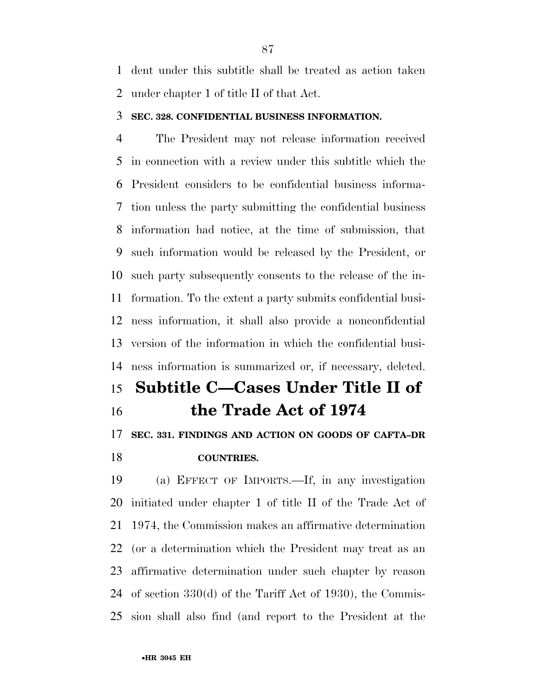dent under this subtitle shall be treated as action taken under chapter 1 of title II of that Act.

#### **SEC. 328. CONFIDENTIAL BUSINESS INFORMATION.**

 The President may not release information received in connection with a review under this subtitle which the President considers to be confidential business informa- tion unless the party submitting the confidential business information had notice, at the time of submission, that such information would be released by the President, or such party subsequently consents to the release of the in- formation. To the extent a party submits confidential busi- ness information, it shall also provide a nonconfidential version of the information in which the confidential busi-ness information is summarized or, if necessary, deleted.

## **Subtitle C—Cases Under Title II of the Trade Act of 1974**

### **SEC. 331. FINDINGS AND ACTION ON GOODS OF CAFTA–DR COUNTRIES.**

 (a) EFFECT OF IMPORTS.—If, in any investigation initiated under chapter 1 of title II of the Trade Act of 1974, the Commission makes an affirmative determination (or a determination which the President may treat as an affirmative determination under such chapter by reason of section 330(d) of the Tariff Act of 1930), the Commis-sion shall also find (and report to the President at the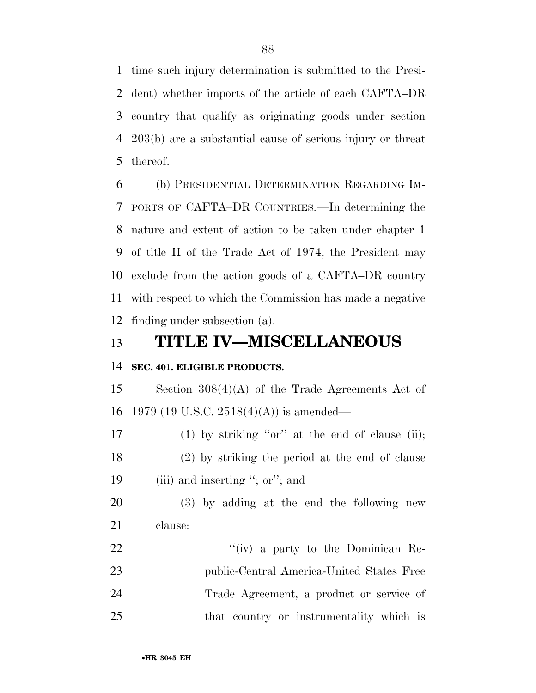time such injury determination is submitted to the Presi- dent) whether imports of the article of each CAFTA–DR country that qualify as originating goods under section 203(b) are a substantial cause of serious injury or threat thereof.

 (b) PRESIDENTIAL DETERMINATION REGARDING IM- PORTS OF CAFTA–DR COUNTRIES.—In determining the nature and extent of action to be taken under chapter 1 of title II of the Trade Act of 1974, the President may exclude from the action goods of a CAFTA–DR country with respect to which the Commission has made a negative finding under subsection (a).

## **TITLE IV—MISCELLANEOUS**

#### **SEC. 401. ELIGIBLE PRODUCTS.**

 Section 308(4)(A) of the Trade Agreements Act of 1979 (19 U.S.C. 2518(4)(A)) is amended—

17 (1) by striking "or" at the end of clause (ii); (2) by striking the period at the end of clause 19 (iii) and inserting "; or"; and

 (3) by adding at the end the following new clause:

22 ''(iv) a party to the Dominican Re- public-Central America-United States Free Trade Agreement, a product or service of that country or instrumentality which is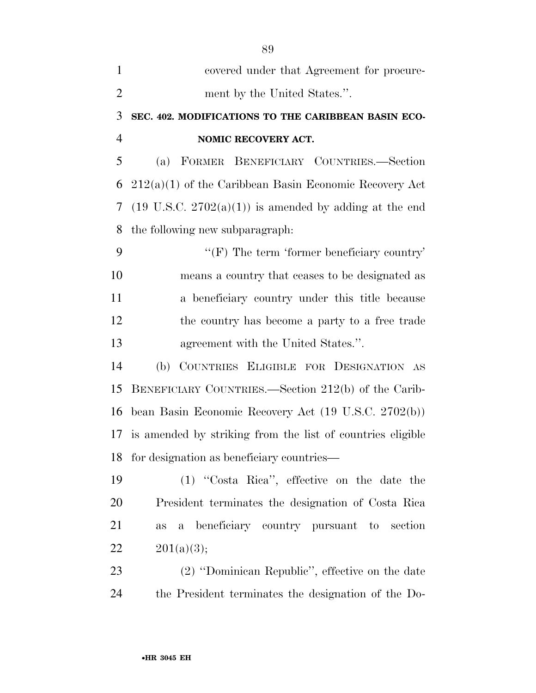| $\mathbf{1}$   | covered under that Agreement for procure-                         |
|----------------|-------------------------------------------------------------------|
| $\overline{2}$ | ment by the United States.".                                      |
| 3              | SEC. 402. MODIFICATIONS TO THE CARIBBEAN BASIN ECO-               |
| $\overline{4}$ | NOMIC RECOVERY ACT.                                               |
| 5              | (a) FORMER BENEFICIARY COUNTRIES.-Section                         |
| 6              | $212(a)(1)$ of the Caribbean Basin Economic Recovery Act          |
| 7              | $(19 \text{ U.S.C. } 2702(a)(1))$ is amended by adding at the end |
| 8              | the following new subparagraph:                                   |
| 9              | " $(F)$ The term 'former beneficiary country'                     |
| 10             | means a country that ceases to be designated as                   |
| 11             | a beneficiary country under this title because                    |
| 12             | the country has become a party to a free trade                    |
| 13             | agreement with the United States.".                               |
| 14             | (b) COUNTRIES ELIGIBLE FOR DESIGNATION AS                         |
| 15             | BENEFICIARY COUNTRIES.—Section 212(b) of the Carib-               |
| 16             | bean Basin Economic Recovery Act (19 U.S.C. 2702(b))              |
| 17             | is amended by striking from the list of countries eligible        |
| 18             | for designation as beneficiary countries—                         |
| 19             | (1) "Costa Rica", effective on the date the                       |
| 20             | President terminates the designation of Costa Rica                |
| 21             | beneficiary country pursuant to<br>section<br>$\mathbf{a}$<br>as  |
| 22             | 201(a)(3);                                                        |
| 23             | (2) "Dominican Republic", effective on the date                   |
| 24             | the President terminates the designation of the Do-               |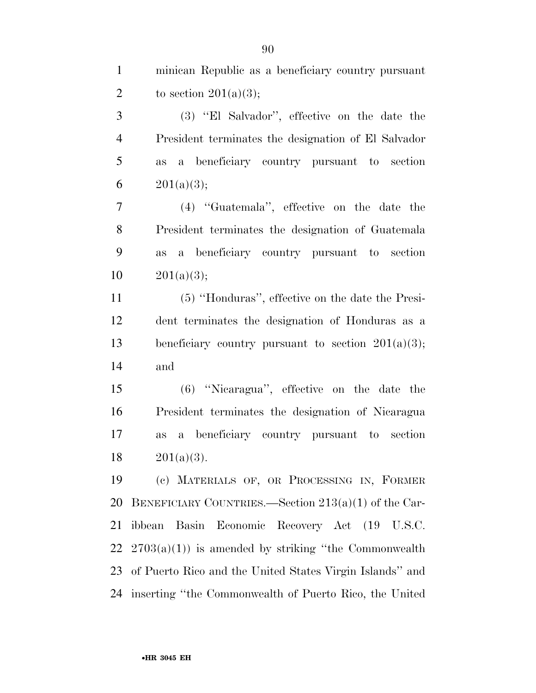minican Republic as a beneficiary country pursuant 2 to section  $201(a)(3)$ ;

 (3) ''El Salvador'', effective on the date the President terminates the designation of El Salvador as a beneficiary country pursuant to section  $201(a)(3);$ 

 (4) ''Guatemala'', effective on the date the President terminates the designation of Guatemala as a beneficiary country pursuant to section  $10 \qquad 201(a)(3);$ 

 (5) ''Honduras'', effective on the date the Presi- dent terminates the designation of Honduras as a beneficiary country pursuant to section 201(a)(3); and

 (6) ''Nicaragua'', effective on the date the President terminates the designation of Nicaragua as a beneficiary country pursuant to section  $201(a)(3)$ .

 (c) MATERIALS OF, OR PROCESSING IN, FORMER BENEFICIARY COUNTRIES.—Section 213(a)(1) of the Car- ibbean Basin Economic Recovery Act (19 U.S.C.  $2703(a)(1)$  is amended by striking "the Commonwealth" of Puerto Rico and the United States Virgin Islands'' and inserting ''the Commonwealth of Puerto Rico, the United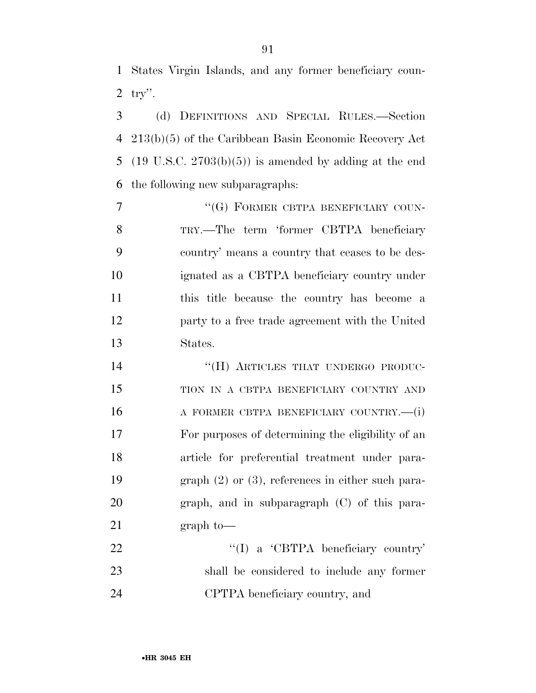States Virgin Islands, and any former beneficiary coun-try''.

 (d) DEFINITIONS AND SPECIAL RULES.—Section 213(b)(5) of the Caribbean Basin Economic Recovery Act (19 U.S.C. 2703(b)(5)) is amended by adding at the end the following new subparagraphs:

7 ""(G) FORMER CBTPA BENEFICIARY COUN- TRY.—The term 'former CBTPA beneficiary country' means a country that ceases to be des- ignated as a CBTPA beneficiary country under this title because the country has become a party to a free trade agreement with the United States.

14 "(H) ARTICLES THAT UNDERGO PRODUC- TION IN A CBTPA BENEFICIARY COUNTRY AND 16 A FORMER CBTPA BENEFICIARY COUNTRY.—(i) For purposes of determining the eligibility of an article for preferential treatment under para- graph (2) or (3), references in either such para- graph, and in subparagraph (C) of this para-21 graph to

22 "'(I) a 'CBTPA beneficiary country' shall be considered to include any former CPTPA beneficiary country, and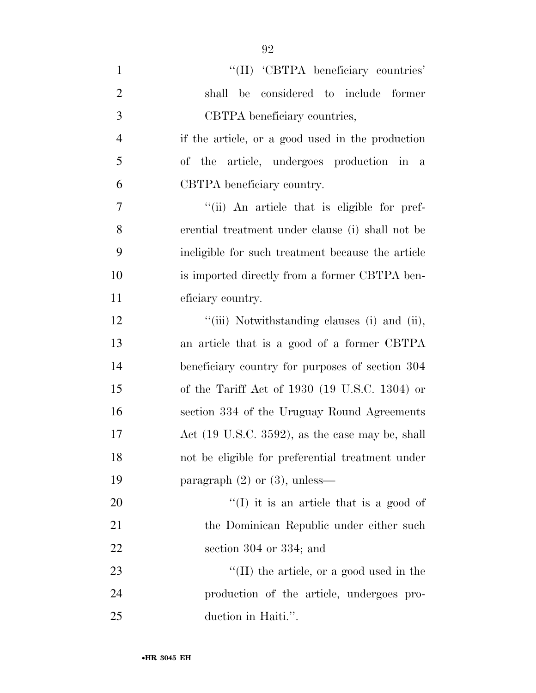| $\mathbf{1}$   | "(II) 'CBTPA beneficiary countries'                         |
|----------------|-------------------------------------------------------------|
| $\overline{2}$ | shall be considered to include former                       |
| 3              | CBTPA beneficiary countries,                                |
| $\overline{4}$ | if the article, or a good used in the production            |
| 5              | of the article, undergoes production in a                   |
| 6              | CBTPA beneficiary country.                                  |
| $\overline{7}$ | "(ii) An article that is eligible for pref-                 |
| 8              | erential treatment under clause (i) shall not be            |
| 9              | ineligible for such treatment because the article           |
| 10             | is imported directly from a former CBTPA ben-               |
| 11             | eficiary country.                                           |
| 12             | "(iii) Notwithstanding clauses (i) and (ii),                |
| 13             | an article that is a good of a former CBTPA                 |
| 14             | beneficiary country for purposes of section 304             |
| 15             | of the Tariff Act of $1930$ (19 U.S.C. 1304) or             |
| 16             | section 334 of the Uruguay Round Agreements                 |
| 17             | Act $(19 \text{ U.S.C. } 3592)$ , as the case may be, shall |
| 18             | not be eligible for preferential treatment under            |
| 19             | paragraph $(2)$ or $(3)$ , unless—                          |
| 20             | $\lq(1)$ it is an article that is a good of                 |
| 21             | the Dominican Republic under either such                    |
| 22             | section $304$ or $334$ ; and                                |
| 23             | $\lq$ (II) the article, or a good used in the               |
| 24             | production of the article, undergoes pro-                   |
| 25             | duction in Haiti.".                                         |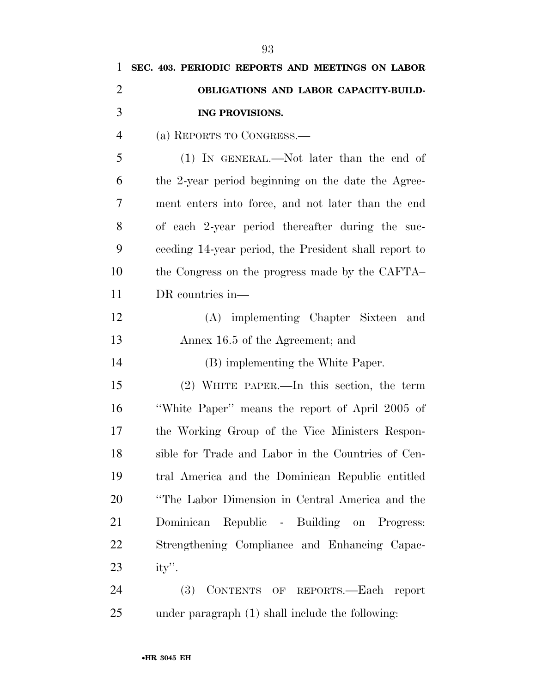| $\mathbf{1}$   | SEC. 403. PERIODIC REPORTS AND MEETINGS ON LABOR      |
|----------------|-------------------------------------------------------|
| $\overline{2}$ | OBLIGATIONS AND LABOR CAPACITY-BUILD-                 |
| 3              | ING PROVISIONS.                                       |
| $\overline{4}$ | (a) REPORTS TO CONGRESS.                              |
| 5              | $(1)$ IN GENERAL.—Not later than the end of           |
| 6              | the 2-year period beginning on the date the Agree-    |
| 7              | ment enters into force, and not later than the end    |
| 8              | of each 2-year period thereafter during the suc-      |
| 9              | ceeding 14-year period, the President shall report to |
| 10             | the Congress on the progress made by the CAFTA        |
| 11             | DR countries in—                                      |
| 12             | (A) implementing Chapter Sixteen and                  |
| 13             | Annex 16.5 of the Agreement; and                      |
| 14             | (B) implementing the White Paper.                     |
| 15             | $(2)$ WHITE PAPER.—In this section, the term          |
| 16             | "White Paper" means the report of April 2005 of       |
| 17             | the Working Group of the Vice Ministers Respon-       |
| 18             | sible for Trade and Labor in the Countries of Cen-    |
| 19             | tral America and the Dominican Republic entitled      |
| 20             | "The Labor Dimension in Central America and the       |
| 21             | Dominican Republic - Building on Progress:            |
| <u>22</u>      | Strengthening Compliance and Enhancing Capac-         |
| 23             | ity".                                                 |
| 24             | (3) CONTENTS OF REPORTS.-Each report                  |
| 25             | under paragraph (1) shall include the following:      |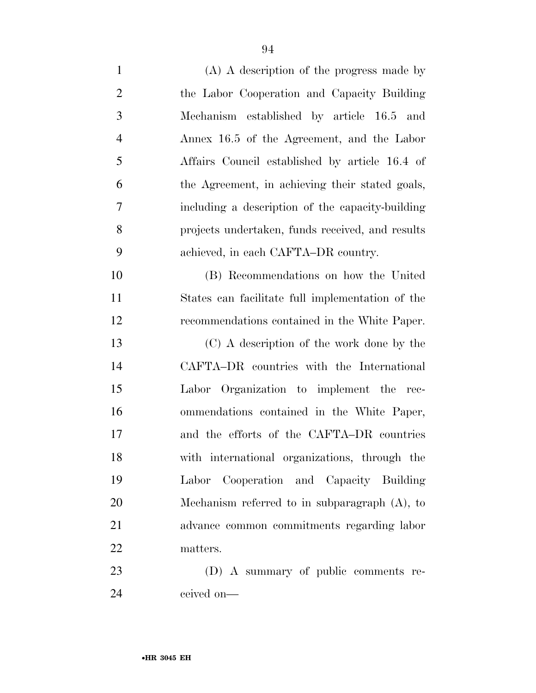| $\mathbf{1}$   | $(A)$ A description of the progress made by      |
|----------------|--------------------------------------------------|
| $\overline{2}$ | the Labor Cooperation and Capacity Building      |
| 3              | Mechanism established by article 16.5 and        |
| $\overline{4}$ | Annex 16.5 of the Agreement, and the Labor       |
| 5              | Affairs Council established by article 16.4 of   |
| 6              | the Agreement, in achieving their stated goals,  |
| 7              | including a description of the capacity-building |
| 8              | projects undertaken, funds received, and results |
| 9              | achieved, in each CAFTA-DR country.              |
| 10             | (B) Recommendations on how the United            |
| 11             | States can facilitate full implementation of the |
| 12             | recommendations contained in the White Paper.    |
| 13             | (C) A description of the work done by the        |
| 14             | CAFTA-DR countries with the International        |
| 15             | Labor Organization to implement the rec-         |
| 16             | ommendations contained in the White Paper,       |
| 17             | and the efforts of the CAFTA-DR countries        |
| 18             | with international organizations, through the    |
| 19             | Labor Cooperation and Capacity Building          |
| 20             | Mechanism referred to in subparagraph $(A)$ , to |
| 21             | advance common commitments regarding labor       |
| 22             | matters.                                         |
| 23             | (D) A summary of public comments re-             |
|                |                                                  |

ceived on—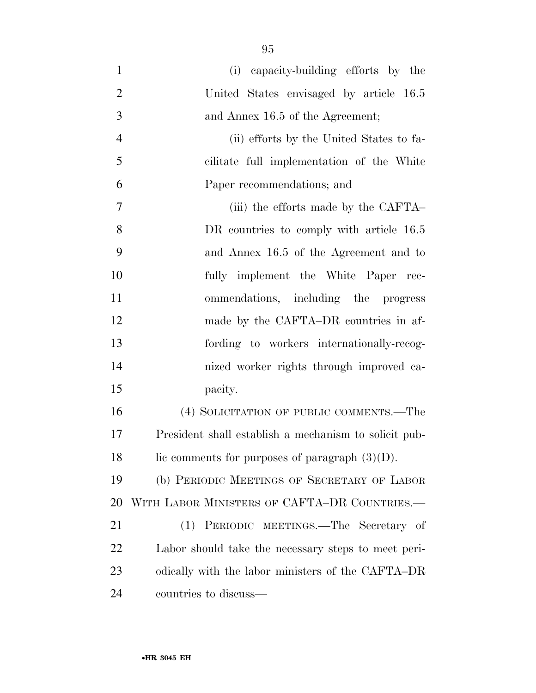(i) capacity-building efforts by the United States envisaged by article 16.5 3 and Annex 16.5 of the Agreement; (ii) efforts by the United States to fa- cilitate full implementation of the White Paper recommendations; and (iii) the efforts made by the CAFTA– 8 DR countries to comply with article 16.5 and Annex 16.5 of the Agreement and to fully implement the White Paper rec- ommendations, including the progress 12 made by the CAFTA–DR countries in af- fording to workers internationally-recog- nized worker rights through improved ca- pacity. (4) SOLICITATION OF PUBLIC COMMENTS.—The

 President shall establish a mechanism to solicit pub-18 lic comments for purposes of paragraph  $(3)(D)$ .

 (b) PERIODIC MEETINGS OF SECRETARY OF LABOR WITH LABOR MINISTERS OF CAFTA–DR COUNTRIES.—

 (1) PERIODIC MEETINGS.—The Secretary of Labor should take the necessary steps to meet peri- odically with the labor ministers of the CAFTA–DR countries to discuss—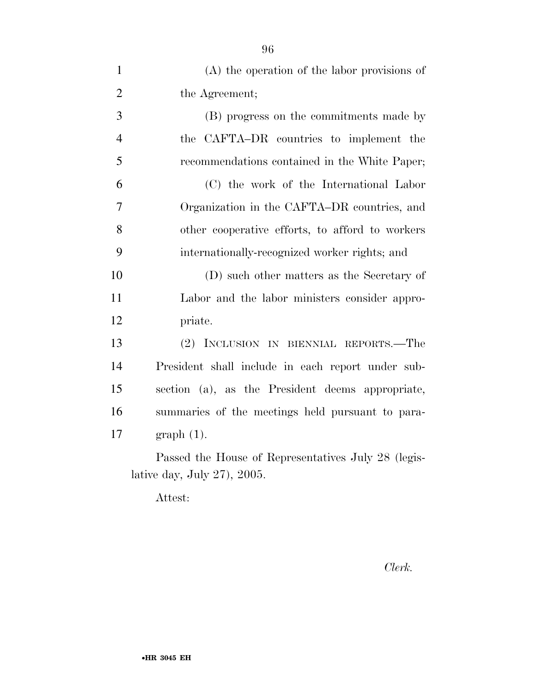| $(A)$ the operation of the labor provisions of      |
|-----------------------------------------------------|
| the Agreement;                                      |
| (B) progress on the commitments made by             |
| the CAFTA-DR countries to implement the             |
| recommendations contained in the White Paper;       |
| (C) the work of the International Labor             |
| Organization in the CAFTA–DR countries, and         |
| other cooperative efforts, to afford to workers     |
| internationally-recognized worker rights; and       |
| (D) such other matters as the Secretary of          |
| Labor and the labor ministers consider appro-       |
| priate.                                             |
| (2) INCLUSION IN BIENNIAL REPORTS.—The              |
| President shall include in each report under sub-   |
| section (a), as the President deems appropriate,    |
| summaries of the meetings held pursuant to para-    |
| $graph(1)$ .                                        |
| Passed the House of Representatives July 28 (legis- |
|                                                     |

lative day, July 27), 2005.

Attest:

*Clerk.*